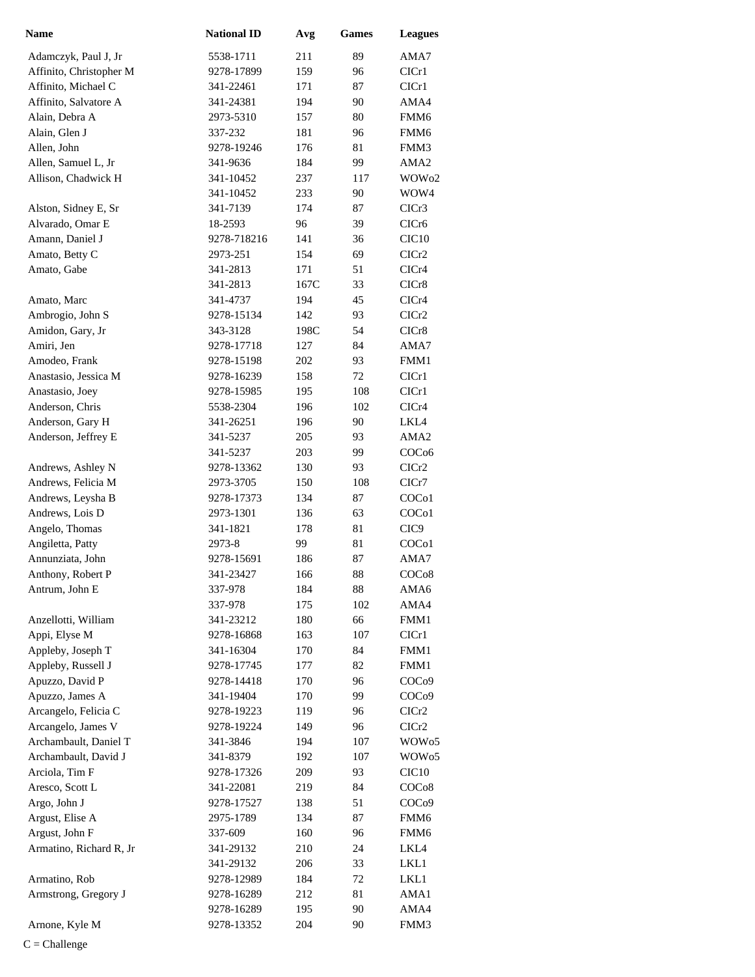| <b>Name</b>                                   | <b>National ID</b>      | Avg        | Games      | <b>Leagues</b>                         |
|-----------------------------------------------|-------------------------|------------|------------|----------------------------------------|
| Adamczyk, Paul J, Jr                          | 5538-1711               | 211        | 89         | AMA7                                   |
| Affinito, Christopher M                       | 9278-17899              | 159        | 96         | CICr1                                  |
| Affinito, Michael C                           | 341-22461               | 171        | 87         | CICr1                                  |
| Affinito, Salvatore A                         | 341-24381               | 194        | 90         | AMA4                                   |
| Alain, Debra A                                | 2973-5310               | 157        | 80         | FMM <sub>6</sub>                       |
| Alain, Glen J                                 | 337-232                 | 181        | 96         | FMM6                                   |
| Allen, John                                   | 9278-19246              | 176        | 81         | FMM3                                   |
| Allen, Samuel L, Jr                           | 341-9636                | 184        | 99         | AMA <sub>2</sub>                       |
| Allison, Chadwick H                           | 341-10452               | 237        | 117        | WOW <sub>02</sub>                      |
|                                               | 341-10452               | 233        | 90         | WOW4                                   |
| Alston, Sidney E, Sr                          | 341-7139                | 174        | 87         | CICr3                                  |
| Alvarado, Omar E                              | 18-2593                 | 96         | 39         | CICr <sub>6</sub>                      |
| Amann, Daniel J                               | 9278-718216             | 141        | 36         | CIC <sub>10</sub>                      |
| Amato, Betty C                                | 2973-251                | 154        | 69         | CICr <sub>2</sub>                      |
| Amato, Gabe                                   | 341-2813                | 171        | 51         | CICr4                                  |
|                                               | 341-2813                | 167C       | 33         | CICr8                                  |
| Amato, Marc                                   | 341-4737                | 194        | 45         | CICr4                                  |
| Ambrogio, John S                              | 9278-15134              | 142        | 93         | CICr2                                  |
| Amidon, Gary, Jr                              | 343-3128                | 198C       | 54         | CICr8                                  |
| Amiri, Jen                                    | 9278-17718              | 127        | 84         | AMA7                                   |
| Amodeo, Frank                                 | 9278-15198              | 202        | 93         | FMM1                                   |
| Anastasio, Jessica M                          | 9278-16239              | 158        | 72         | CICr1                                  |
| Anastasio, Joey                               | 9278-15985              | 195        | 108        | CICr1                                  |
| Anderson, Chris                               | 5538-2304               | 196        | 102        | CICr4                                  |
| Anderson, Gary H                              | 341-26251               | 196        | 90         | LKL4                                   |
| Anderson, Jeffrey E                           | 341-5237                | 205        | 93         | AMA <sub>2</sub>                       |
|                                               | 341-5237                | 203        | 99         | COC <sub>06</sub>                      |
| Andrews, Ashley N                             | 9278-13362              | 130        | 93         | CICr2                                  |
| Andrews, Felicia M                            | 2973-3705               | 150        | 108        | CICr7                                  |
| Andrews, Leysha B                             | 9278-17373              | 134        | 87         | COC <sub>o</sub> 1                     |
| Andrews, Lois D                               | 2973-1301               | 136        | 63         | COC <sub>o</sub> 1                     |
| Angelo, Thomas                                | 341-1821                | 178        | 81         | CIC <sub>9</sub>                       |
| Angiletta, Patty                              | 2973-8                  | 99         | 81         | COC <sub>01</sub>                      |
| Annunziata, John                              | 9278-15691              | 186        | 87         | AMA7                                   |
| Anthony, Robert P                             | 341-23427               | 166        | 88         | COC <sub>08</sub>                      |
| Antrum, John E                                | 337-978                 | 184        | 88         | AMA6                                   |
|                                               | 337-978                 | 175        | 102        | AMA4                                   |
| Anzellotti, William                           | 341-23212               | 180        | 66         | FMM1                                   |
| Appi, Elyse M                                 | 9278-16868              | 163        | 107        | ClCr1                                  |
| Appleby, Joseph T                             | 341-16304               | 170        | 84         | FMM1                                   |
| Appleby, Russell J                            | 9278-17745              | 177        | 82         | FMM1                                   |
| Apuzzo, David P                               | 9278-14418              | 170        | 96         | COC <sub>09</sub>                      |
| Apuzzo, James A                               | 341-19404               | 170        | 99         | COC <sub>09</sub>                      |
| Arcangelo, Felicia C                          | 9278-19223              | 119        | 96         | ClCr2                                  |
| Arcangelo, James V                            | 9278-19224              | 149        | 96         | CICr2                                  |
| Archambault, Daniel T<br>Archambault, David J | 341-3846<br>341-8379    | 194<br>192 | 107<br>107 | WOW <sub>05</sub><br>WOW <sub>05</sub> |
| Arciola, Tim F                                |                         | 209        |            | CIC <sub>10</sub>                      |
| Aresco, Scott L                               | 9278-17326<br>341-22081 | 219        | 93<br>84   | COC <sub>08</sub>                      |
| Argo, John J                                  | 9278-17527              | 138        | 51         | COC <sub>09</sub>                      |
| Argust, Elise A                               | 2975-1789               | 134        | 87         | FMM6                                   |
| Argust, John F                                |                         | 160        | 96         | FMM <sub>6</sub>                       |
| Armatino, Richard R, Jr                       | 337-609                 |            |            |                                        |
|                                               | 341-29132<br>341-29132  | 210<br>206 | 24<br>33   | LKL4<br>LKL1                           |
| Armatino, Rob                                 | 9278-12989              | 184        | 72         | LKL1                                   |
| Armstrong, Gregory J                          | 9278-16289              |            | 81         | AMA1                                   |
|                                               | 9278-16289              | 212<br>195 | 90         | AMA4                                   |
|                                               |                         | 204        | 90         |                                        |
| Arnone, Kyle M                                | 9278-13352              |            |            | FMM3                                   |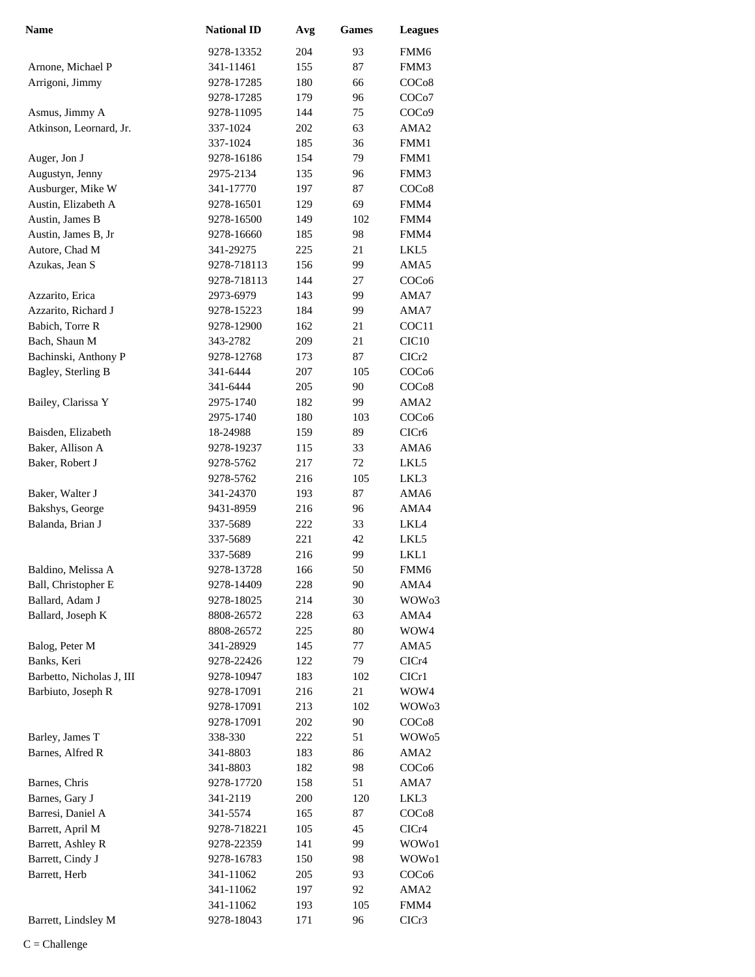| <b>Name</b>               | <b>National ID</b> | Avg | <b>Games</b> | <b>Leagues</b>     |
|---------------------------|--------------------|-----|--------------|--------------------|
|                           | 9278-13352         | 204 | 93           | FMM <sub>6</sub>   |
| Arnone, Michael P         | 341-11461          | 155 | 87           | FMM3               |
| Arrigoni, Jimmy           | 9278-17285         | 180 | 66           | COC <sub>08</sub>  |
|                           | 9278-17285         | 179 | 96           | COC <sub>o</sub> 7 |
| Asmus, Jimmy A            | 9278-11095         | 144 | 75           | COC <sub>09</sub>  |
| Atkinson, Leornard, Jr.   | 337-1024           | 202 | 63           | AMA <sub>2</sub>   |
|                           | 337-1024           | 185 | 36           | FMM1               |
| Auger, Jon J              | 9278-16186         | 154 | 79           | FMM1               |
| Augustyn, Jenny           | 2975-2134          | 135 | 96           | FMM3               |
| Ausburger, Mike W         | 341-17770          | 197 | 87           | COC <sub>08</sub>  |
| Austin, Elizabeth A       | 9278-16501         | 129 | 69           | FMM4               |
| Austin, James B           | 9278-16500         | 149 | 102          | FMM4               |
| Austin, James B, Jr       | 9278-16660         | 185 | 98           | FMM4               |
| Autore, Chad M            | 341-29275          | 225 | 21           | LKL5               |
| Azukas, Jean S            | 9278-718113        | 156 | 99           | AMA5               |
|                           | 9278-718113        | 144 | 27           | COC <sub>06</sub>  |
| Azzarito, Erica           | 2973-6979          | 143 | 99           | AMA7               |
| Azzarito, Richard J       | 9278-15223         | 184 | 99           | AMA7               |
| Babich, Torre R           | 9278-12900         | 162 | 21           | COC11              |
| Bach, Shaun M             | 343-2782           | 209 | 21           | CIC <sub>10</sub>  |
| Bachinski, Anthony P      | 9278-12768         | 173 | 87           | CICr2              |
| Bagley, Sterling B        | 341-6444           | 207 | 105          | COC <sub>06</sub>  |
|                           | 341-6444           | 205 | 90           | COC <sub>08</sub>  |
| Bailey, Clarissa Y        | 2975-1740          | 182 | 99           | AMA <sub>2</sub>   |
|                           | 2975-1740          | 180 | 103          | COC <sub>06</sub>  |
| Baisden, Elizabeth        | 18-24988           | 159 | 89           | CICr6              |
| Baker, Allison A          | 9278-19237         | 115 | 33           | AMA6               |
| Baker, Robert J           | 9278-5762          | 217 | 72           | LKL5               |
|                           | 9278-5762          | 216 | 105          | LKL3               |
| Baker, Walter J           | 341-24370          | 193 | 87           | AMA6               |
| Bakshys, George           | 9431-8959          | 216 | 96           | AMA4               |
| Balanda, Brian J          | 337-5689           | 222 | 33           | LKL4               |
|                           | 337-5689           | 221 | 42           | LKL5               |
|                           | 337-5689           | 216 | 99           | LKL1               |
| Baldino, Melissa A        | 9278-13728         | 166 | 50           | FMM6               |
| Ball, Christopher E       | 9278-14409         | 228 | 90           | AMA4               |
| Ballard, Adam J           | 9278-18025         | 214 | 30           | WOW <sub>03</sub>  |
| Ballard, Joseph K         | 8808-26572         | 228 | 63           | AMA4               |
|                           | 8808-26572         | 225 | 80           | WOW4               |
| Balog, Peter M            | 341-28929          | 145 | 77           | AMA5               |
| Banks, Keri               | 9278-22426         | 122 | 79           | CICr4              |
| Barbetto, Nicholas J, III | 9278-10947         | 183 | 102          | CICr1              |
| Barbiuto, Joseph R        | 9278-17091         | 216 | 21           | WOW4               |
|                           | 9278-17091         | 213 | 102          | WOW <sub>03</sub>  |
|                           | 9278-17091         | 202 | 90           | COC <sub>08</sub>  |
| Barley, James T           | 338-330            | 222 | 51           | WOW <sub>05</sub>  |
| Barnes, Alfred R          | 341-8803           | 183 | 86           | AMA2               |
|                           | 341-8803           | 182 | 98           | COC <sub>06</sub>  |
| Barnes, Chris             | 9278-17720         | 158 | 51           | AMA7               |
| Barnes, Gary J            | 341-2119           | 200 | 120          | LKL3               |
| Barresi, Daniel A         | 341-5574           | 165 | 87           | COC <sub>08</sub>  |
| Barrett, April M          | 9278-718221        | 105 | 45           | CICr4              |
| Barrett, Ashley R         | 9278-22359         | 141 | 99           | WOW01              |
| Barrett, Cindy J          | 9278-16783         | 150 | 98           | WOW01              |
| Barrett, Herb             | 341-11062          | 205 | 93           | COC <sub>06</sub>  |
|                           | 341-11062          | 197 | 92           | AMA2               |
|                           | 341-11062          | 193 | 105          | FMM4               |
| Barrett, Lindsley M       | 9278-18043         | 171 | 96           | CICr3              |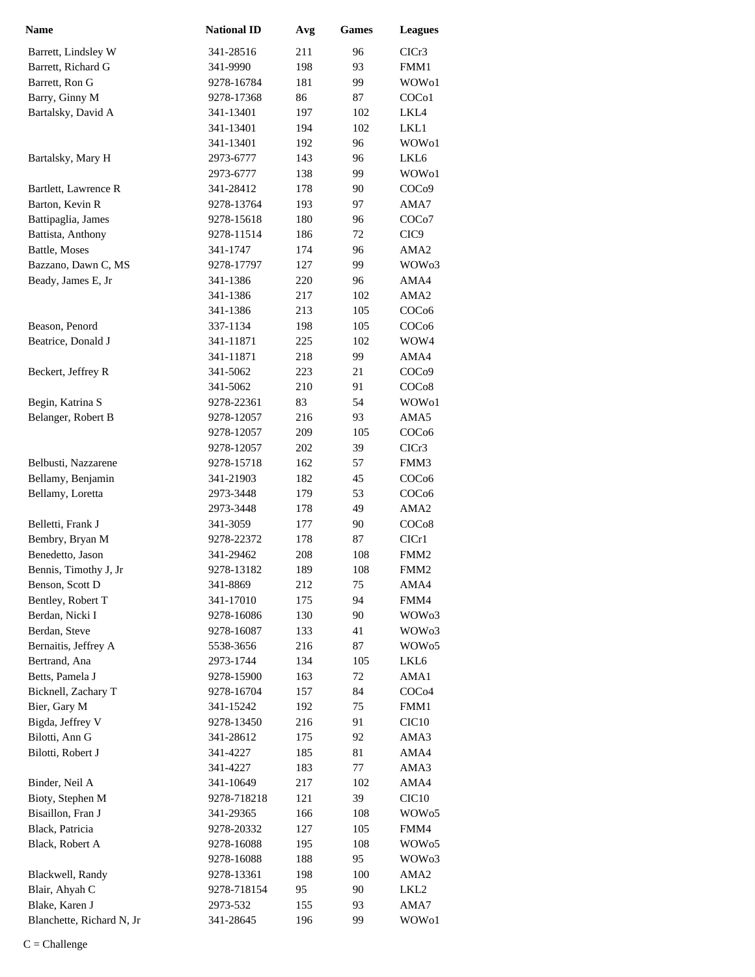| <b>Name</b>               | <b>National ID</b> | Avg | <b>Games</b> | <b>Leagues</b>     |
|---------------------------|--------------------|-----|--------------|--------------------|
| Barrett, Lindsley W       | 341-28516          | 211 | 96           | CICr3              |
| Barrett, Richard G        | 341-9990           | 198 | 93           | FMM1               |
| Barrett, Ron G            | 9278-16784         | 181 | 99           | WOW <sub>o1</sub>  |
| Barry, Ginny M            | 9278-17368         | 86  | 87           | COC <sub>o</sub> 1 |
| Bartalsky, David A        | 341-13401          | 197 | 102          | LKL4               |
|                           | 341-13401          | 194 | 102          | LKL1               |
|                           | 341-13401          | 192 | 96           | WOW <sub>o1</sub>  |
| Bartalsky, Mary H         | 2973-6777          | 143 | 96           | LKL <sub>6</sub>   |
|                           | 2973-6777          | 138 | 99           | WOW <sub>o1</sub>  |
| Bartlett, Lawrence R      | 341-28412          | 178 | 90           | COC <sub>09</sub>  |
| Barton, Kevin R           | 9278-13764         | 193 | 97           | AMA7               |
| Battipaglia, James        | 9278-15618         | 180 | 96           | COC <sub>o</sub> 7 |
| Battista, Anthony         | 9278-11514         | 186 | 72           | CIC <sub>9</sub>   |
| Battle, Moses             | 341-1747           | 174 | 96           | AMA <sub>2</sub>   |
| Bazzano, Dawn C, MS       | 9278-17797         | 127 | 99           | WOW <sub>03</sub>  |
| Beady, James E, Jr        | 341-1386           | 220 | 96           | AMA4               |
|                           | 341-1386           | 217 | 102          | AMA <sub>2</sub>   |
|                           | 341-1386           | 213 | 105          | COC <sub>06</sub>  |
| Beason, Penord            | 337-1134           | 198 | 105          | COC <sub>06</sub>  |
| Beatrice, Donald J        | 341-11871          | 225 | 102          | WOW4               |
|                           | 341-11871          | 218 | 99           | AMA4               |
| Beckert, Jeffrey R        | 341-5062           | 223 | 21           | COC <sub>09</sub>  |
|                           | 341-5062           | 210 | 91           | COC <sub>08</sub>  |
| Begin, Katrina S          | 9278-22361         | 83  | 54           | WOW01              |
| Belanger, Robert B        | 9278-12057         | 216 | 93           | AMA5               |
|                           | 9278-12057         | 209 | 105          | COC <sub>06</sub>  |
|                           | 9278-12057         | 202 | 39           | CICr3              |
| Belbusti, Nazzarene       | 9278-15718         | 162 | 57           | FMM3               |
| Bellamy, Benjamin         | 341-21903          | 182 | 45           | COC <sub>06</sub>  |
| Bellamy, Loretta          | 2973-3448          | 179 | 53           | COC <sub>06</sub>  |
|                           | 2973-3448          | 178 | 49           | AMA <sub>2</sub>   |
| Belletti, Frank J         | 341-3059           | 177 | 90           | COC <sub>08</sub>  |
| Bembry, Bryan M           | 9278-22372         | 178 | 87           | ClCr1              |
| Benedetto, Jason          | 341-29462          | 208 | 108          | FMM <sub>2</sub>   |
| Bennis, Timothy J, Jr     | 9278-13182         | 189 | 108          | FMM <sub>2</sub>   |
| Benson, Scott D           | 341-8869           | 212 | 75           | AMA4               |
| Bentley, Robert T         | 341-17010          | 175 | 94           | FMM4               |
| Berdan, Nicki I           | 9278-16086         | 130 | 90           | WOW <sub>03</sub>  |
| Berdan, Steve             | 9278-16087         | 133 | 41           | WOW <sub>03</sub>  |
| Bernaitis, Jeffrey A      | 5538-3656          | 216 | 87           | WOW <sub>05</sub>  |
| Bertrand, Ana             | 2973-1744          | 134 | 105          | LKL6               |
| Betts, Pamela J           | 9278-15900         | 163 | 72           | AMA1               |
| Bicknell, Zachary T       | 9278-16704         | 157 | 84           | COC <sub>04</sub>  |
| Bier, Gary M              | 341-15242          | 192 | 75           | FMM1               |
| Bigda, Jeffrey V          | 9278-13450         | 216 | 91           | CIC <sub>10</sub>  |
| Bilotti, Ann G            | 341-28612          | 175 | 92           | AMA3               |
| Bilotti, Robert J         | 341-4227           | 185 | 81           | AMA4               |
|                           | 341-4227           | 183 | 77           | AMA3               |
| Binder, Neil A            | 341-10649          | 217 | 102          | AMA4               |
| Bioty, Stephen M          | 9278-718218        | 121 | 39           | CIC <sub>10</sub>  |
| Bisaillon, Fran J         | 341-29365          | 166 | 108          | WOW <sub>05</sub>  |
| Black, Patricia           | 9278-20332         | 127 | 105          | FMM4               |
| Black, Robert A           | 9278-16088         | 195 | 108          | WOW <sub>05</sub>  |
|                           | 9278-16088         | 188 | 95           | WOW <sub>03</sub>  |
| Blackwell, Randy          | 9278-13361         | 198 | 100          | AMA <sub>2</sub>   |
| Blair, Ahyah C            | 9278-718154        | 95  | 90           | LKL2               |
| Blake, Karen J            | 2973-532           | 155 | 93           | AMA7               |
| Blanchette, Richard N, Jr | 341-28645          | 196 | 99           | WOW01              |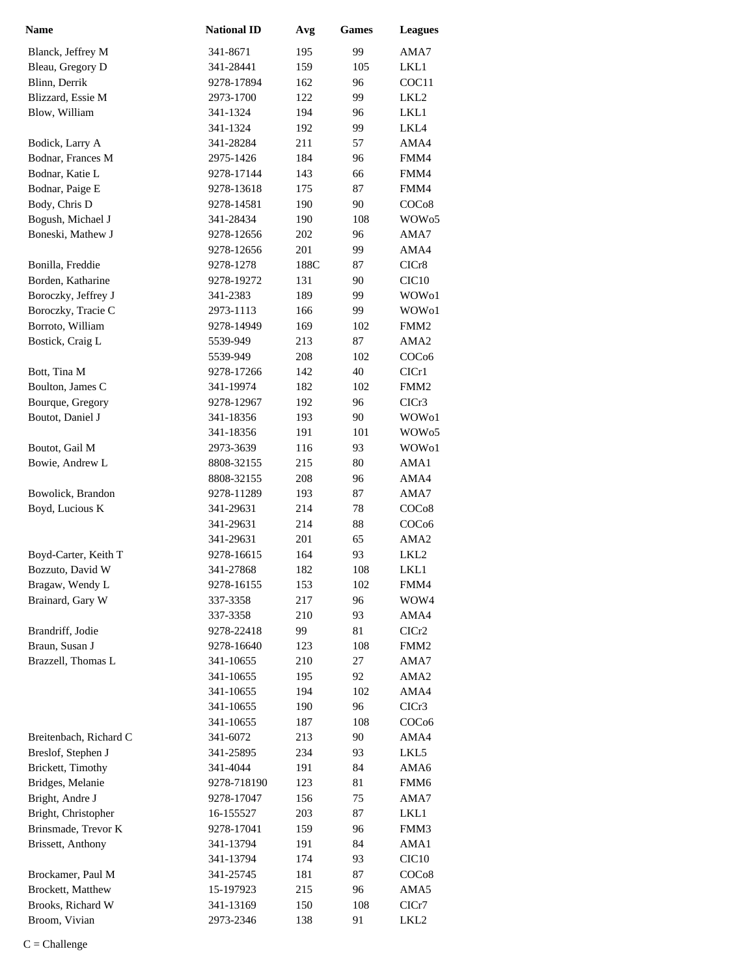| Name                   | <b>National ID</b> | Avg  | <b>Games</b> | <b>Leagues</b>     |
|------------------------|--------------------|------|--------------|--------------------|
| Blanck, Jeffrey M      | 341-8671           | 195  | 99           | AMA7               |
| Bleau, Gregory D       | 341-28441          | 159  | 105          | LKL1               |
| Blinn, Derrik          | 9278-17894         | 162  | 96           | COC11              |
| Blizzard, Essie M      | 2973-1700          | 122  | 99           | LKL <sub>2</sub>   |
| Blow, William          | 341-1324           | 194  | 96           | LKL1               |
|                        | 341-1324           | 192  | 99           | LKL4               |
| Bodick, Larry A        | 341-28284          | 211  | 57           | AMA4               |
| Bodnar, Frances M      | 2975-1426          | 184  | 96           | FMM4               |
| Bodnar, Katie L        | 9278-17144         | 143  | 66           | FMM4               |
| Bodnar, Paige E        | 9278-13618         | 175  | 87           | FMM4               |
| Body, Chris D          | 9278-14581         | 190  | 90           | COC <sub>o</sub> 8 |
| Bogush, Michael J      | 341-28434          | 190  | 108          | WOW <sub>05</sub>  |
| Boneski, Mathew J      | 9278-12656         | 202  | 96           | AMA7               |
|                        | 9278-12656         | 201  | 99           | AMA4               |
| Bonilla, Freddie       | 9278-1278          | 188C | 87           | CICr8              |
| Borden, Katharine      | 9278-19272         | 131  | 90           | CIC <sub>10</sub>  |
| Boroczky, Jeffrey J    | 341-2383           | 189  | 99           | WOW01              |
| Boroczky, Tracie C     | 2973-1113          | 166  | 99           | WOW01              |
| Borroto, William       | 9278-14949         | 169  | 102          | FMM <sub>2</sub>   |
| Bostick, Craig L       | 5539-949           | 213  | 87           | AMA2               |
|                        | 5539-949           | 208  | 102          | COC <sub>06</sub>  |
| Bott, Tina M           | 9278-17266         | 142  | 40           | CICr1              |
| Boulton, James C       | 341-19974          | 182  | 102          | FMM <sub>2</sub>   |
| Bourque, Gregory       | 9278-12967         | 192  | 96           | CICr3              |
| Boutot, Daniel J       | 341-18356          | 193  | 90           | WOW01              |
|                        | 341-18356          | 191  | 101          | WOW <sub>05</sub>  |
| Boutot, Gail M         | 2973-3639          | 116  | 93           | WOW01              |
| Bowie, Andrew L        | 8808-32155         | 215  | 80           | AMA1               |
|                        | 8808-32155         | 208  | 96           | AMA4               |
| Bowolick, Brandon      | 9278-11289         | 193  | 87           | AMA7               |
| Boyd, Lucious K        | 341-29631          | 214  | 78           | COC <sub>08</sub>  |
|                        | 341-29631          | 214  | 88           | COC <sub>06</sub>  |
|                        | 341-29631          | 201  | 65           | AMA <sub>2</sub>   |
| Boyd-Carter, Keith T   | 9278-16615         | 164  | 93           | LKL2               |
| Bozzuto, David W       | 341-27868          | 182  | 108          | LKL1               |
| Bragaw, Wendy L        | 9278-16155         | 153  | 102          | FMM4               |
| Brainard, Gary W       | 337-3358           | 217  | 96           | WOW4               |
|                        | 337-3358           | 210  | 93           | AMA4               |
| Brandriff, Jodie       | 9278-22418         | 99   | 81           | CICr <sub>2</sub>  |
| Braun, Susan J         | 9278-16640         | 123  | 108          | FMM <sub>2</sub>   |
| Brazzell, Thomas L     | 341-10655          | 210  | 27           | AMA7               |
|                        | 341-10655          | 195  | 92           | AMA <sub>2</sub>   |
|                        | 341-10655          | 194  | 102          | AMA4               |
|                        | 341-10655          | 190  | 96           | CICr3              |
|                        | 341-10655          | 187  | 108          | COC <sub>06</sub>  |
| Breitenbach, Richard C | 341-6072           | 213  | 90           | AMA4               |
| Breslof, Stephen J     | 341-25895          | 234  | 93           | LKL5               |
|                        |                    |      |              |                    |
| Brickett, Timothy      | 341-4044           | 191  | 84           | AMA6               |
| Bridges, Melanie       | 9278-718190        | 123  | 81           | FMM6               |
| Bright, Andre J        | 9278-17047         | 156  | 75           | AMA7               |
| Bright, Christopher    | 16-155527          | 203  | 87           | LKL1               |
| Brinsmade, Trevor K    | 9278-17041         | 159  | 96           | FMM3               |
| Brissett, Anthony      | 341-13794          | 191  | 84           | AMA1               |
|                        | 341-13794          | 174  | 93           | CIC <sub>10</sub>  |
| Brockamer, Paul M      | 341-25745          | 181  | 87           | COC <sub>08</sub>  |
| Brockett, Matthew      | 15-197923          | 215  | 96           | AMA5               |
| Brooks, Richard W      | 341-13169          | 150  | 108          | ClCr7              |
| Broom, Vivian          | 2973-2346          | 138  | 91           | LKL2               |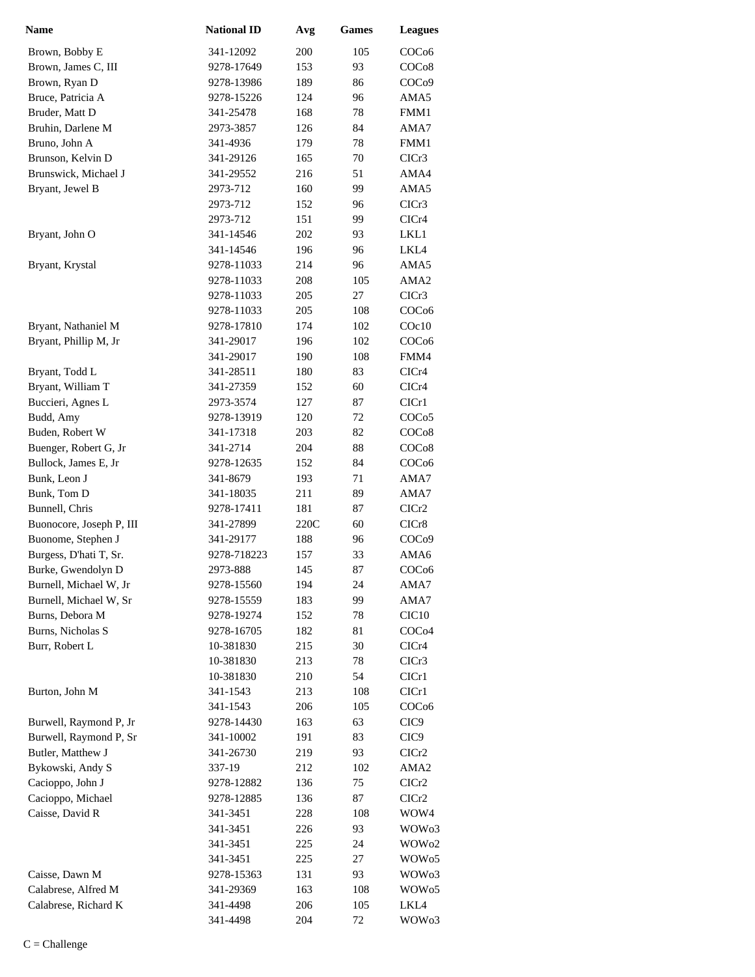| <b>Name</b>              | <b>National ID</b> | Avg  | <b>Games</b> | <b>Leagues</b>    |
|--------------------------|--------------------|------|--------------|-------------------|
| Brown, Bobby E           | 341-12092          | 200  | 105          | COC <sub>06</sub> |
| Brown, James C, III      | 9278-17649         | 153  | 93           | COC <sub>08</sub> |
| Brown, Ryan D            | 9278-13986         | 189  | 86           | COC <sub>09</sub> |
| Bruce, Patricia A        | 9278-15226         | 124  | 96           | AMA5              |
| Bruder, Matt D           | 341-25478          | 168  | 78           | FMM1              |
| Bruhin, Darlene M        | 2973-3857          | 126  | 84           | AMA7              |
| Bruno, John A            | 341-4936           | 179  | 78           | FMM1              |
| Brunson, Kelvin D        | 341-29126          | 165  | 70           | CICr3             |
| Brunswick, Michael J     | 341-29552          | 216  | 51           | AMA4              |
| Bryant, Jewel B          | 2973-712           | 160  | 99           | AMA5              |
|                          | 2973-712           | 152  | 96           | CICr <sub>3</sub> |
|                          | 2973-712           | 151  | 99           | CICr4             |
| Bryant, John O           | 341-14546          | 202  | 93           | LKL1              |
|                          | 341-14546          | 196  | 96           | LKL4              |
| Bryant, Krystal          | 9278-11033         | 214  | 96           | AMA5              |
|                          | 9278-11033         | 208  | 105          | AMA <sub>2</sub>  |
|                          | 9278-11033         | 205  | 27           | CICr3             |
|                          | 9278-11033         | 205  | 108          | COC <sub>06</sub> |
| Bryant, Nathaniel M      | 9278-17810         | 174  | 102          | COc10             |
| Bryant, Phillip M, Jr    | 341-29017          | 196  | 102          | COC <sub>06</sub> |
|                          | 341-29017          | 190  | 108          | FMM4              |
| Bryant, Todd L           | 341-28511          | 180  | 83           | CICr4             |
| Bryant, William T        | 341-27359          | 152  | 60           | CICr4             |
| Buccieri, Agnes L        | 2973-3574          | 127  | 87           | CIC <sub>r1</sub> |
| Budd, Amy                | 9278-13919         | 120  | 72           | COC <sub>05</sub> |
| Buden, Robert W          | 341-17318          | 203  | 82           | COC <sub>08</sub> |
| Buenger, Robert G, Jr    | 341-2714           | 204  | 88           | COC <sub>08</sub> |
| Bullock, James E, Jr     | 9278-12635         | 152  | 84           | COC <sub>06</sub> |
| Bunk, Leon J             | 341-8679           | 193  | 71           | AMA7              |
| Bunk, Tom D              | 341-18035          | 211  | 89           | AMA7              |
| Bunnell, Chris           | 9278-17411         | 181  | 87           | ClCr2             |
| Buonocore, Joseph P, III | 341-27899          | 220C | 60           | CICr8             |
| Buonome, Stephen J       | 341-29177          | 188  | 96           | COC <sub>09</sub> |
| Burgess, D'hati T, Sr.   | 9278-718223        | 157  | 33           | AMA6              |
| Burke, Gwendolyn D       | 2973-888           | 145  | 87           | COC <sub>06</sub> |
| Burnell, Michael W, Jr   | 9278-15560         | 194  | 24           | AMA7              |
| Burnell, Michael W, Sr   | 9278-15559         | 183  | 99           | AMA7              |
| Burns, Debora M          | 9278-19274         | 152  | 78           | CIC <sub>10</sub> |
| Burns, Nicholas S        | 9278-16705         | 182  | 81           | COC <sub>04</sub> |
| Burr, Robert L           | 10-381830          | 215  | 30           | CICr4             |
|                          | 10-381830          | 213  | 78           | CICr <sub>3</sub> |
|                          | 10-381830          | 210  | 54           | ClCr1             |
| Burton, John M           | 341-1543           | 213  | 108          | CIC <sub>r1</sub> |
|                          | 341-1543           | 206  | 105          | COC <sub>06</sub> |
| Burwell, Raymond P, Jr   | 9278-14430         | 163  | 63           | CIC <sub>9</sub>  |
| Burwell, Raymond P, Sr   | 341-10002          | 191  | 83           | CIC <sub>9</sub>  |
| Butler, Matthew J        | 341-26730          | 219  | 93           | CICr2             |
| Bykowski, Andy S         | 337-19             | 212  | 102          | AMA <sub>2</sub>  |
| Cacioppo, John J         | 9278-12882         | 136  | 75           | CICr2             |
| Cacioppo, Michael        | 9278-12885         | 136  | 87           | CICr2             |
| Caisse, David R          | 341-3451           | 228  | 108          | WOW4              |
|                          | 341-3451           | 226  | 93           | WOW <sub>03</sub> |
|                          | 341-3451           | 225  | 24           | WOW <sub>02</sub> |
|                          | 341-3451           | 225  | 27           | WOW <sub>05</sub> |
| Caisse, Dawn M           | 9278-15363         | 131  | 93           | WOW <sub>03</sub> |
| Calabrese, Alfred M      | 341-29369          | 163  | 108          | WOW <sub>05</sub> |
| Calabrese, Richard K     | 341-4498           | 206  | 105          | LKL4              |
|                          | 341-4498           | 204  | 72           | WOW <sub>03</sub> |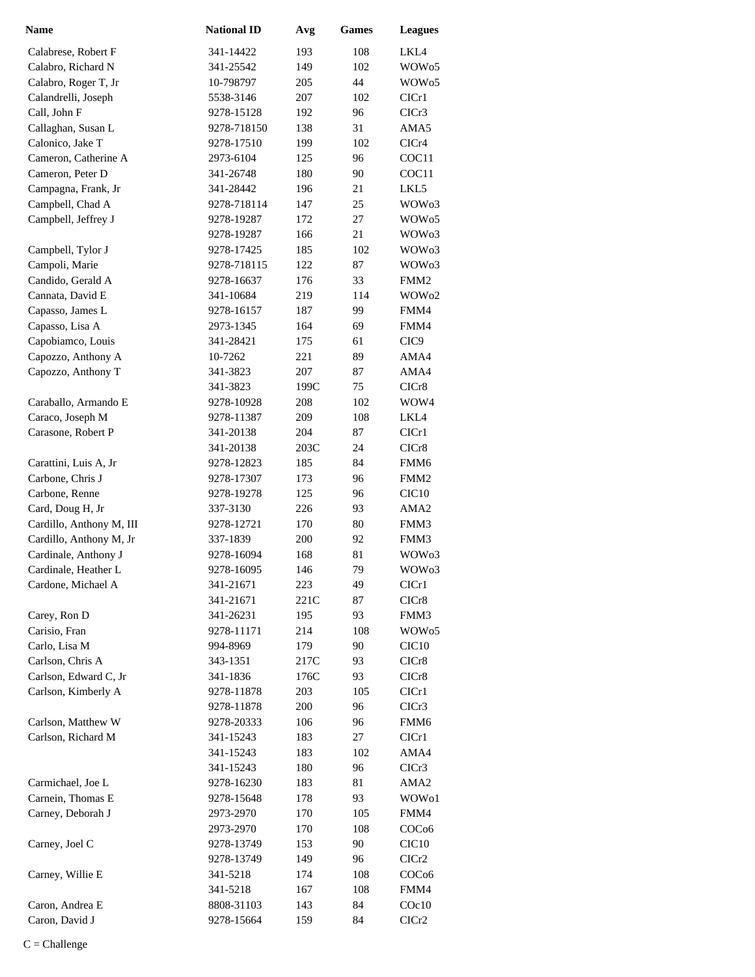| <b>Name</b>              | <b>National ID</b> | Avg  | Games | <b>Leagues</b>    |
|--------------------------|--------------------|------|-------|-------------------|
| Calabrese, Robert F      | 341-14422          | 193  | 108   | LKL4              |
| Calabro, Richard N       | 341-25542          | 149  | 102   | WOW <sub>05</sub> |
| Calabro, Roger T, Jr     | 10-798797          | 205  | 44    | WOW <sub>05</sub> |
| Calandrelli, Joseph      | 5538-3146          | 207  | 102   | CICr1             |
| Call, John F             | 9278-15128         | 192  | 96    | CICr3             |
| Callaghan, Susan L       | 9278-718150        | 138  | 31    | AMA5              |
| Calonico, Jake T         | 9278-17510         | 199  | 102   | CICr4             |
| Cameron, Catherine A     | 2973-6104          | 125  | 96    | COC11             |
| Cameron, Peter D         | 341-26748          | 180  | 90    | COC11             |
| Campagna, Frank, Jr      | 341-28442          | 196  | 21    | LKL5              |
| Campbell, Chad A         | 9278-718114        | 147  | 25    | WOW <sub>03</sub> |
| Campbell, Jeffrey J      | 9278-19287         | 172  | 27    | WOW <sub>05</sub> |
|                          | 9278-19287         | 166  | 21    | WOW <sub>03</sub> |
| Campbell, Tylor J        | 9278-17425         | 185  | 102   | WOW <sub>03</sub> |
| Campoli, Marie           | 9278-718115        | 122  | 87    | WOW <sub>03</sub> |
| Candido, Gerald A        | 9278-16637         | 176  | 33    | FMM <sub>2</sub>  |
| Cannata, David E         | 341-10684          | 219  | 114   | WOW <sub>02</sub> |
| Capasso, James L         | 9278-16157         | 187  | 99    | FMM4              |
| Capasso, Lisa A          | 2973-1345          | 164  | 69    | FMM4              |
| Capobiamco, Louis        | 341-28421          | 175  | 61    | CIC <sub>9</sub>  |
| Capozzo, Anthony A       | 10-7262            | 221  | 89    | AMA4              |
| Capozzo, Anthony T       | 341-3823           | 207  | 87    | AMA4              |
|                          | 341-3823           | 199C | 75    | CICr8             |
| Caraballo, Armando E     | 9278-10928         | 208  | 102   | WOW4              |
| Caraco, Joseph M         | 9278-11387         | 209  | 108   | LKL4              |
| Carasone, Robert P       | 341-20138          | 204  | 87    | CICr1             |
|                          | 341-20138          | 203C | 24    | CICr8             |
| Carattini, Luis A, Jr    | 9278-12823         | 185  | 84    | FMM <sub>6</sub>  |
| Carbone, Chris J         | 9278-17307         | 173  | 96    | FMM <sub>2</sub>  |
| Carbone, Renne           | 9278-19278         | 125  | 96    | CIC <sub>10</sub> |
| Card, Doug H, Jr         | 337-3130           | 226  | 93    | AMA <sub>2</sub>  |
| Cardillo, Anthony M, III | 9278-12721         | 170  | 80    | FMM3              |
| Cardillo, Anthony M, Jr  | 337-1839           | 200  | 92    | FMM3              |
| Cardinale, Anthony J     | 9278-16094         | 168  | 81    | WOW <sub>03</sub> |
| Cardinale, Heather L     | 9278-16095         | 146  | 79    | WOW <sub>03</sub> |
| Cardone, Michael A       | 341-21671          | 223  | 49    | CICr1             |
|                          | 341-21671          | 221C | 87    | CICr8             |
| Carey, Ron D             | 341-26231          | 195  | 93    | FMM3              |
| Carisio, Fran            | 9278-11171         | 214  | 108   | WOW <sub>05</sub> |
| Carlo, Lisa M            | 994-8969           | 179  | 90    | CIC <sub>10</sub> |
| Carlson, Chris A         | 343-1351           | 217C | 93    | CICr8             |
| Carlson, Edward C, Jr    | 341-1836           | 176C | 93    | CICr8             |
| Carlson, Kimberly A      | 9278-11878         | 203  | 105   | ClCr1             |
|                          | 9278-11878         | 200  | 96    | CICr3             |
| Carlson, Matthew W       | 9278-20333         | 106  | 96    | FMM6              |
| Carlson, Richard M       | 341-15243          | 183  | 27    | ClCr1             |
|                          | 341-15243          | 183  | 102   | AMA4              |
|                          | 341-15243          | 180  | 96    | CICr3             |
| Carmichael, Joe L        | 9278-16230         | 183  | 81    | AMA <sub>2</sub>  |
| Carnein, Thomas E        | 9278-15648         | 178  | 93    | WOW01             |
| Carney, Deborah J        | 2973-2970          | 170  | 105   | FMM4              |
|                          | 2973-2970          | 170  | 108   | COC <sub>06</sub> |
| Carney, Joel C           | 9278-13749         | 153  | 90    | CIC <sub>10</sub> |
|                          | 9278-13749         | 149  | 96    | ClCr2             |
| Carney, Willie E         | 341-5218           | 174  | 108   | COC <sub>06</sub> |
|                          | 341-5218           | 167  | 108   | FMM4              |
| Caron, Andrea E          | 8808-31103         | 143  | 84    | $C$ Oc $10$       |
| Caron, David J           | 9278-15664         | 159  | 84    | ClCr2             |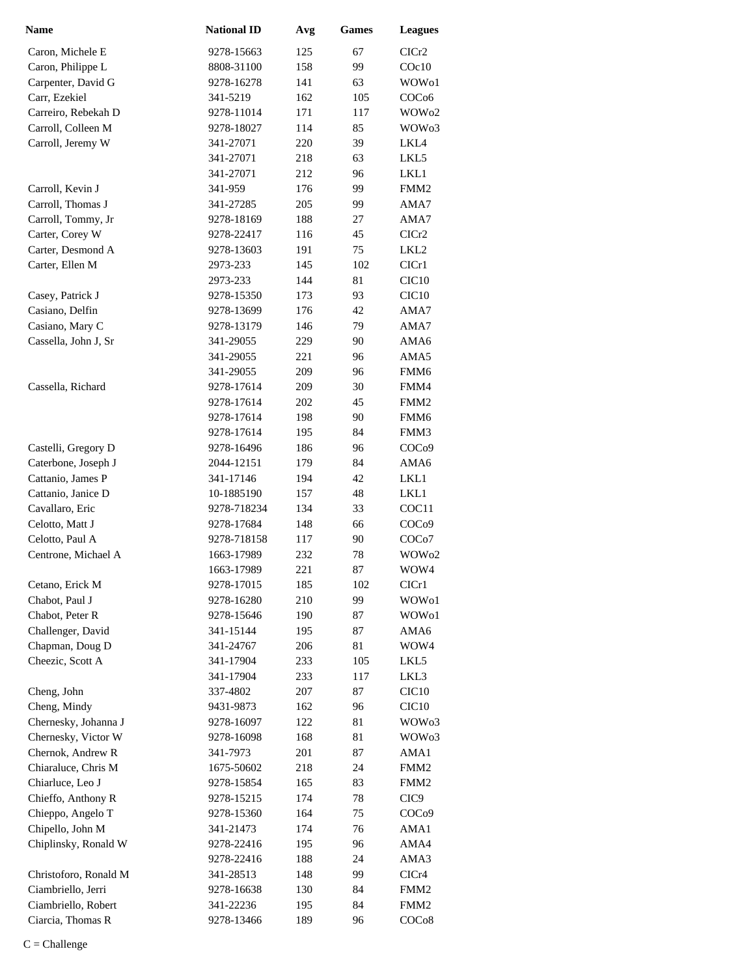| Name                  | <b>National ID</b> | Avg | <b>Games</b> | <b>Leagues</b>    |
|-----------------------|--------------------|-----|--------------|-------------------|
| Caron, Michele E      | 9278-15663         | 125 | 67           | CICr <sub>2</sub> |
| Caron, Philippe L     | 8808-31100         | 158 | 99           | COc10             |
| Carpenter, David G    | 9278-16278         | 141 | 63           | WOW <sub>o1</sub> |
| Carr, Ezekiel         | 341-5219           | 162 | 105          | COC <sub>06</sub> |
| Carreiro, Rebekah D   | 9278-11014         | 171 | 117          | WOW <sub>02</sub> |
| Carroll, Colleen M    | 9278-18027         | 114 | 85           | WOW <sub>03</sub> |
| Carroll, Jeremy W     | 341-27071          | 220 | 39           | LKL4              |
|                       | 341-27071          | 218 | 63           | LKL5              |
|                       | 341-27071          | 212 | 96           | LKL1              |
| Carroll, Kevin J      | 341-959            | 176 | 99           | FMM <sub>2</sub>  |
| Carroll, Thomas J     | 341-27285          | 205 | 99           | AMA7              |
| Carroll, Tommy, Jr    | 9278-18169         | 188 | 27           | AMA7              |
| Carter, Corey W       | 9278-22417         | 116 | 45           | CICr <sub>2</sub> |
| Carter, Desmond A     | 9278-13603         | 191 | 75           | LKL2              |
| Carter, Ellen M       | 2973-233           | 145 | 102          | CICr1             |
|                       | 2973-233           | 144 | 81           | CIC <sub>10</sub> |
| Casey, Patrick J      | 9278-15350         | 173 | 93           | CIC <sub>10</sub> |
| Casiano, Delfin       | 9278-13699         | 176 | 42           | AMA7              |
| Casiano, Mary C       | 9278-13179         | 146 | 79           | AMA7              |
| Cassella, John J, Sr  | 341-29055          | 229 | 90           | AMA6              |
|                       | 341-29055          | 221 | 96           | AMA5              |
|                       | 341-29055          | 209 | 96           | FMM6              |
| Cassella, Richard     | 9278-17614         | 209 | 30           | FMM4              |
|                       | 9278-17614         | 202 | 45           | FMM <sub>2</sub>  |
|                       | 9278-17614         | 198 | 90           | FMM <sub>6</sub>  |
|                       | 9278-17614         | 195 | 84           | FMM3              |
| Castelli, Gregory D   | 9278-16496         | 186 | 96           | COC <sub>09</sub> |
| Caterbone, Joseph J   | 2044-12151         | 179 | 84           | AMA6              |
| Cattanio, James P     | 341-17146          | 194 | 42           | LKL1              |
| Cattanio, Janice D    | 10-1885190         | 157 | 48           | LKL1              |
| Cavallaro, Eric       | 9278-718234        | 134 | 33           | COC <sub>11</sub> |
| Celotto, Matt J       | 9278-17684         | 148 | 66           | COC <sub>09</sub> |
| Celotto, Paul A       | 9278-718158        | 117 | 90           | COCo7             |
| Centrone, Michael A   | 1663-17989         | 232 | 78           | WOW <sub>02</sub> |
|                       | 1663-17989         | 221 | 87           | WOW4              |
| Cetano, Erick M       | 9278-17015         | 185 | 102          | CICr1             |
| Chabot, Paul J        | 9278-16280         | 210 | 99           | WOW01             |
| Chabot, Peter R       | 9278-15646         | 190 | 87           | WOW01             |
| Challenger, David     | 341-15144          | 195 | 87           | AMA6              |
| Chapman, Doug D       | 341-24767          | 206 | 81           | WOW4              |
| Cheezic, Scott A      | 341-17904          | 233 | 105          | LKL5              |
|                       | 341-17904          | 233 | 117          | LKL3              |
| Cheng, John           | 337-4802           | 207 | 87           | CIC <sub>10</sub> |
| Cheng, Mindy          | 9431-9873          | 162 | 96           | CIC <sub>10</sub> |
| Chernesky, Johanna J  | 9278-16097         | 122 | 81           | WOW <sub>03</sub> |
| Chernesky, Victor W   | 9278-16098         | 168 | 81           | WOW <sub>03</sub> |
| Chernok, Andrew R     | 341-7973           | 201 | 87           | AMA1              |
| Chiaraluce, Chris M   | 1675-50602         | 218 | 24           | FMM <sub>2</sub>  |
| Chiarluce, Leo J      | 9278-15854         | 165 | 83           | FMM <sub>2</sub>  |
| Chieffo, Anthony R    | 9278-15215         | 174 | 78           | CIC <sub>9</sub>  |
| Chieppo, Angelo T     | 9278-15360         | 164 | 75           | COC <sub>09</sub> |
| Chipello, John M      | 341-21473          | 174 | 76           | AMA1              |
| Chiplinsky, Ronald W  | 9278-22416         | 195 | 96           | AMA4              |
|                       | 9278-22416         | 188 | 24           | AMA3              |
| Christoforo, Ronald M | 341-28513          | 148 | 99           | CICr4             |
| Ciambriello, Jerri    | 9278-16638         | 130 | 84           | FMM <sub>2</sub>  |
| Ciambriello, Robert   | 341-22236          | 195 | 84           | FMM <sub>2</sub>  |
| Ciarcia, Thomas R     | 9278-13466         | 189 | 96           | COC <sub>08</sub> |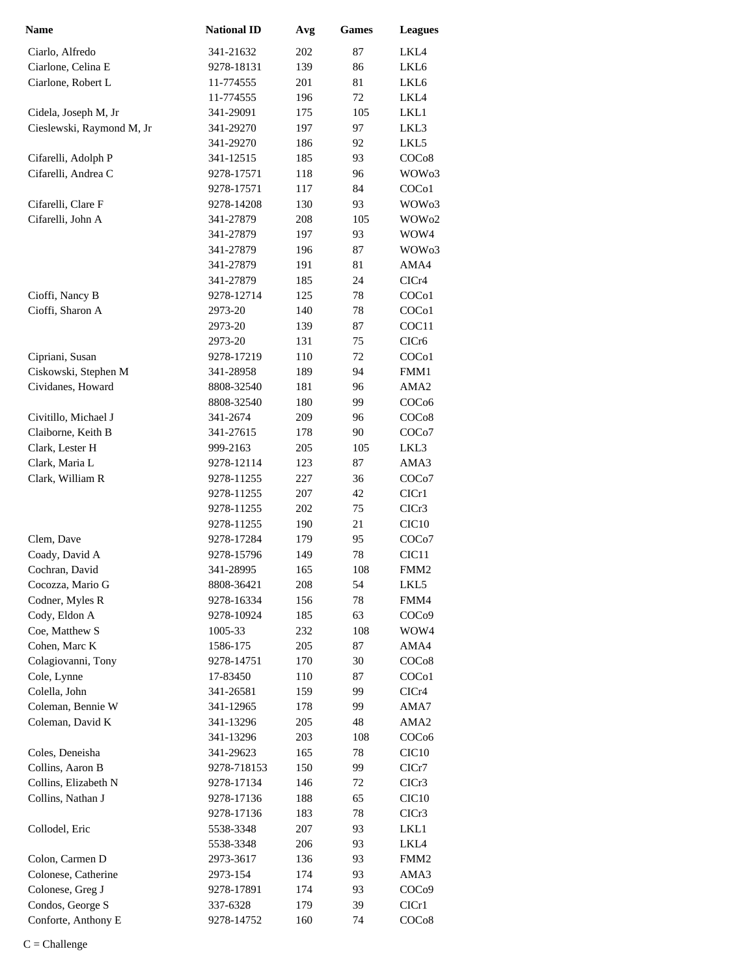| Name                      | <b>National ID</b> | Avg | <b>Games</b> | <b>Leagues</b>     |
|---------------------------|--------------------|-----|--------------|--------------------|
| Ciarlo, Alfredo           | 341-21632          | 202 | 87           | LKL4               |
| Ciarlone, Celina E        | 9278-18131         | 139 | 86           | LKL6               |
| Ciarlone, Robert L        | 11-774555          | 201 | 81           | LKL6               |
|                           | 11-774555          | 196 | 72           | LKL4               |
| Cidela, Joseph M, Jr      | 341-29091          | 175 | 105          | LKL1               |
| Cieslewski, Raymond M, Jr | 341-29270          | 197 | 97           | LKL3               |
|                           | 341-29270          | 186 | 92           | LKL5               |
| Cifarelli, Adolph P       | 341-12515          | 185 | 93           | COC <sub>08</sub>  |
| Cifarelli, Andrea C       | 9278-17571         | 118 | 96           | WOW <sub>03</sub>  |
|                           | 9278-17571         | 117 | 84           | COC <sub>o</sub> 1 |
| Cifarelli, Clare F        | 9278-14208         | 130 | 93           | WOW <sub>03</sub>  |
| Cifarelli, John A         | 341-27879          | 208 | 105          | WOW <sub>02</sub>  |
|                           | 341-27879          | 197 | 93           | WOW4               |
|                           | 341-27879          | 196 | 87           | WOW <sub>03</sub>  |
|                           | 341-27879          | 191 | 81           | AMA4               |
|                           | 341-27879          | 185 | 24           | CICr4              |
| Cioffi, Nancy B           | 9278-12714         | 125 | 78           | COC <sub>o</sub> 1 |
| Cioffi, Sharon A          | 2973-20            | 140 | 78           | COC <sub>o</sub> 1 |
|                           | 2973-20            | 139 | 87           | COC11              |
|                           | 2973-20            | 131 | 75           | CICr6              |
| Cipriani, Susan           | 9278-17219         | 110 | 72           | COC <sub>o</sub> 1 |
| Ciskowski, Stephen M      | 341-28958          | 189 | 94           | FMM1               |
| Cividanes, Howard         | 8808-32540         | 181 | 96           | AMA2               |
|                           | 8808-32540         | 180 | 99           | COC <sub>06</sub>  |
| Civitillo, Michael J      | 341-2674           | 209 | 96           | COC <sub>08</sub>  |
| Claiborne, Keith B        | 341-27615          | 178 | 90           | COC <sub>o</sub> 7 |
| Clark, Lester H           | 999-2163           | 205 | 105          | LKL3               |
| Clark, Maria L            | 9278-12114         | 123 | 87           | AMA3               |
| Clark, William R          | 9278-11255         | 227 | 36           | COC <sub>o</sub> 7 |
|                           | 9278-11255         | 207 | 42           | CICr1              |
|                           | 9278-11255         | 202 | 75           | CICr3              |
|                           | 9278-11255         | 190 | 21           | CIC <sub>10</sub>  |
| Clem, Dave                | 9278-17284         | 179 | 95           | COCo7              |
| Coady, David A            | 9278-15796         | 149 | 78           | CIC <sub>11</sub>  |
| Cochran, David            | 341-28995          | 165 | 108          | FMM2               |
| Cocozza, Mario G          | 8808-36421         | 208 | 54           | LKL5               |
| Codner, Myles R           | 9278-16334         | 156 | 78           | FMM4               |
| Cody, Eldon A             | 9278-10924         | 185 | 63           | COC <sub>09</sub>  |
| Coe, Matthew S            | 1005-33            | 232 | 108          | WOW4               |
| Cohen, Marc K             | 1586-175           | 205 | 87           | AMA4               |
| Colagiovanni, Tony        | 9278-14751         | 170 | 30           | COC <sub>08</sub>  |
| Cole, Lynne               | 17-83450           | 110 | 87           | COC <sub>o</sub> 1 |
| Colella, John             | 341-26581          | 159 | 99           | CICr4              |
| Coleman, Bennie W         | 341-12965          | 178 | 99           | AMA7               |
| Coleman, David K          | 341-13296          | 205 | 48           | AMA <sub>2</sub>   |
|                           | 341-13296          | 203 | 108          | COC <sub>06</sub>  |
| Coles, Deneisha           | 341-29623          | 165 | 78           | CIC <sub>10</sub>  |
| Collins, Aaron B          | 9278-718153        | 150 | 99           | ClCr7              |
| Collins, Elizabeth N      | 9278-17134         | 146 | 72           | CICr3              |
| Collins, Nathan J         | 9278-17136         | 188 | 65           | CIC <sub>10</sub>  |
|                           | 9278-17136         | 183 | 78           | CICr3              |
| Collodel, Eric            | 5538-3348          | 207 | 93           | LKL1               |
|                           | 5538-3348          | 206 | 93           | LKL4               |
| Colon, Carmen D           | 2973-3617          | 136 | 93           | FMM <sub>2</sub>   |
| Colonese, Catherine       | 2973-154           | 174 | 93           | AMA3               |
| Colonese, Greg J          | 9278-17891         | 174 | 93           | COC <sub>09</sub>  |
| Condos, George S          | 337-6328           | 179 | 39           | CIC <sub>r1</sub>  |
| Conforte, Anthony E       | 9278-14752         | 160 | 74           | COC <sub>08</sub>  |
|                           |                    |     |              |                    |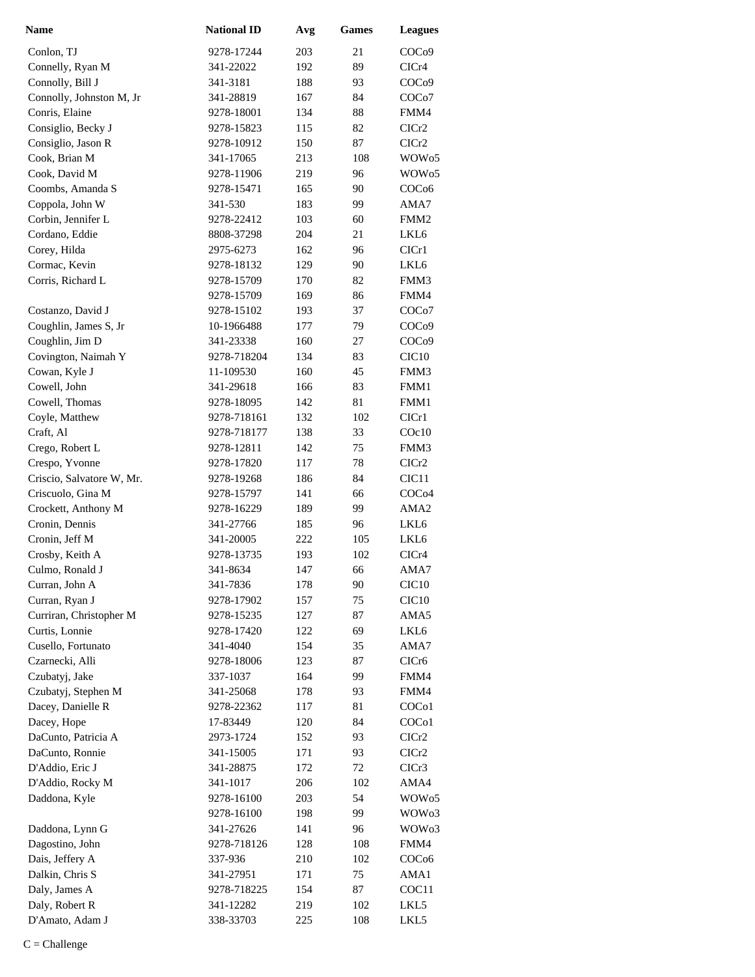| <b>Name</b>               | <b>National ID</b> | Avg | <b>Games</b> | <b>Leagues</b>     |
|---------------------------|--------------------|-----|--------------|--------------------|
| Conlon, TJ                | 9278-17244         | 203 | 21           | COC <sub>09</sub>  |
| Connelly, Ryan M          | 341-22022          | 192 | 89           | CICr4              |
| Connolly, Bill J          | 341-3181           | 188 | 93           | COC <sub>09</sub>  |
| Connolly, Johnston M, Jr  | 341-28819          | 167 | 84           | COC <sub>o</sub> 7 |
| Conris, Elaine            | 9278-18001         | 134 | 88           | FMM4               |
| Consiglio, Becky J        | 9278-15823         | 115 | 82           | ClCr2              |
| Consiglio, Jason R        | 9278-10912         | 150 | 87           | CICr <sub>2</sub>  |
| Cook, Brian M             | 341-17065          | 213 | 108          | WOW <sub>05</sub>  |
| Cook, David M             | 9278-11906         | 219 | 96           | WOW <sub>05</sub>  |
| Coombs, Amanda S          | 9278-15471         | 165 | 90           | COC <sub>06</sub>  |
| Coppola, John W           | 341-530            | 183 | 99           | AMA7               |
| Corbin, Jennifer L        | 9278-22412         | 103 | 60           | FMM <sub>2</sub>   |
| Cordano, Eddie            | 8808-37298         | 204 | 21           | LKL6               |
| Corey, Hilda              | 2975-6273          | 162 | 96           | CICr1              |
| Cormac, Kevin             | 9278-18132         | 129 | 90           | LKL6               |
| Corris, Richard L         | 9278-15709         | 170 | 82           | FMM3               |
|                           | 9278-15709         | 169 | 86           | FMM4               |
| Costanzo, David J         | 9278-15102         | 193 | 37           | COC <sub>o</sub> 7 |
| Coughlin, James S, Jr     | 10-1966488         | 177 | 79           | COC <sub>09</sub>  |
| Coughlin, Jim D           | 341-23338          | 160 | 27           | COC <sub>09</sub>  |
| Covington, Naimah Y       | 9278-718204        | 134 | 83           | CIC <sub>10</sub>  |
| Cowan, Kyle J             | 11-109530          | 160 | 45           | FMM3               |
| Cowell, John              | 341-29618          | 166 | 83           | FMM1               |
| Cowell, Thomas            | 9278-18095         | 142 | 81           | FMM1               |
| Coyle, Matthew            | 9278-718161        | 132 | 102          | CICr1              |
| Craft, Al                 | 9278-718177        | 138 | 33           | COc10              |
| Crego, Robert L           | 9278-12811         | 142 | 75           | FMM3               |
| Crespo, Yvonne            | 9278-17820         | 117 | 78           | CICr2              |
| Criscio, Salvatore W, Mr. | 9278-19268         | 186 | 84           | CIC <sub>11</sub>  |
| Criscuolo, Gina M         | 9278-15797         | 141 | 66           | COC <sub>04</sub>  |
| Crockett, Anthony M       | 9278-16229         | 189 | 99           | AMA <sub>2</sub>   |
| Cronin, Dennis            | 341-27766          | 185 | 96           | LKL <sub>6</sub>   |
| Cronin, Jeff M            | 341-20005          | 222 | 105          | LKL6               |
| Crosby, Keith A           | 9278-13735         | 193 | 102          | CICr4              |
| Culmo, Ronald J           | 341-8634           | 147 | 66           | AMA7               |
| Curran, John A            | 341-7836           | 178 | 90           | CIC <sub>10</sub>  |
| Curran, Ryan J            | 9278-17902         | 157 | 75           | CIC <sub>10</sub>  |
| Curriran, Christopher M   | 9278-15235         | 127 | 87           | AMA5               |
| Curtis, Lonnie            | 9278-17420         | 122 | 69           | LKL6               |
| Cusello, Fortunato        | 341-4040           | 154 | 35           | AMA7               |
| Czarnecki, Alli           | 9278-18006         | 123 | 87           | CICr <sub>6</sub>  |
| Czubatyj, Jake            | 337-1037           | 164 | 99           | FMM4               |
| Czubatyj, Stephen M       | 341-25068          | 178 | 93           | FMM4               |
| Dacey, Danielle R         | 9278-22362         | 117 | 81           | COC <sub>o</sub> 1 |
| Dacey, Hope               | 17-83449           | 120 | 84           | COCo1              |
| DaCunto, Patricia A       | 2973-1724          | 152 | 93           | CICr2              |
| DaCunto, Ronnie           | 341-15005          | 171 | 93           | CICr2              |
| D'Addio, Eric J           | 341-28875          | 172 | 72           | CICr3              |
| D'Addio, Rocky M          | 341-1017           | 206 | 102          | AMA4               |
| Daddona, Kyle             | 9278-16100         | 203 | 54           | WOW <sub>05</sub>  |
|                           | 9278-16100         | 198 | 99           | WOW <sub>03</sub>  |
| Daddona, Lynn G           | 341-27626          | 141 | 96           | WOW <sub>03</sub>  |
| Dagostino, John           | 9278-718126        | 128 | 108          | FMM4               |
| Dais, Jeffery A           | 337-936            | 210 | 102          | COC <sub>06</sub>  |
| Dalkin, Chris S           | 341-27951          | 171 | 75           | AMA1               |
| Daly, James A             | 9278-718225        | 154 | 87           | COC <sub>11</sub>  |
| Daly, Robert R            | 341-12282          | 219 | 102          | LKL5               |
| D'Amato, Adam J           | 338-33703          | 225 | 108          | LKL5               |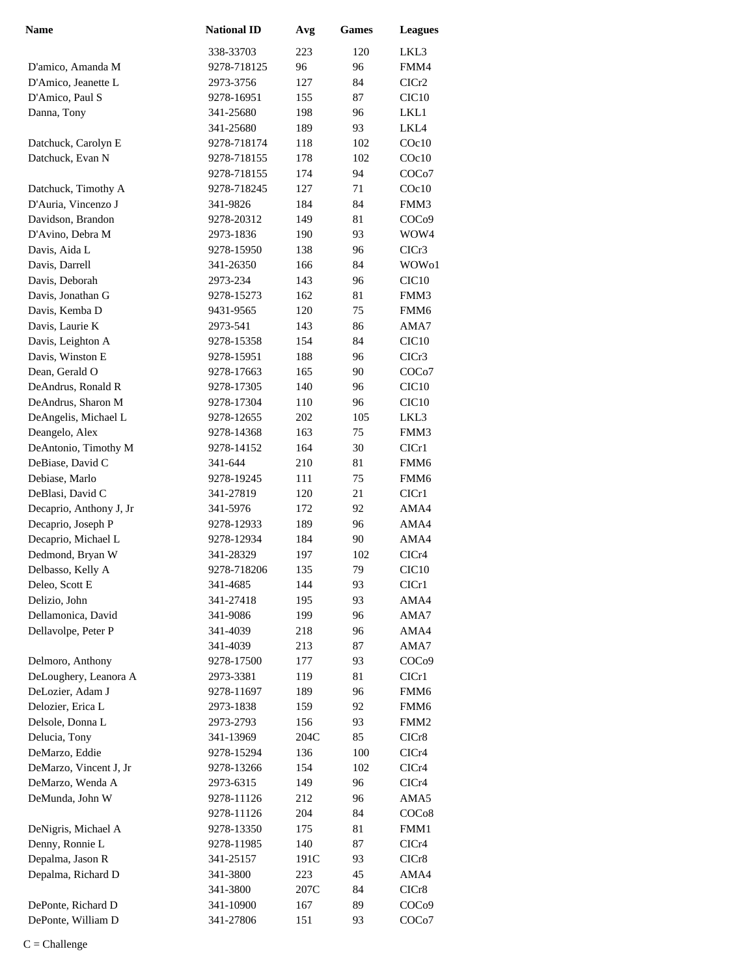| <b>Name</b>             | <b>National ID</b> | Avg  | <b>Games</b> | <b>Leagues</b>     |
|-------------------------|--------------------|------|--------------|--------------------|
|                         | 338-33703          | 223  | 120          | LKL3               |
| D'amico, Amanda M       | 9278-718125        | 96   | 96           | FMM4               |
| D'Amico, Jeanette L     | 2973-3756          | 127  | 84           | ClCr2              |
| D'Amico, Paul S         | 9278-16951         | 155  | 87           | CIC <sub>10</sub>  |
| Danna, Tony             | 341-25680          | 198  | 96           | LKL1               |
|                         | 341-25680          | 189  | 93           | LKL4               |
| Datchuck, Carolyn E     | 9278-718174        | 118  | 102          | COc10              |
| Datchuck, Evan N        | 9278-718155        | 178  | 102          | $C$ Oc $10$        |
|                         | 9278-718155        | 174  | 94           | COCo7              |
| Datchuck, Timothy A     | 9278-718245        | 127  | 71           | COc10              |
| D'Auria, Vincenzo J     | 341-9826           | 184  | 84           | FMM3               |
| Davidson, Brandon       | 9278-20312         | 149  | 81           | COC <sub>09</sub>  |
| D'Avino, Debra M        | 2973-1836          | 190  | 93           | WOW4               |
| Davis, Aida L           | 9278-15950         | 138  | 96           | CICr3              |
| Davis, Darrell          | 341-26350          | 166  | 84           | WOW01              |
| Davis, Deborah          | 2973-234           | 143  | 96           | CIC <sub>10</sub>  |
| Davis, Jonathan G       | 9278-15273         | 162  | 81           | FMM3               |
| Davis, Kemba D          | 9431-9565          | 120  | 75           | FMM <sub>6</sub>   |
| Davis, Laurie K         | 2973-541           | 143  | 86           | AMA7               |
| Davis, Leighton A       | 9278-15358         | 154  | 84           | CIC <sub>10</sub>  |
| Davis, Winston E        | 9278-15951         | 188  | 96           | CICr3              |
| Dean, Gerald O          | 9278-17663         | 165  | 90           | COCo7              |
| DeAndrus, Ronald R      | 9278-17305         | 140  | 96           | CIC <sub>10</sub>  |
| DeAndrus, Sharon M      | 9278-17304         | 110  | 96           | CIC <sub>10</sub>  |
| DeAngelis, Michael L    | 9278-12655         | 202  | 105          | LKL3               |
| Deangelo, Alex          | 9278-14368         | 163  | 75           | FMM3               |
| DeAntonio, Timothy M    | 9278-14152         | 164  | 30           | ClCr1              |
| DeBiase, David C        | 341-644            | 210  | 81           | FMM <sub>6</sub>   |
| Debiase, Marlo          | 9278-19245         | 111  | 75           | FMM6               |
| DeBlasi, David C        | 341-27819          | 120  | 21           | CICr1              |
| Decaprio, Anthony J, Jr | 341-5976           | 172  | 92           | AMA4               |
| Decaprio, Joseph P      | 9278-12933         | 189  | 96           | AMA4               |
| Decaprio, Michael L     | 9278-12934         | 184  | 90           | AMA4               |
| Dedmond, Bryan W        | 341-28329          | 197  | 102          | CICr4              |
| Delbasso, Kelly A       | 9278-718206        | 135  | 79           | CIC <sub>10</sub>  |
| Deleo, Scott E          | 341-4685           | 144  | 93           | ClCr1              |
| Delizio, John           | 341-27418          | 195  | 93           | AMA4               |
| Dellamonica, David      | 341-9086           | 199  | 96           | AMA7               |
| Dellavolpe, Peter P     | 341-4039           | 218  | 96           | AMA4               |
|                         | 341-4039           | 213  | 87           | AMA7               |
| Delmoro, Anthony        | 9278-17500         | 177  | 93           | COC <sub>09</sub>  |
| DeLoughery, Leanora A   | 2973-3381          | 119  | 81           | ClCr1              |
| DeLozier, Adam J        | 9278-11697         | 189  | 96           | FMM6               |
| Delozier, Erica L       | 2973-1838          | 159  | 92           | FMM6               |
| Delsole, Donna L        | 2973-2793          | 156  | 93           | FMM <sub>2</sub>   |
| Delucia, Tony           | 341-13969          | 204C | 85           | CICr8              |
| DeMarzo, Eddie          | 9278-15294         | 136  | 100          | CICr4              |
| DeMarzo, Vincent J, Jr  | 9278-13266         | 154  | 102          | CICr4              |
| DeMarzo, Wenda A        | 2973-6315          | 149  | 96           | CICr4              |
| DeMunda, John W         | 9278-11126         | 212  | 96           | AMA5               |
|                         | 9278-11126         | 204  | 84           | COC <sub>08</sub>  |
| DeNigris, Michael A     | 9278-13350         | 175  | 81           | FMM1               |
| Denny, Ronnie L         | 9278-11985         | 140  | 87           | CICr4              |
| Depalma, Jason R        | 341-25157          | 191C | 93           | CICr8              |
| Depalma, Richard D      | 341-3800           | 223  | 45           | AMA4               |
|                         | 341-3800           | 207C | 84           | CICr8              |
| DePonte, Richard D      | 341-10900          | 167  | 89           | COC <sub>09</sub>  |
| DePonte, William D      | 341-27806          | 151  | 93           | COC <sub>o</sub> 7 |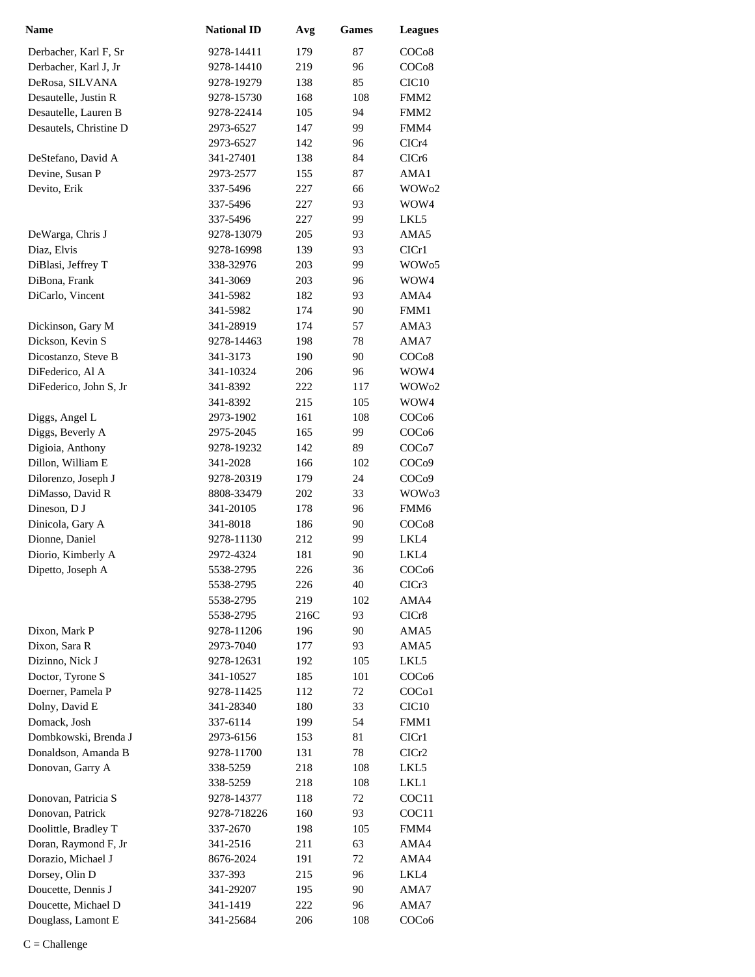| <b>Name</b>            | <b>National ID</b> | Avg  | Games | <b>Leagues</b>     |
|------------------------|--------------------|------|-------|--------------------|
| Derbacher, Karl F, Sr  | 9278-14411         | 179  | 87    | COC <sub>08</sub>  |
| Derbacher, Karl J, Jr  | 9278-14410         | 219  | 96    | COC <sub>08</sub>  |
| DeRosa, SILVANA        | 9278-19279         | 138  | 85    | CIC <sub>10</sub>  |
| Desautelle, Justin R   | 9278-15730         | 168  | 108   | FMM <sub>2</sub>   |
| Desautelle, Lauren B   | 9278-22414         | 105  | 94    | FMM <sub>2</sub>   |
| Desautels, Christine D | 2973-6527          | 147  | 99    | FMM4               |
|                        | 2973-6527          | 142  | 96    | CICr4              |
| DeStefano, David A     | 341-27401          | 138  | 84    | CICr <sub>6</sub>  |
| Devine, Susan P        | 2973-2577          | 155  | 87    | AMA1               |
| Devito, Erik           | 337-5496           | 227  | 66    | WOW <sub>02</sub>  |
|                        | 337-5496           | 227  | 93    | WOW4               |
|                        | 337-5496           | 227  | 99    | LKL5               |
| DeWarga, Chris J       | 9278-13079         | 205  | 93    | AMA5               |
| Diaz, Elvis            | 9278-16998         | 139  | 93    | CICr1              |
| DiBlasi, Jeffrey T     | 338-32976          | 203  | 99    | WOW <sub>05</sub>  |
| DiBona, Frank          | 341-3069           | 203  | 96    | WOW4               |
| DiCarlo, Vincent       | 341-5982           | 182  | 93    | AMA4               |
|                        | 341-5982           | 174  | 90    | FMM1               |
| Dickinson, Gary M      | 341-28919          | 174  | 57    | AMA3               |
| Dickson, Kevin S       | 9278-14463         | 198  | 78    | AMA7               |
| Dicostanzo, Steve B    | 341-3173           | 190  | 90    | COC <sub>08</sub>  |
| DiFederico, Al A       | 341-10324          | 206  | 96    | WOW4               |
| DiFederico, John S, Jr | 341-8392           | 222  | 117   | WOW <sub>02</sub>  |
|                        | 341-8392           | 215  | 105   | WOW4               |
| Diggs, Angel L         | 2973-1902          | 161  | 108   | COC <sub>06</sub>  |
| Diggs, Beverly A       | 2975-2045          | 165  | 99    | COC <sub>06</sub>  |
| Digioia, Anthony       | 9278-19232         | 142  | 89    | COC <sub>o</sub> 7 |
| Dillon, William E      | 341-2028           | 166  | 102   | COC <sub>09</sub>  |
| Dilorenzo, Joseph J    | 9278-20319         | 179  | 24    | COC <sub>09</sub>  |
| DiMasso, David R       | 8808-33479         | 202  | 33    | WOW <sub>03</sub>  |
| Dineson, D J           | 341-20105          | 178  | 96    | FMM <sub>6</sub>   |
| Dinicola, Gary A       | 341-8018           | 186  | 90    | COCo8              |
| Dionne, Daniel         | 9278-11130         | 212  | 99    | LKL4               |
| Diorio, Kimberly A     | 2972-4324          | 181  | 90    | LKL4               |
| Dipetto, Joseph A      | 5538-2795          | 226  | 36    | COC <sub>06</sub>  |
|                        | 5538-2795          | 226  | 40    | CICr3              |
|                        | 5538-2795          | 219  | 102   | AMA4               |
|                        | 5538-2795          | 216C | 93    | CICr8              |
| Dixon, Mark P          | 9278-11206         | 196  | 90    | AMA5               |
| Dixon, Sara R          | 2973-7040          | 177  | 93    | AMA5               |
| Dizinno, Nick J        | 9278-12631         | 192  | 105   | LKL5               |
| Doctor, Tyrone S       | 341-10527          | 185  | 101   | COC <sub>06</sub>  |
| Doerner, Pamela P      | 9278-11425         | 112  | 72    | COC <sub>o</sub> 1 |
| Dolny, David E         | 341-28340          | 180  | 33    | CIC <sub>10</sub>  |
| Domack, Josh           | 337-6114           | 199  | 54    | FMM1               |
| Dombkowski, Brenda J   | 2973-6156          | 153  | 81    | ClCr1              |
| Donaldson, Amanda B    | 9278-11700         | 131  | 78    | ClCr2              |
| Donovan, Garry A       | 338-5259           | 218  | 108   | LKL5               |
|                        | 338-5259           | 218  | 108   | LKL1               |
| Donovan, Patricia S    | 9278-14377         | 118  | 72    | COC <sub>11</sub>  |
| Donovan, Patrick       | 9278-718226        | 160  | 93    | COC <sub>11</sub>  |
| Doolittle, Bradley T   | 337-2670           | 198  | 105   | FMM4               |
| Doran, Raymond F, Jr   | 341-2516           | 211  | 63    | AMA4               |
| Dorazio, Michael J     | 8676-2024          | 191  | 72    | AMA4               |
| Dorsey, Olin D         | 337-393            | 215  | 96    | LKL4               |
| Doucette, Dennis J     | 341-29207          | 195  | 90    | AMA7               |
| Doucette, Michael D    | 341-1419           | 222  | 96    | AMA7               |
| Douglass, Lamont E     | 341-25684          | 206  | 108   | COC <sub>06</sub>  |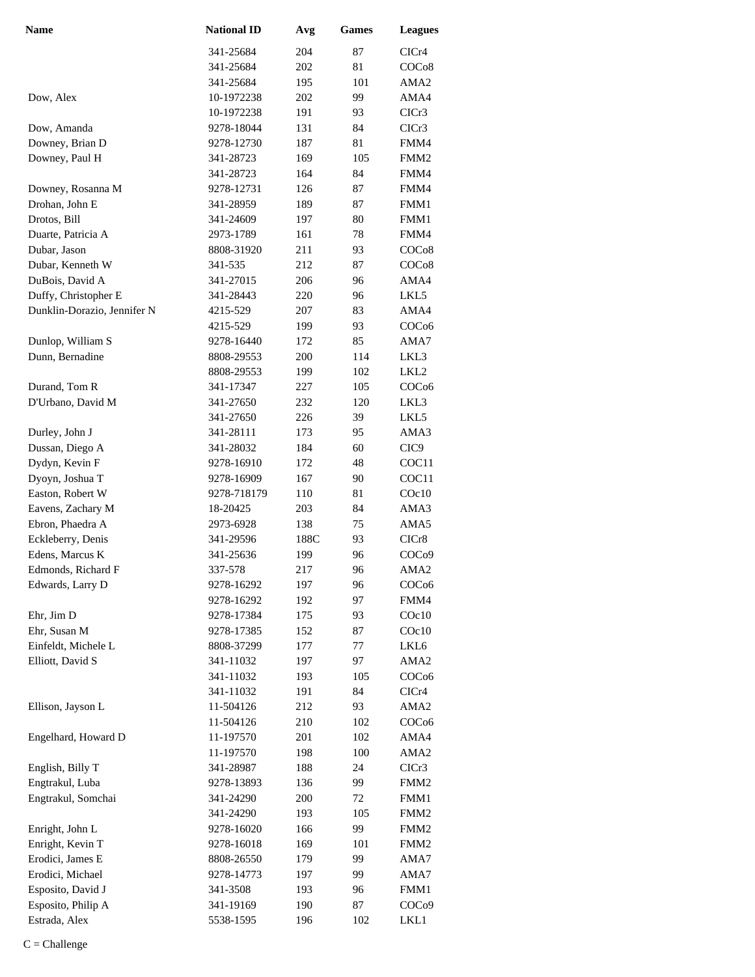| <b>Name</b>                         | <b>National ID</b>      | Avg        | <b>Games</b> | <b>Leagues</b>                       |
|-------------------------------------|-------------------------|------------|--------------|--------------------------------------|
|                                     | 341-25684               | 204        | 87           | CICr4                                |
|                                     | 341-25684               | 202        | 81           | COC <sub>08</sub>                    |
|                                     | 341-25684               | 195        | 101          | AMA2                                 |
| Dow, Alex                           | 10-1972238              | 202        | 99           | AMA4                                 |
|                                     | 10-1972238              | 191        | 93           | CICr3                                |
| Dow, Amanda                         | 9278-18044              | 131        | 84           | CICr3                                |
| Downey, Brian D                     | 9278-12730              | 187        | 81           | FMM4                                 |
| Downey, Paul H                      | 341-28723               | 169        | 105          | FMM <sub>2</sub>                     |
|                                     | 341-28723               | 164        | 84           | FMM4                                 |
| Downey, Rosanna M                   | 9278-12731              | 126        | 87           | FMM4                                 |
| Drohan, John E                      | 341-28959               | 189        | 87           | FMM1                                 |
| Drotos, Bill                        | 341-24609               | 197        | 80           | FMM1                                 |
| Duarte, Patricia A                  | 2973-1789               | 161        | 78           | FMM4                                 |
| Dubar, Jason                        | 8808-31920              | 211        | 93           | COC <sub>o</sub> 8                   |
| Dubar, Kenneth W                    | 341-535                 | 212        | 87           | COC <sub>o</sub> 8                   |
| DuBois, David A                     | 341-27015               | 206        | 96           | AMA4                                 |
| Duffy, Christopher E                | 341-28443               | 220        | 96           | LKL5                                 |
| Dunklin-Dorazio, Jennifer N         | 4215-529                | 207        | 83           | AMA4                                 |
|                                     | 4215-529                | 199        | 93           | COC <sub>06</sub>                    |
| Dunlop, William S                   | 9278-16440              | 172        | 85           | AMA7                                 |
| Dunn, Bernadine                     | 8808-29553              | 200        | 114          | LKL3                                 |
|                                     | 8808-29553              | 199        | 102          | LKL2                                 |
| Durand, Tom R                       | 341-17347               | 227        | 105          | COC <sub>06</sub>                    |
| D'Urbano, David M                   | 341-27650               | 232        | 120          | LKL3                                 |
|                                     | 341-27650               | 226        | 39           | LKL5                                 |
| Durley, John J                      | 341-28111               | 173        | 95           | AMA3                                 |
| Dussan, Diego A                     | 341-28032               | 184        | 60           | CIC <sub>9</sub>                     |
| Dydyn, Kevin F                      | 9278-16910              | 172        | 48           | COC11                                |
| Dyoyn, Joshua T                     | 9278-16909              | 167        | 90           | COC11                                |
| Easton, Robert W                    | 9278-718179             | 110        | 81           | COc10                                |
| Eavens, Zachary M                   | 18-20425                | 203        | 84           | AMA3                                 |
| Ebron, Phaedra A                    | 2973-6928               | 138        | 75           | AMA5                                 |
| Eckleberry, Denis                   | 341-29596               | 188C       | 93           | CICr8                                |
| Edens, Marcus K                     | 341-25636               | 199        | 96           | COC <sub>09</sub>                    |
| Edmonds, Richard F                  | 337-578                 | 217        | 96           | AMA <sub>2</sub>                     |
| Edwards, Larry D                    | 9278-16292              | 197        | 96           | COC <sub>06</sub>                    |
|                                     | 9278-16292              | 192        | 97           | FMM4                                 |
| Ehr, Jim D                          | 9278-17384              | 175        | 93           | $C$ Oc $10$                          |
| Ehr, Susan M                        | 9278-17385              | 152        | 87           | $C$ Oc $10$                          |
| Einfeldt, Michele L                 | 8808-37299              | 177        | 77           | LKL6                                 |
| Elliott, David S                    | 341-11032               | 197        | 97           | AMA <sub>2</sub>                     |
|                                     | 341-11032               | 193        | 105          | COC <sub>06</sub>                    |
|                                     | 341-11032               | 191        | 84           | CICr4                                |
| Ellison, Jayson L                   | 11-504126               | 212        | 93           | AMA <sub>2</sub>                     |
|                                     | 11-504126               | 210        | 102          | COC <sub>06</sub>                    |
| Engelhard, Howard D                 | 11-197570               | 201        | 102          | AMA4                                 |
|                                     | 11-197570               | 198        | 100          | AMA <sub>2</sub>                     |
| English, Billy T<br>Engtrakul, Luba | 341-28987               | 188<br>136 | 24<br>99     | CICr3<br>FMM <sub>2</sub>            |
| Engtrakul, Somchai                  | 9278-13893<br>341-24290 | 200        | 72           | FMM1                                 |
|                                     | 341-24290               | 193        | 105          | FMM <sub>2</sub>                     |
| Enright, John L                     | 9278-16020              | 166        | 99           |                                      |
| Enright, Kevin T                    | 9278-16018              | 169        | 101          | FMM <sub>2</sub><br>FMM <sub>2</sub> |
| Erodici, James E                    | 8808-26550              | 179        | 99           | AMA7                                 |
| Erodici, Michael                    | 9278-14773              | 197        | 99           | AMA7                                 |
| Esposito, David J                   | 341-3508                | 193        | 96           | FMM1                                 |
| Esposito, Philip A                  | 341-19169               | 190        | 87           | COC <sub>09</sub>                    |
| Estrada, Alex                       | 5538-1595               | 196        | 102          | LKL1                                 |
|                                     |                         |            |              |                                      |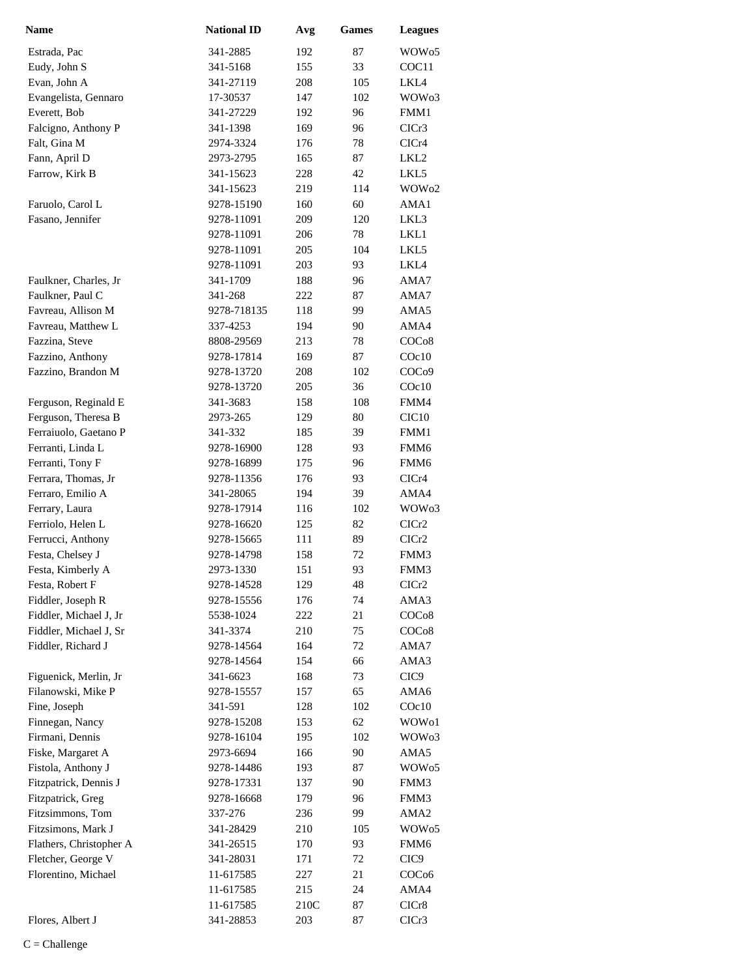| <b>Name</b>                            | <b>National ID</b>       | Avg        | <b>Games</b> | <b>Leagues</b>    |
|----------------------------------------|--------------------------|------------|--------------|-------------------|
| Estrada, Pac                           | 341-2885                 | 192        | 87           | WOW <sub>05</sub> |
| Eudy, John S                           | 341-5168                 | 155        | 33           | COC11             |
| Evan, John A                           | 341-27119                | 208        | 105          | LKL4              |
| Evangelista, Gennaro                   | 17-30537                 | 147        | 102          | WOW <sub>03</sub> |
| Everett, Bob                           | 341-27229                | 192        | 96           | FMM1              |
| Falcigno, Anthony P                    | 341-1398                 | 169        | 96           | ClCr3             |
| Falt, Gina M                           | 2974-3324                | 176        | 78           | CICr4             |
| Fann, April D                          | 2973-2795                | 165        | 87           | LKL <sub>2</sub>  |
| Farrow, Kirk B                         | 341-15623                | 228        | 42           | LKL5              |
|                                        | 341-15623                | 219        | 114          | WOW <sub>02</sub> |
| Faruolo, Carol L                       | 9278-15190               | 160        | 60           | AMA1              |
| Fasano, Jennifer                       | 9278-11091               | 209        | 120          | LKL3              |
|                                        | 9278-11091               | 206        | 78           | LKL1              |
|                                        | 9278-11091               | 205        | 104          | LKL5              |
|                                        | 9278-11091               | 203        | 93           | LKL4              |
| Faulkner, Charles, Jr                  | 341-1709                 | 188        | 96           | AMA7              |
| Faulkner, Paul C                       | 341-268                  | 222        | 87           | AMA7              |
| Favreau, Allison M                     | 9278-718135              | 118        | 99           | AMA5              |
| Favreau, Matthew L                     | 337-4253                 | 194        | 90           | AMA4              |
| Fazzina, Steve                         | 8808-29569               | 213        | 78           | COC <sub>08</sub> |
| Fazzino, Anthony                       | 9278-17814               | 169        | 87           | $C$ Oc $10$       |
| Fazzino, Brandon M                     | 9278-13720               | 208        | 102          | COC <sub>09</sub> |
|                                        | 9278-13720               | 205        | 36           | $C$ Oc $10$       |
| Ferguson, Reginald E                   | 341-3683                 | 158        | 108          | FMM4              |
| Ferguson, Theresa B                    | 2973-265                 | 129        | 80           | CIC <sub>10</sub> |
| Ferraiuolo, Gaetano P                  | 341-332                  | 185        | 39           | FMM1              |
| Ferranti, Linda L                      | 9278-16900               | 128        | 93           | FMM <sub>6</sub>  |
| Ferranti, Tony F                       | 9278-16899               | 175        | 96           | FMM <sub>6</sub>  |
| Ferrara, Thomas, Jr                    | 9278-11356               | 176        | 93           | CICr4             |
| Ferraro, Emilio A                      | 341-28065                | 194        | 39           | AMA4              |
| Ferrary, Laura                         | 9278-17914               | 116        | 102          | WOW <sub>03</sub> |
| Ferriolo, Helen L<br>Ferrucci, Anthony | 9278-16620               | 125        | 82           | CICr <sub>2</sub> |
| Festa, Chelsey J                       | 9278-15665<br>9278-14798 | 111<br>158 | 89<br>72     | ClCr2<br>FMM3     |
| Festa, Kimberly A                      | 2973-1330                | 151        | 93           | FMM3              |
| Festa, Robert F                        | 9278-14528               | 129        | 48           | CICr2             |
| Fiddler, Joseph R                      | 9278-15556               | 176        | 74           | AMA3              |
| Fiddler, Michael J, Jr                 | 5538-1024                | 222        | 21           | COC <sub>08</sub> |
| Fiddler, Michael J, Sr                 | 341-3374                 | 210        | 75           | COC <sub>08</sub> |
| Fiddler, Richard J                     | 9278-14564               | 164        | 72           | AMA7              |
|                                        | 9278-14564               | 154        | 66           | AMA3              |
| Figuenick, Merlin, Jr                  | 341-6623                 | 168        | 73           | CIC <sub>9</sub>  |
| Filanowski, Mike P                     | 9278-15557               | 157        | 65           | AMA6              |
| Fine, Joseph                           | 341-591                  | 128        | 102          | $C$ Oc $10$       |
| Finnegan, Nancy                        | 9278-15208               | 153        | 62           | WOW01             |
| Firmani, Dennis                        | 9278-16104               | 195        | 102          | WOW <sub>03</sub> |
| Fiske, Margaret A                      | 2973-6694                | 166        | 90           | AMA5              |
| Fistola, Anthony J                     | 9278-14486               | 193        | 87           | WOW <sub>05</sub> |
| Fitzpatrick, Dennis J                  | 9278-17331               | 137        | 90           | FMM3              |
| Fitzpatrick, Greg                      | 9278-16668               | 179        | 96           | FMM3              |
| Fitzsimmons, Tom                       | 337-276                  | 236        | 99           | AMA <sub>2</sub>  |
| Fitzsimons, Mark J                     | 341-28429                | 210        | 105          | WOW <sub>05</sub> |
| Flathers, Christopher A                | 341-26515                | 170        | 93           | FMM6              |
| Fletcher, George V                     | 341-28031                | 171        | 72           | CIC <sub>9</sub>  |
| Florentino, Michael                    | 11-617585                | 227        | 21           | COC <sub>06</sub> |
|                                        | 11-617585                | 215        | 24           | AMA4              |
|                                        | 11-617585                | 210C       | 87           | CICr8             |
| Flores, Albert J                       | 341-28853                | 203        | 87           | CICr3             |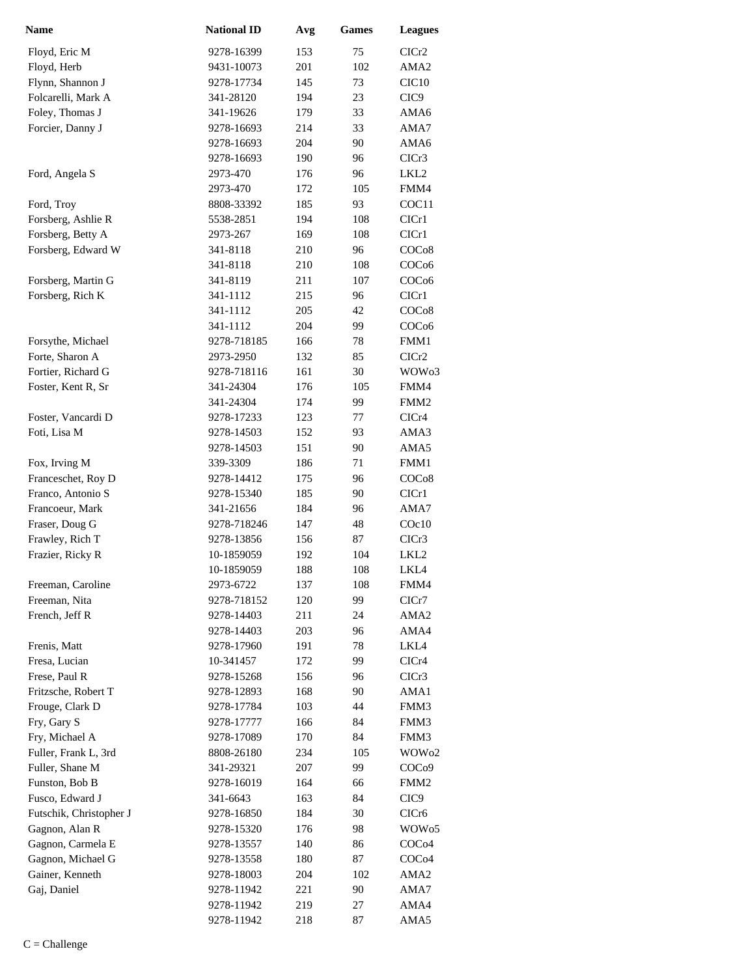| <b>Name</b>                            | <b>National ID</b>       | Avg        | <b>Games</b> | <b>Leagues</b>                         |
|----------------------------------------|--------------------------|------------|--------------|----------------------------------------|
| Floyd, Eric M                          | 9278-16399               | 153        | 75           | CICr <sub>2</sub>                      |
| Floyd, Herb                            | 9431-10073               | 201        | 102          | AMA <sub>2</sub>                       |
| Flynn, Shannon J                       | 9278-17734               | 145        | 73           | CIC <sub>10</sub>                      |
| Folcarelli, Mark A                     | 341-28120                | 194        | 23           | CIC <sub>9</sub>                       |
| Foley, Thomas J                        | 341-19626                | 179        | 33           | AMA6                                   |
| Forcier, Danny J                       | 9278-16693               | 214        | 33           | AMA7                                   |
|                                        | 9278-16693               | 204        | 90           | AMA6                                   |
|                                        | 9278-16693               | 190        | 96           | CICr3                                  |
| Ford, Angela S                         | 2973-470                 | 176        | 96           | LKL2                                   |
|                                        | 2973-470                 | 172        | 105          | FMM4                                   |
| Ford, Troy                             | 8808-33392               | 185        | 93           | COC11                                  |
| Forsberg, Ashlie R                     | 5538-2851                | 194        | 108          | CICr1                                  |
| Forsberg, Betty A                      | 2973-267                 | 169        | 108          | CICr1                                  |
| Forsberg, Edward W                     | 341-8118                 | 210        | 96           | COCo8                                  |
|                                        | 341-8118                 | 210        | 108          | COC <sub>06</sub>                      |
| Forsberg, Martin G                     | 341-8119                 | 211        | 107          | COC <sub>06</sub>                      |
| Forsberg, Rich K                       | 341-1112                 | 215        | 96           | CICr1                                  |
|                                        | 341-1112                 | 205        | 42           | COCo8                                  |
|                                        | 341-1112                 | 204        | 99           | COC <sub>06</sub>                      |
| Forsythe, Michael                      | 9278-718185              | 166        | 78           | FMM1                                   |
| Forte, Sharon A                        | 2973-2950                | 132        | 85           | ClCr2                                  |
| Fortier, Richard G                     | 9278-718116              | 161        | 30           | WOW <sub>03</sub>                      |
| Foster, Kent R, Sr                     | 341-24304                | 176        | 105          | FMM4                                   |
|                                        | 341-24304                | 174        | 99           | FMM <sub>2</sub>                       |
| Foster, Vancardi D                     | 9278-17233               | 123        | 77           | CICr4                                  |
| Foti, Lisa M                           | 9278-14503               | 152        | 93           | AMA3                                   |
|                                        | 9278-14503               | 151        | 90           | AMA5                                   |
| Fox, Irving M                          | 339-3309                 | 186        | 71           | FMM1                                   |
| Franceschet, Roy D                     | 9278-14412               | 175        | 96           | COC <sub>08</sub>                      |
| Franco, Antonio S                      | 9278-15340               | 185        | 90           | CICr1                                  |
| Francoeur, Mark                        | 341-21656                | 184        | 96           | AMA7                                   |
| Fraser, Doug G                         | 9278-718246              | 147        | 48           | COc10                                  |
| Frawley, Rich T                        | 9278-13856               | 156        | 87           | ClCr3                                  |
| Frazier, Ricky R                       | 10-1859059               | 192        | 104          | LKL <sub>2</sub>                       |
|                                        | 10-1859059               | 188        | 108          | LKL4                                   |
| Freeman, Caroline                      | 2973-6722                | 137        | 108          | FMM4                                   |
| Freeman, Nita                          | 9278-718152              | 120        | 99           | ClCr7                                  |
| French, Jeff R                         | 9278-14403               | 211        | 24           | AMA <sub>2</sub>                       |
|                                        | 9278-14403               | 203        | 96           | AMA4                                   |
| Frenis, Matt                           | 9278-17960               | 191        | 78           | LKL4                                   |
| Fresa, Lucian                          | 10-341457                | 172        | 99           | CICr4                                  |
| Frese, Paul R                          | 9278-15268               | 156        | 96           | CICr3                                  |
| Fritzsche, Robert T                    | 9278-12893               | 168        | 90           | AMA1                                   |
| Frouge, Clark D                        | 9278-17784               | 103        | 44           | FMM3                                   |
| Fry, Gary S                            | 9278-17777               | 166        | 84           | FMM3                                   |
| Fry, Michael A                         | 9278-17089               | 170        | 84           | FMM3                                   |
| Fuller, Frank L, 3rd                   | 8808-26180               | 234        | 105          | WOW <sub>02</sub>                      |
| Fuller, Shane M                        | 341-29321                | 207        | 99           | COCo9                                  |
| Funston, Bob B                         | 9278-16019               | 164        | 66           | FMM <sub>2</sub>                       |
| Fusco, Edward J                        | 341-6643                 | 163        | 84           | CIC <sub>9</sub>                       |
| Futschik, Christopher J                | 9278-16850               | 184        | 30           | CIC <sub>r6</sub>                      |
| Gagnon, Alan R                         | 9278-15320               | 176<br>140 | 98<br>86     | WOW <sub>05</sub><br>COC <sub>04</sub> |
| Gagnon, Carmela E<br>Gagnon, Michael G | 9278-13557               |            | 87           |                                        |
| Gainer, Kenneth                        | 9278-13558<br>9278-18003 | 180        | 102          | COC <sub>04</sub><br>AMA <sub>2</sub>  |
| Gaj, Daniel                            | 9278-11942               | 204<br>221 | 90           | AMA7                                   |
|                                        | 9278-11942               | 219        | 27           | AMA4                                   |
|                                        | 9278-11942               | 218        | 87           | AMA5                                   |
|                                        |                          |            |              |                                        |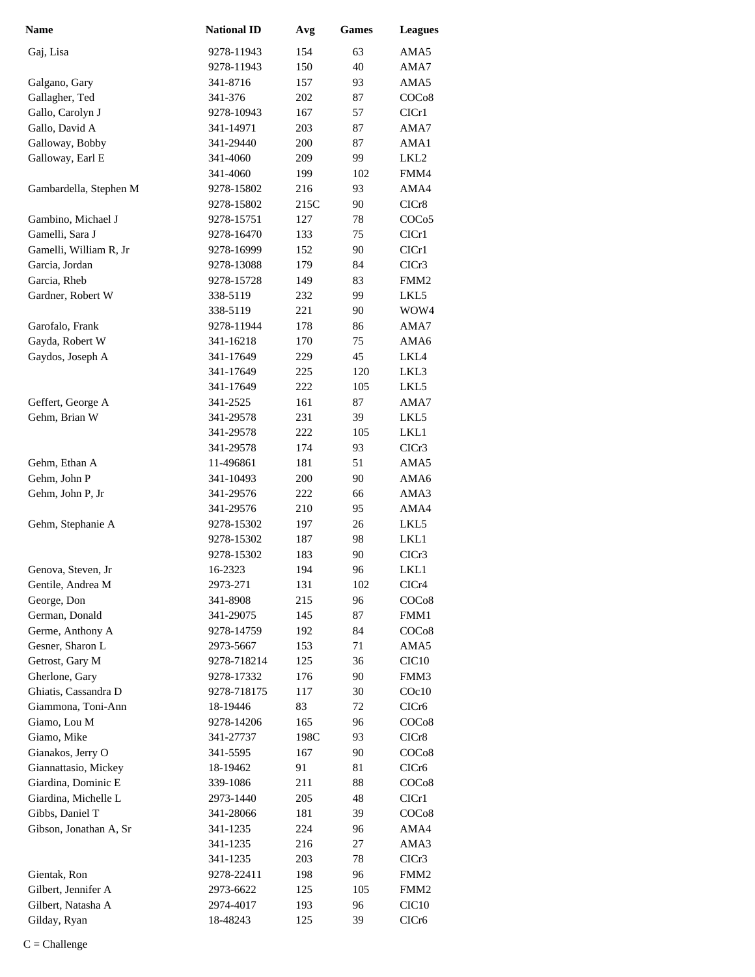| Name                   | <b>National ID</b> | Avg  | Games | <b>Leagues</b>    |
|------------------------|--------------------|------|-------|-------------------|
| Gaj, Lisa              | 9278-11943         | 154  | 63    | AMA5              |
|                        | 9278-11943         | 150  | 40    | AMA7              |
| Galgano, Gary          | 341-8716           | 157  | 93    | AMA5              |
| Gallagher, Ted         | 341-376            | 202  | 87    | COC <sub>08</sub> |
| Gallo, Carolyn J       | 9278-10943         | 167  | 57    | ClCr1             |
| Gallo, David A         | 341-14971          | 203  | 87    | AMA7              |
| Galloway, Bobby        | 341-29440          | 200  | 87    | AMA1              |
| Galloway, Earl E       | 341-4060           | 209  | 99    | LKL <sub>2</sub>  |
|                        | 341-4060           | 199  | 102   | FMM4              |
| Gambardella, Stephen M | 9278-15802         | 216  | 93    | AMA4              |
|                        | 9278-15802         | 215C | 90    | CICr8             |
| Gambino, Michael J     | 9278-15751         | 127  | 78    | COC <sub>05</sub> |
| Gamelli, Sara J        | 9278-16470         | 133  | 75    | CICr1             |
| Gamelli, William R, Jr | 9278-16999         | 152  | 90    | CICr1             |
| Garcia, Jordan         | 9278-13088         | 179  | 84    | CICr3             |
| Garcia, Rheb           | 9278-15728         | 149  | 83    | FMM <sub>2</sub>  |
| Gardner, Robert W      | 338-5119           | 232  | 99    | LKL5              |
|                        | 338-5119           | 221  | 90    | WOW4              |
| Garofalo, Frank        | 9278-11944         | 178  | 86    | AMA7              |
| Gayda, Robert W        | 341-16218          | 170  | 75    | AMA6              |
| Gaydos, Joseph A       | 341-17649          | 229  | 45    | LKL4              |
|                        | 341-17649          | 225  | 120   | LKL3              |
|                        | 341-17649          | 222  | 105   | LKL5              |
| Geffert, George A      | 341-2525           | 161  | 87    | AMA7              |
| Gehm, Brian W          | 341-29578          | 231  | 39    | LKL5              |
|                        | 341-29578          | 222  | 105   | LKL1              |
|                        | 341-29578          | 174  | 93    | CICr3             |
| Gehm, Ethan A          | 11-496861          | 181  | 51    | AMA5              |
| Gehm, John P           | 341-10493          | 200  | 90    | AMA6              |
| Gehm, John P, Jr       | 341-29576          | 222  | 66    | AMA3              |
|                        | 341-29576          | 210  | 95    | AMA4              |
| Gehm, Stephanie A      | 9278-15302         | 197  | 26    | LKL5              |
|                        | 9278-15302         | 187  | 98    | LKL1              |
|                        | 9278-15302         | 183  | 90    | CICr <sub>3</sub> |
| Genova, Steven, Jr     | 16-2323            | 194  | 96    | LKL1              |
| Gentile, Andrea M      | 2973-271           | 131  | 102   | CICr4             |
| George, Don            | 341-8908           | 215  | 96    | COC <sub>08</sub> |
| German, Donald         | 341-29075          | 145  | 87    | FMM1              |
| Germe, Anthony A       | 9278-14759         | 192  | 84    | COC <sub>08</sub> |
| Gesner, Sharon L       | 2973-5667          | 153  | 71    | AMA5              |
| Getrost, Gary M        | 9278-718214        | 125  | 36    | CIC <sub>10</sub> |
| Gherlone, Gary         | 9278-17332         | 176  | 90    | FMM3              |
| Ghiatis, Cassandra D   | 9278-718175        | 117  | 30    | $C$ Oc $10$       |
| Giammona, Toni-Ann     | 18-19446           | 83   | 72    | CICr6             |
| Giamo, Lou M           | 9278-14206         | 165  | 96    | COCo8             |
| Giamo, Mike            | 341-27737          | 198C | 93    | CICr8             |
| Gianakos, Jerry O      | 341-5595           | 167  | 90    | COC <sub>08</sub> |
| Giannattasio, Mickey   | 18-19462           | 91   | 81    | CICr <sub>6</sub> |
| Giardina, Dominic E    | 339-1086           | 211  | 88    | COC <sub>08</sub> |
| Giardina, Michelle L   | 2973-1440          | 205  | 48    | CIC <sub>r1</sub> |
| Gibbs, Daniel T        | 341-28066          | 181  | 39    | COC <sub>08</sub> |
| Gibson, Jonathan A, Sr | 341-1235           | 224  | 96    | AMA4              |
|                        | 341-1235           | 216  | 27    | AMA3              |
|                        | 341-1235           | 203  | 78    | CICr3             |
| Gientak, Ron           | 9278-22411         | 198  | 96    | FMM <sub>2</sub>  |
| Gilbert, Jennifer A    | 2973-6622          | 125  | 105   | FMM <sub>2</sub>  |
| Gilbert, Natasha A     | 2974-4017          | 193  | 96    | CIC <sub>10</sub> |
| Gilday, Ryan           | 18-48243           | 125  | 39    | CICr6             |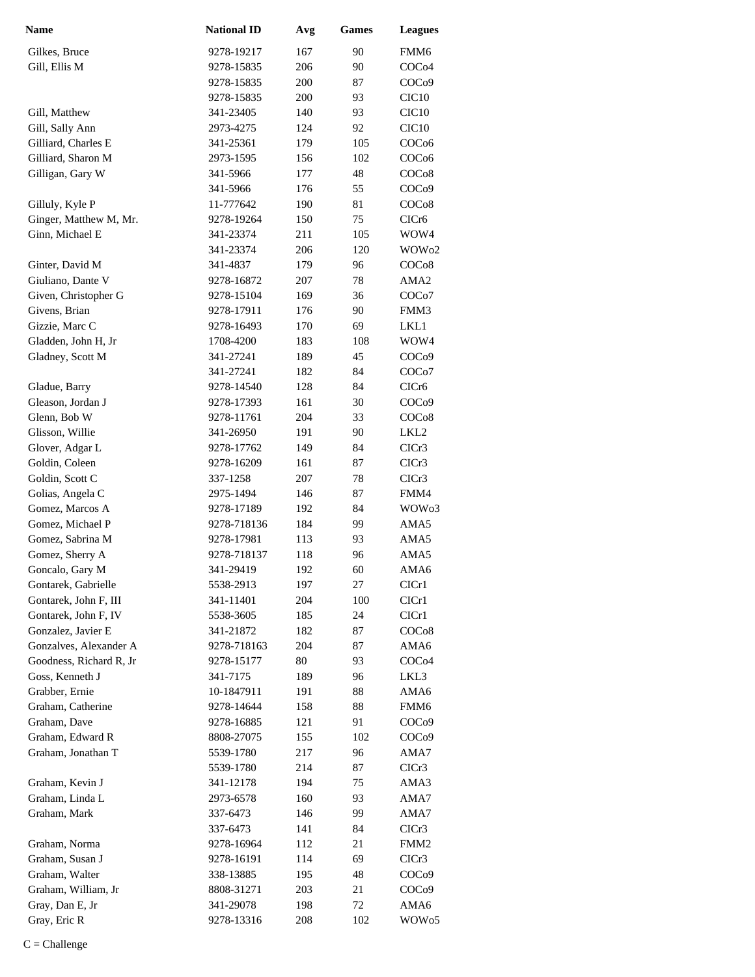| <b>Name</b>             | <b>National ID</b> | Avg | <b>Games</b> | <b>Leagues</b>     |
|-------------------------|--------------------|-----|--------------|--------------------|
| Gilkes, Bruce           | 9278-19217         | 167 | 90           | FMM6               |
| Gill, Ellis M           | 9278-15835         | 206 | 90           | COC <sub>04</sub>  |
|                         | 9278-15835         | 200 | 87           | COC <sub>09</sub>  |
|                         | 9278-15835         | 200 | 93           | CIC <sub>10</sub>  |
| Gill, Matthew           | 341-23405          | 140 | 93           | CIC <sub>10</sub>  |
| Gill, Sally Ann         | 2973-4275          | 124 | 92           | CIC <sub>10</sub>  |
| Gilliard, Charles E     | 341-25361          | 179 | 105          | COC <sub>06</sub>  |
| Gilliard, Sharon M      | 2973-1595          | 156 | 102          | COC <sub>06</sub>  |
| Gilligan, Gary W        | 341-5966           | 177 | 48           | COC <sub>08</sub>  |
|                         | 341-5966           | 176 | 55           | COC <sub>09</sub>  |
| Gilluly, Kyle P         | 11-777642          | 190 | 81           | COC <sub>08</sub>  |
| Ginger, Matthew M, Mr.  | 9278-19264         | 150 | 75           | CICr6              |
| Ginn, Michael E         | 341-23374          | 211 | 105          | WOW4               |
|                         | 341-23374          | 206 | 120          | WOW <sub>02</sub>  |
| Ginter, David M         | 341-4837           | 179 | 96           | COCo8              |
| Giuliano, Dante V       | 9278-16872         | 207 | 78           | AMA <sub>2</sub>   |
| Given, Christopher G    | 9278-15104         | 169 | 36           | COC <sub>o</sub> 7 |
| Givens, Brian           | 9278-17911         | 176 | 90           | FMM3               |
| Gizzie, Marc C          | 9278-16493         | 170 | 69           | LKL1               |
| Gladden, John H, Jr     | 1708-4200          | 183 | 108          | WOW4               |
| Gladney, Scott M        | 341-27241          | 189 | 45           | COC <sub>09</sub>  |
|                         | 341-27241          | 182 | 84           | COC <sub>o</sub> 7 |
| Gladue, Barry           | 9278-14540         | 128 | 84           | CICr <sub>6</sub>  |
| Gleason, Jordan J       | 9278-17393         | 161 | 30           | COC <sub>09</sub>  |
| Glenn, Bob W            | 9278-11761         | 204 | 33           | COC <sub>08</sub>  |
| Glisson, Willie         | 341-26950          | 191 | 90           | LKL <sub>2</sub>   |
| Glover, Adgar L         | 9278-17762         | 149 | 84           | ClCr3              |
| Goldin, Coleen          | 9278-16209         | 161 | 87           | CICr <sub>3</sub>  |
| Goldin, Scott C         | 337-1258           | 207 | 78           | CICr <sub>3</sub>  |
| Golias, Angela C        | 2975-1494          | 146 | 87           | FMM4               |
| Gomez, Marcos A         | 9278-17189         | 192 | 84           | WOW <sub>03</sub>  |
| Gomez, Michael P        | 9278-718136        | 184 | 99           | AMA5               |
| Gomez, Sabrina M        | 9278-17981         | 113 | 93           | AMA5               |
| Gomez, Sherry A         | 9278-718137        | 118 | 96           | AMA5               |
| Goncalo, Gary M         | 341-29419          | 192 | 60           | AMA6               |
| Gontarek, Gabrielle     | 5538-2913          | 197 | 27           | CICr1              |
| Gontarek, John F, III   | 341-11401          | 204 | 100          | ClCr1              |
| Gontarek, John F, IV    | 5538-3605          | 185 | 24           | ClCr1              |
| Gonzalez, Javier E      | 341-21872          | 182 | 87           | COC <sub>08</sub>  |
| Gonzalves, Alexander A  | 9278-718163        | 204 | 87           | AMA6               |
| Goodness, Richard R, Jr | 9278-15177         | 80  | 93           | COC <sub>04</sub>  |
| Goss, Kenneth J         | 341-7175           | 189 | 96           | LKL3               |
| Grabber, Ernie          | 10-1847911         | 191 | 88           | AMA6               |
| Graham, Catherine       | 9278-14644         | 158 | 88           | FMM6               |
| Graham, Dave            | 9278-16885         | 121 | 91           | COC <sub>09</sub>  |
| Graham, Edward R        | 8808-27075         | 155 | 102          | COC <sub>09</sub>  |
| Graham, Jonathan T      | 5539-1780          | 217 | 96           | AMA7               |
|                         | 5539-1780          | 214 | 87           | CICr3              |
| Graham, Kevin J         | 341-12178          | 194 | 75           | AMA3               |
| Graham, Linda L         | 2973-6578          | 160 | 93           | AMA7               |
| Graham, Mark            | 337-6473           | 146 | 99           | AMA7               |
|                         | 337-6473           | 141 | 84           | CICr3              |
| Graham, Norma           | 9278-16964         | 112 | 21           | FMM <sub>2</sub>   |
| Graham, Susan J         | 9278-16191         | 114 | 69           | CICr3              |
| Graham, Walter          | 338-13885          | 195 | 48           | COC <sub>09</sub>  |
| Graham, William, Jr     | 8808-31271         | 203 | 21           | COC <sub>09</sub>  |
| Gray, Dan E, Jr         | 341-29078          | 198 | 72           | AMA6               |
| Gray, Eric R            | 9278-13316         | 208 | 102          | WOW <sub>05</sub>  |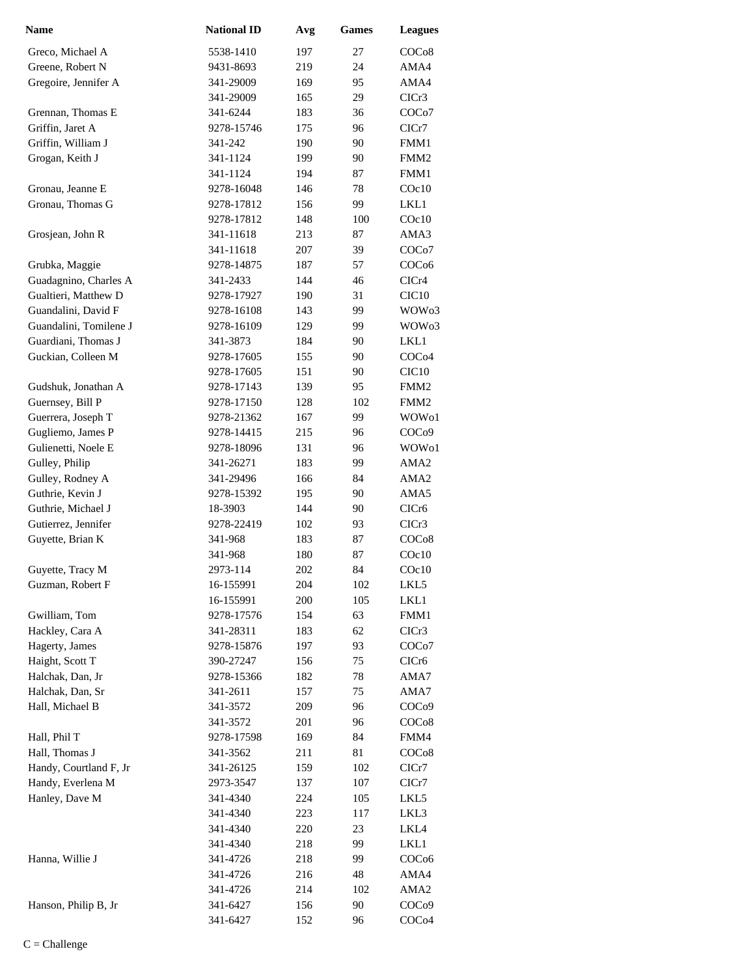| <b>Name</b>            | <b>National ID</b> | Avg | <b>Games</b> | <b>Leagues</b>     |
|------------------------|--------------------|-----|--------------|--------------------|
| Greco, Michael A       | 5538-1410          | 197 | 27           | COCo8              |
| Greene, Robert N       | 9431-8693          | 219 | 24           | AMA4               |
| Gregoire, Jennifer A   | 341-29009          | 169 | 95           | AMA4               |
|                        | 341-29009          | 165 | 29           | CICr3              |
| Grennan, Thomas E      | 341-6244           | 183 | 36           | COC <sub>o</sub> 7 |
| Griffin, Jaret A       | 9278-15746         | 175 | 96           | ClCr7              |
| Griffin, William J     | 341-242            | 190 | 90           | FMM1               |
| Grogan, Keith J        | 341-1124           | 199 | 90           | FMM <sub>2</sub>   |
|                        | 341-1124           | 194 | 87           | FMM1               |
| Gronau, Jeanne E       | 9278-16048         | 146 | 78           | $C$ Oc $10$        |
| Gronau, Thomas G       | 9278-17812         | 156 | 99           | LKL1               |
|                        | 9278-17812         | 148 | 100          | $C$ Oc $10$        |
| Grosjean, John R       | 341-11618          | 213 | 87           | AMA3               |
|                        | 341-11618          | 207 | 39           | COC <sub>o</sub> 7 |
| Grubka, Maggie         | 9278-14875         | 187 | 57           | COC <sub>06</sub>  |
| Guadagnino, Charles A  | 341-2433           | 144 | 46           | CICr4              |
| Gualtieri, Matthew D   | 9278-17927         | 190 | 31           | CIC <sub>10</sub>  |
| Guandalini, David F    | 9278-16108         | 143 | 99           | WOW <sub>03</sub>  |
| Guandalini, Tomilene J | 9278-16109         | 129 | 99           | WOW <sub>03</sub>  |
| Guardiani, Thomas J    | 341-3873           | 184 | 90           | LKL1               |
| Guckian, Colleen M     | 9278-17605         | 155 | 90           | COC <sub>04</sub>  |
|                        | 9278-17605         | 151 | 90           | CIC <sub>10</sub>  |
| Gudshuk, Jonathan A    | 9278-17143         | 139 | 95           | FMM <sub>2</sub>   |
| Guernsey, Bill P       | 9278-17150         | 128 | 102          | FMM <sub>2</sub>   |
| Guerrera, Joseph T     | 9278-21362         | 167 | 99           | WOW <sub>01</sub>  |
| Gugliemo, James P      | 9278-14415         | 215 | 96           | COC <sub>09</sub>  |
| Gulienetti, Noele E    | 9278-18096         | 131 | 96           | WOW <sub>01</sub>  |
| Gulley, Philip         | 341-26271          | 183 | 99           | AMA <sub>2</sub>   |
| Gulley, Rodney A       | 341-29496          | 166 | 84           | AMA2               |
| Guthrie, Kevin J       | 9278-15392         | 195 | 90           | AMA5               |
| Guthrie, Michael J     | 18-3903            | 144 | 90           | CICr <sub>6</sub>  |
| Gutierrez, Jennifer    | 9278-22419         | 102 | 93           | CICr3              |
| Guyette, Brian K       | 341-968            | 183 | 87           | COCo8              |
|                        | 341-968            | 180 | 87           | COc10              |
| Guyette, Tracy M       | 2973-114           | 202 | 84           | COc10              |
| Guzman, Robert F       | 16-155991          | 204 | 102          | LKL5               |
|                        | 16-155991          | 200 | 105          | LKL1               |
| Gwilliam, Tom          | 9278-17576         | 154 | 63           | FMM1               |
| Hackley, Cara A        | 341-28311          | 183 | 62           | CICr3              |
| Hagerty, James         | 9278-15876         | 197 | 93           | COC <sub>o</sub> 7 |
| Haight, Scott T        | 390-27247          | 156 | 75           | CICr6              |
| Halchak, Dan, Jr       | 9278-15366         | 182 | 78           | AMA7               |
| Halchak, Dan, Sr       | 341-2611           | 157 | 75           | AMA7               |
| Hall, Michael B        | 341-3572           | 209 | 96           | COC <sub>09</sub>  |
|                        | 341-3572           | 201 | 96           | COC <sub>08</sub>  |
| Hall, Phil T           | 9278-17598         | 169 | 84           | FMM4               |
| Hall, Thomas J         | 341-3562           | 211 | 81           | COC <sub>08</sub>  |
| Handy, Courtland F, Jr | 341-26125          | 159 | 102          | ClCr7              |
| Handy, Everlena M      | 2973-3547          | 137 | 107          | ClCr7              |
| Hanley, Dave M         | 341-4340           | 224 | 105          | LKL5               |
|                        | 341-4340           | 223 | 117          | LKL3               |
|                        | 341-4340           | 220 | 23           | LKL4               |
|                        | 341-4340           | 218 | 99           | LKL1               |
| Hanna, Willie J        | 341-4726           | 218 | 99           | COC <sub>06</sub>  |
|                        | 341-4726           | 216 | 48           | AMA4               |
|                        | 341-4726           | 214 | 102          | AMA2               |
| Hanson, Philip B, Jr   | 341-6427           | 156 | 90           | COC <sub>09</sub>  |
|                        | 341-6427           | 152 | 96           | COC <sub>04</sub>  |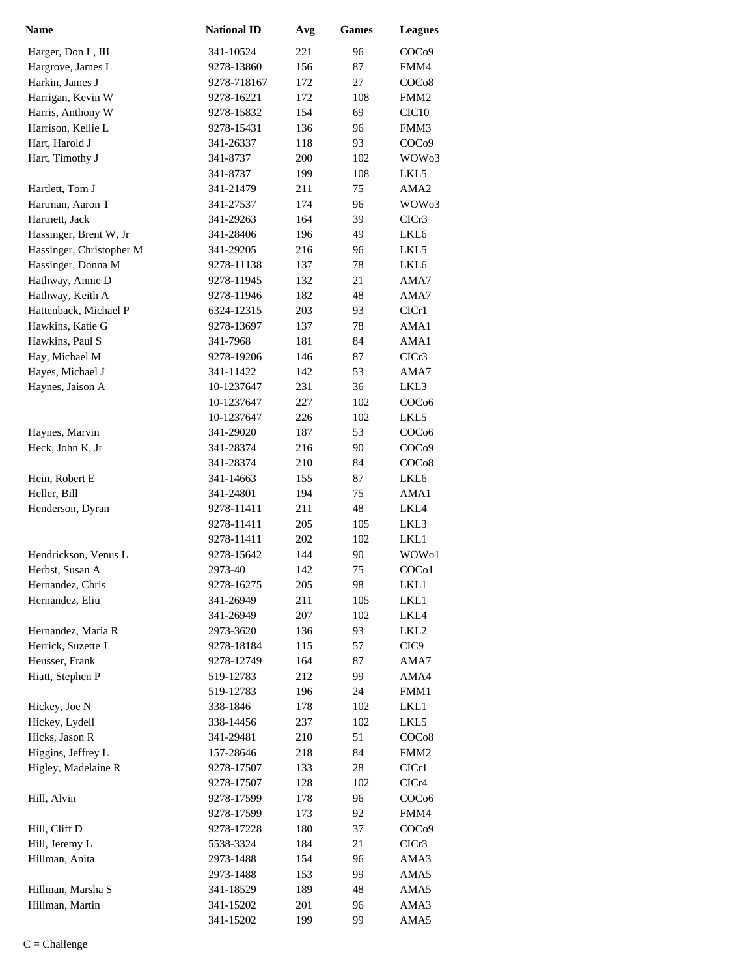| <b>Name</b>              | <b>National ID</b> | Avg        | <b>Games</b> | <b>Leagues</b>    |
|--------------------------|--------------------|------------|--------------|-------------------|
| Harger, Don L, III       | 341-10524          | 221        | 96           | COC <sub>09</sub> |
| Hargrove, James L        | 9278-13860         | 156        | 87           | FMM4              |
| Harkin, James J          | 9278-718167        | 172        | 27           | COCo8             |
| Harrigan, Kevin W        | 9278-16221         | 172        | 108          | FMM <sub>2</sub>  |
| Harris, Anthony W        | 9278-15832         | 154        | 69           | CIC <sub>10</sub> |
| Harrison, Kellie L       | 9278-15431         | 136        | 96           | FMM3              |
| Hart, Harold J           | 341-26337          | 118        | 93           | COC <sub>09</sub> |
| Hart, Timothy J          | 341-8737           | 200        | 102          | WOW <sub>03</sub> |
|                          | 341-8737           | 199        | 108          | LKL5              |
| Hartlett, Tom J          | 341-21479          | 211        | 75           | AMA <sub>2</sub>  |
| Hartman, Aaron T         | 341-27537          | 174        | 96           | WOW <sub>03</sub> |
| Hartnett, Jack           | 341-29263          | 164        | 39           | ClCr3             |
| Hassinger, Brent W, Jr   | 341-28406          | 196        | 49           | LKL6              |
| Hassinger, Christopher M | 341-29205          | 216        | 96           | LKL5              |
| Hassinger, Donna M       | 9278-11138         | 137        | 78           | LKL6              |
| Hathway, Annie D         | 9278-11945         | 132        | 21           | AMA7              |
| Hathway, Keith A         | 9278-11946         | 182        | 48           | AMA7              |
| Hattenback, Michael P    | 6324-12315         | 203        | 93           | ClCr1             |
| Hawkins, Katie G         | 9278-13697         | 137        | 78           | AMA1              |
| Hawkins, Paul S          | 341-7968           | 181        | 84           | AMA1              |
| Hay, Michael M           | 9278-19206         | 146        | 87           | CICr3             |
| Hayes, Michael J         | 341-11422          | 142        | 53           | AMA7              |
| Haynes, Jaison A         | 10-1237647         | 231        | 36           | LKL3              |
|                          | 10-1237647         | 227        | 102          | COC <sub>06</sub> |
|                          | 10-1237647         | 226        | 102          | LKL5              |
| Haynes, Marvin           | 341-29020          | 187        | 53           | COC <sub>06</sub> |
| Heck, John K, Jr         | 341-28374          | 216        | 90           | COC <sub>09</sub> |
|                          | 341-28374          | 210        | 84           | COC <sub>08</sub> |
| Hein, Robert E           | 341-14663          | 155        | 87           | LKL6              |
| Heller, Bill             | 341-24801          | 194        | 75           | AMA1              |
| Henderson, Dyran         | 9278-11411         | 211        | 48           | LKL4              |
|                          | 9278-11411         | 205        | 105          | LKL3              |
|                          | 9278-11411         | 202        | 102          | LKL1              |
| Hendrickson, Venus L     | 9278-15642         | 144        | 90           | WOW <sub>o1</sub> |
| Herbst, Susan A          | 2973-40            | 142        | 75           | COC <sub>o1</sub> |
| Hernandez, Chris         | 9278-16275         | 205        | 98           | LKL1              |
| Hernandez, Eliu          | 341-26949          | 211        | 105          | LKL1              |
|                          | 341-26949          | 207        | 102          | LKL4              |
| Hernandez, Maria R       | 2973-3620          | 136        | 93           | LKL <sub>2</sub>  |
| Herrick, Suzette J       | 9278-18184         | 115        | 57           | CIC <sub>9</sub>  |
| Heusser, Frank           | 9278-12749         | 164        | 87           | AMA7              |
| Hiatt, Stephen P         | 519-12783          | 212        | 99           | AMA4              |
|                          | 519-12783          | 196        | 24           | FMM1              |
| Hickey, Joe N            | 338-1846           | 178        | 102          | LKL1              |
| Hickey, Lydell           | 338-14456          | 237        | 102          | LKL5              |
| Hicks, Jason R           | 341-29481          | 210        | 51           | COCo8             |
| Higgins, Jeffrey L       | 157-28646          | 218        | 84           | FMM <sub>2</sub>  |
| Higley, Madelaine R      | 9278-17507         | 133        | $28\,$       | ClCr1             |
|                          | 9278-17507         | 128        | 102          | CICr4             |
| Hill, Alvin              | 9278-17599         | 178        | 96           | COC <sub>06</sub> |
|                          | 9278-17599         | 173        | 92           | FMM4              |
| Hill, Cliff D            | 9278-17228         | 180        | 37           | COC <sub>09</sub> |
| Hill, Jeremy L           | 5538-3324          | 184        | 21           | CICr3             |
| Hillman, Anita           | 2973-1488          | 154        | 96           | AMA3              |
| Hillman, Marsha S        | 2973-1488          | 153<br>189 | 99<br>48     | AMA5<br>AMA5      |
| Hillman, Martin          | 341-18529          | 201        | 96           |                   |
|                          | 341-15202          | 199        | 99           | AMA3              |
|                          | 341-15202          |            |              | AMA5              |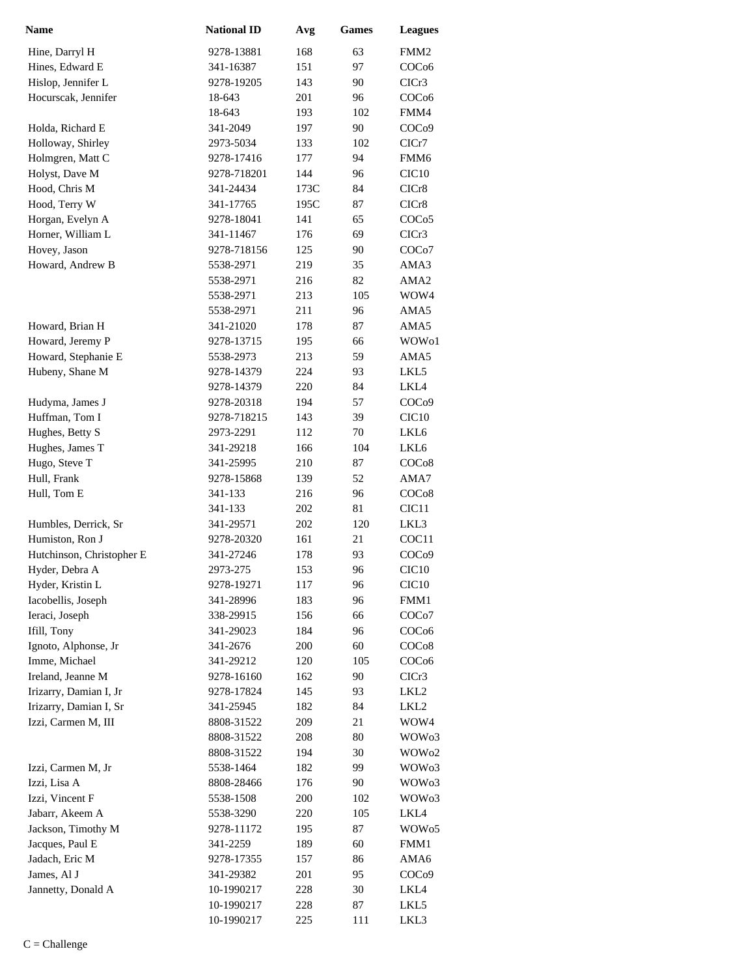| <b>Name</b>               | <b>National ID</b> | Avg  | <b>Games</b> | <b>Leagues</b>     |
|---------------------------|--------------------|------|--------------|--------------------|
| Hine, Darryl H            | 9278-13881         | 168  | 63           | FMM <sub>2</sub>   |
| Hines, Edward E           | 341-16387          | 151  | 97           | COC <sub>06</sub>  |
| Hislop, Jennifer L        | 9278-19205         | 143  | 90           | CICr3              |
| Hocurscak, Jennifer       | 18-643             | 201  | 96           | COC <sub>06</sub>  |
|                           | 18-643             | 193  | 102          | FMM4               |
| Holda, Richard E          | 341-2049           | 197  | 90           | COC <sub>09</sub>  |
| Holloway, Shirley         | 2973-5034          | 133  | 102          | ClCr7              |
| Holmgren, Matt C          | 9278-17416         | 177  | 94           | FMM <sub>6</sub>   |
| Holyst, Dave M            | 9278-718201        | 144  | 96           | CIC <sub>10</sub>  |
| Hood, Chris M             | 341-24434          | 173C | 84           | CICr8              |
| Hood, Terry W             | 341-17765          | 195C | 87           | CICr8              |
| Horgan, Evelyn A          | 9278-18041         | 141  | 65           | COCo <sub>5</sub>  |
| Horner, William L         | 341-11467          | 176  | 69           | CICr3              |
| Hovey, Jason              | 9278-718156        | 125  | 90           | COC <sub>o</sub> 7 |
| Howard, Andrew B          | 5538-2971          | 219  | 35           | AMA3               |
|                           | 5538-2971          | 216  | 82           | AMA <sub>2</sub>   |
|                           | 5538-2971          | 213  | 105          | WOW4               |
|                           | 5538-2971          | 211  | 96           | AMA5               |
| Howard, Brian H           | 341-21020          | 178  | 87           | AMA5               |
| Howard, Jeremy P          | 9278-13715         | 195  | 66           | WOW01              |
| Howard, Stephanie E       | 5538-2973          | 213  | 59           | AMA5               |
| Hubeny, Shane M           | 9278-14379         | 224  | 93           | LKL5               |
|                           | 9278-14379         | 220  | 84           | LKL4               |
| Hudyma, James J           | 9278-20318         | 194  | 57           | COC <sub>09</sub>  |
| Huffman, Tom I            | 9278-718215        | 143  | 39           | CIC <sub>10</sub>  |
| Hughes, Betty S           | 2973-2291          | 112  | 70           | LKL6               |
| Hughes, James T           | 341-29218          | 166  | 104          | LKL6               |
| Hugo, Steve T             | 341-25995          | 210  | 87           | COC <sub>08</sub>  |
| Hull, Frank               | 9278-15868         | 139  | 52           | AMA7               |
| Hull, Tom E               | 341-133            | 216  | 96           | COCo8              |
|                           | 341-133            | 202  | 81           | CIC <sub>11</sub>  |
| Humbles, Derrick, Sr      | 341-29571          | 202  | 120          | LKL3               |
| Humiston, Ron J           | 9278-20320         | 161  | 21           | COC <sub>11</sub>  |
| Hutchinson, Christopher E | 341-27246          | 178  | 93           | COC <sub>09</sub>  |
| Hyder, Debra A            | 2973-275           | 153  | 96           | CIC <sub>10</sub>  |
| Hyder, Kristin L          | 9278-19271         | 117  | 96           | CIC <sub>10</sub>  |
| Iacobellis, Joseph        | 341-28996          | 183  | 96           | FMM1               |
| Ieraci, Joseph            | 338-29915          | 156  | 66           | COC <sub>o</sub> 7 |
| Ifill, Tony               | 341-29023          | 184  | 96           | COC <sub>06</sub>  |
| Ignoto, Alphonse, Jr      | 341-2676           | 200  | 60           | COC <sub>08</sub>  |
| Imme, Michael             | 341-29212          | 120  | 105          | COC <sub>06</sub>  |
| Ireland, Jeanne M         | 9278-16160         | 162  | 90           | CICr3              |
| Irizarry, Damian I, Jr    | 9278-17824         | 145  | 93           | LKL <sub>2</sub>   |
| Irizarry, Damian I, Sr    | 341-25945          | 182  | 84           | LKL <sub>2</sub>   |
| Izzi, Carmen M, III       | 8808-31522         | 209  | 21           | WOW4               |
|                           | 8808-31522         | 208  | 80           | WOW <sub>03</sub>  |
|                           | 8808-31522         | 194  | 30           | WOW <sub>02</sub>  |
| Izzi, Carmen M, Jr        | 5538-1464          | 182  | 99           | WOW <sub>03</sub>  |
| Izzi, Lisa A              | 8808-28466         | 176  | 90           | WOW <sub>03</sub>  |
| Izzi, Vincent F           | 5538-1508          | 200  | 102          | WOW <sub>03</sub>  |
| Jabarr, Akeem A           | 5538-3290          | 220  | 105          | LKL4               |
| Jackson, Timothy M        | 9278-11172         | 195  | 87           | WOW <sub>05</sub>  |
| Jacques, Paul E           | 341-2259           | 189  | 60           | FMM1               |
| Jadach, Eric M            | 9278-17355         | 157  | 86           | AMA6               |
| James, Al J               | 341-29382          | 201  | 95           | COC <sub>09</sub>  |
| Jannetty, Donald A        | 10-1990217         | 228  | 30           | LKL4               |
|                           | 10-1990217         | 228  | 87           | LKL5               |
|                           | 10-1990217         | 225  | 111          | LKL3               |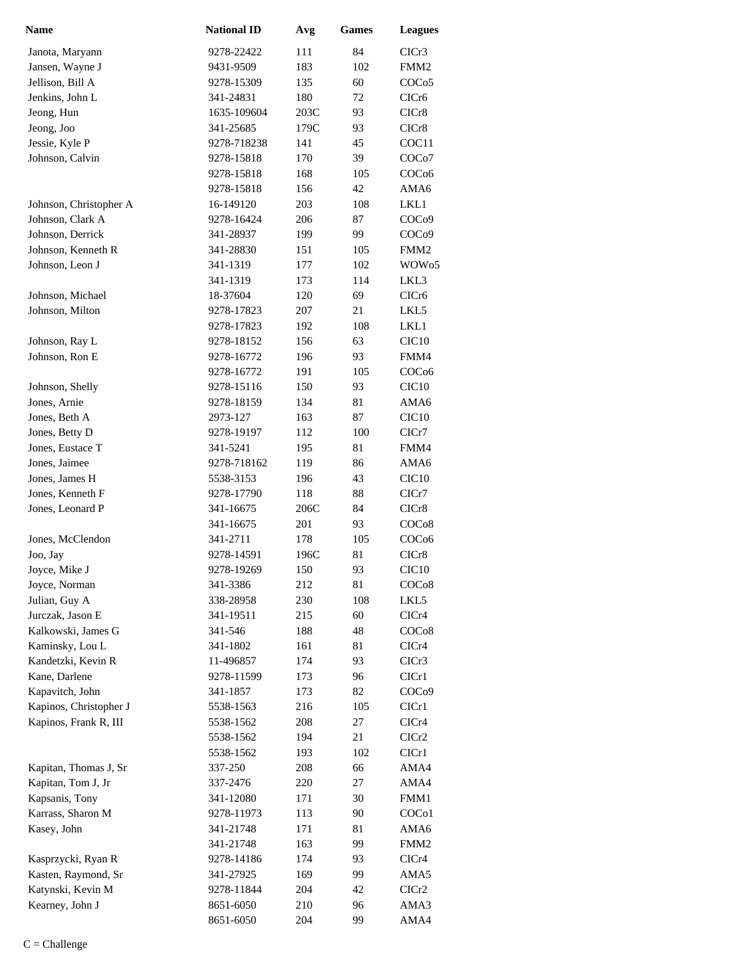| Name                   | <b>National ID</b> | Avg  | <b>Games</b> | <b>Leagues</b>     |
|------------------------|--------------------|------|--------------|--------------------|
| Janota, Maryann        | 9278-22422         | 111  | 84           | CICr <sub>3</sub>  |
| Jansen, Wayne J        | 9431-9509          | 183  | 102          | FMM <sub>2</sub>   |
| Jellison, Bill A       | 9278-15309         | 135  | 60           | COC <sub>05</sub>  |
| Jenkins, John L        | 341-24831          | 180  | 72           | CICr <sub>6</sub>  |
| Jeong, Hun             | 1635-109604        | 203C | 93           | CICr8              |
| Jeong, Joo             | 341-25685          | 179C | 93           | CICr8              |
| Jessie, Kyle P         | 9278-718238        | 141  | 45           | COC11              |
| Johnson, Calvin        | 9278-15818         | 170  | 39           | COC <sub>o</sub> 7 |
|                        | 9278-15818         | 168  | 105          | COC <sub>06</sub>  |
|                        | 9278-15818         | 156  | 42           | AMA6               |
| Johnson, Christopher A | 16-149120          | 203  | 108          | LKL1               |
| Johnson, Clark A       | 9278-16424         | 206  | 87           | COC <sub>09</sub>  |
| Johnson, Derrick       | 341-28937          | 199  | 99           | COC <sub>09</sub>  |
| Johnson, Kenneth R     | 341-28830          | 151  | 105          | FMM <sub>2</sub>   |
| Johnson, Leon J        | 341-1319           | 177  | 102          | WOW <sub>05</sub>  |
|                        | 341-1319           | 173  | 114          | LKL3               |
| Johnson, Michael       | 18-37604           | 120  | 69           | CICr6              |
| Johnson, Milton        | 9278-17823         | 207  | 21           | LKL5               |
|                        | 9278-17823         | 192  | 108          | LKL1               |
| Johnson, Ray L         | 9278-18152         | 156  | 63           | CIC10              |
| Johnson, Ron E         | 9278-16772         | 196  | 93           | FMM4               |
|                        | 9278-16772         | 191  | 105          | COC <sub>06</sub>  |
| Johnson, Shelly        | 9278-15116         | 150  | 93           | CIC <sub>10</sub>  |
| Jones, Arnie           | 9278-18159         | 134  | 81           | AMA6               |
| Jones, Beth A          | 2973-127           | 163  | 87           | CIC <sub>10</sub>  |
| Jones, Betty D         | 9278-19197         | 112  | 100          | ClCr7              |
| Jones, Eustace T       | 341-5241           | 195  | 81           | FMM4               |
| Jones, Jaimee          | 9278-718162        | 119  | 86           | AMA6               |
| Jones, James H         | 5538-3153          | 196  | 43           | CIC <sub>10</sub>  |
| Jones, Kenneth F       | 9278-17790         | 118  | 88           | CICr7              |
| Jones, Leonard P       | 341-16675          | 206C | 84           | CICr8              |
|                        | 341-16675          | 201  | 93           | COC <sub>08</sub>  |
| Jones, McClendon       | 341-2711           | 178  | 105          | COC <sub>06</sub>  |
| Joo, Jay               | 9278-14591         | 196C | 81           | CICr8              |
| Joyce, Mike J          | 9278-19269         | 150  | 93           | CIC <sub>10</sub>  |
| Joyce, Norman          | 341-3386           | 212  | 81           | COC <sub>08</sub>  |
| Julian, Guy A          | 338-28958          | 230  | 108          | LKL5               |
| Jurczak, Jason E       | 341-19511          | 215  | 60           | CICr4              |
| Kalkowski, James G     | 341-546            | 188  | 48           | COC <sub>08</sub>  |
| Kaminsky, Lou L        | 341-1802           | 161  | 81           | CICr4              |
| Kandetzki, Kevin R     | 11-496857          | 174  | 93           | CICr3              |
| Kane, Darlene          | 9278-11599         | 173  | 96           | ClCr1              |
| Kapavitch, John        | 341-1857           | 173  | 82           | COC <sub>09</sub>  |
| Kapinos, Christopher J | 5538-1563          | 216  | 105          | ClCr1              |
| Kapinos, Frank R, III  | 5538-1562          | 208  | 27           | CICr4              |
|                        | 5538-1562          | 194  | 21           | CICr2              |
|                        | 5538-1562          | 193  | 102          | ClCr1              |
| Kapitan, Thomas J, Sr  | 337-250            | 208  | 66           | AMA4               |
| Kapitan, Tom J, Jr     | 337-2476           | 220  | 27           | AMA4               |
| Kapsanis, Tony         | 341-12080          | 171  | 30           | FMM1               |
| Karrass, Sharon M      | 9278-11973         | 113  | 90           | COC <sub>o</sub> 1 |
| Kasey, John            | 341-21748          | 171  | 81           | AMA6               |
|                        | 341-21748          | 163  | 99           | FMM <sub>2</sub>   |
| Kasprzycki, Ryan R     | 9278-14186         | 174  | 93           | CICr4              |
| Kasten, Raymond, Sr    | 341-27925          | 169  | 99           | AMA5               |
| Katynski, Kevin M      | 9278-11844         | 204  | 42           | ClCr2              |
| Kearney, John J        | 8651-6050          | 210  | 96           | AMA3               |
|                        | 8651-6050          | 204  | 99           | AMA4               |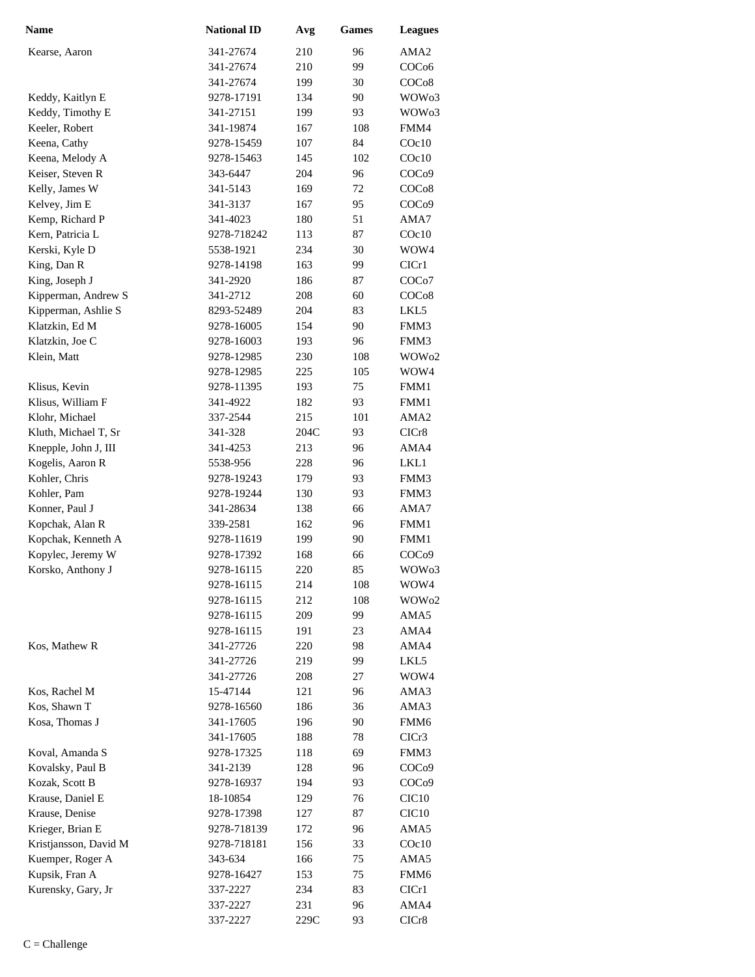| <b>Name</b>           | <b>National ID</b>      | Avg        | <b>Games</b> | <b>Leagues</b>     |
|-----------------------|-------------------------|------------|--------------|--------------------|
| Kearse, Aaron         | 341-27674               | 210        | 96           | AMA2               |
|                       | 341-27674               | 210        | 99           | COC <sub>06</sub>  |
|                       | 341-27674               | 199        | 30           | COC <sub>08</sub>  |
| Keddy, Kaitlyn E      | 9278-17191              | 134        | 90           | WOW03              |
| Keddy, Timothy E      | 341-27151               | 199        | 93           | WOW03              |
| Keeler, Robert        | 341-19874               | 167        | 108          | FMM4               |
| Keena, Cathy          | 9278-15459              | 107        | 84           | $C$ Oc $10$        |
| Keena, Melody A       | 9278-15463              | 145        | 102          | $C$ Oc $10$        |
| Keiser, Steven R      | 343-6447                | 204        | 96           | COC <sub>09</sub>  |
| Kelly, James W        | 341-5143                | 169        | 72           | COC <sub>08</sub>  |
| Kelvey, Jim E         | 341-3137                | 167        | 95           | COC <sub>09</sub>  |
| Kemp, Richard P       | 341-4023                | 180        | 51           | AMA7               |
| Kern, Patricia L      | 9278-718242             | 113        | 87           | $C$ Oc $10$        |
| Kerski, Kyle D        | 5538-1921               | 234        | 30           | WOW4               |
| King, Dan R           | 9278-14198              | 163        | 99           | ClCr1              |
| King, Joseph J        | 341-2920                | 186        | 87           | COC <sub>o</sub> 7 |
| Kipperman, Andrew S   | 341-2712                | 208        | 60           | COC <sub>08</sub>  |
| Kipperman, Ashlie S   | 8293-52489              | 204        | 83           | LKL5               |
| Klatzkin, Ed M        | 9278-16005              | 154        | 90           | FMM3               |
| Klatzkin, Joe C       | 9278-16003              | 193        | 96           | FMM3               |
| Klein, Matt           | 9278-12985              | 230        | 108          | WOW02              |
|                       | 9278-12985              | 225        | 105          | WOW4               |
| Klisus, Kevin         | 9278-11395              | 193        | 75           | FMM1               |
| Klisus, William F     | 341-4922                | 182        | 93           | FMM1               |
| Klohr, Michael        | 337-2544                | 215        | 101          | AMA <sub>2</sub>   |
| Kluth, Michael T, Sr  | 341-328                 | 204C       | 93           | CICr8              |
| Knepple, John J, III  | 341-4253                | 213        | 96           | AMA4               |
| Kogelis, Aaron R      | 5538-956                | 228        | 96           | LKL1               |
| Kohler, Chris         | 9278-19243              | 179        | 93           | FMM3               |
| Kohler, Pam           | 9278-19244              | 130        | 93           | FMM3               |
| Konner, Paul J        | 341-28634               | 138        | 66           | AMA7               |
| Kopchak, Alan R       | 339-2581                | 162        | 96           | FMM1               |
| Kopchak, Kenneth A    | 9278-11619              | 199        | 90           | FMM1               |
| Kopylec, Jeremy W     | 9278-17392              | 168        | 66           | COC <sub>09</sub>  |
| Korsko, Anthony J     | 9278-16115              | 220        | 85           | WOW <sub>03</sub>  |
|                       | 9278-16115              | 214        | 108          | WOW4               |
|                       | 9278-16115              | 212        | 108          | WOW02              |
|                       | 9278-16115              | 209        | 99           | AMA5               |
| Kos, Mathew R         | 9278-16115<br>341-27726 | 191        | 23           | AMA4               |
|                       |                         | 220        | 98           | AMA4<br>LKL5       |
|                       | 341-27726<br>341-27726  | 219<br>208 | 99<br>27     | WOW4               |
| Kos, Rachel M         | 15-47144                | 121        | 96           | AMA3               |
| Kos, Shawn T          | 9278-16560              | 186        | 36           | AMA3               |
| Kosa, Thomas J        | 341-17605               | 196        | 90           | FMM <sub>6</sub>   |
|                       | 341-17605               | 188        | 78           | CICr3              |
| Koval, Amanda S       | 9278-17325              | 118        | 69           | FMM3               |
| Kovalsky, Paul B      | 341-2139                | 128        | 96           | COC <sub>09</sub>  |
| Kozak, Scott B        | 9278-16937              | 194        | 93           | COC <sub>09</sub>  |
| Krause, Daniel E      | 18-10854                | 129        | 76           | CIC <sub>10</sub>  |
| Krause, Denise        | 9278-17398              | 127        | 87           | CIC <sub>10</sub>  |
| Krieger, Brian E      | 9278-718139             | 172        | 96           | AMA5               |
| Kristjansson, David M | 9278-718181             | 156        | 33           | COc10              |
| Kuemper, Roger A      | 343-634                 | 166        | 75           | AMA5               |
| Kupsik, Fran A        | 9278-16427              | 153        | 75           | FMM6               |
| Kurensky, Gary, Jr    | 337-2227                | 234        | 83           | CIC <sub>r</sub> 1 |
|                       | 337-2227                | 231        | 96           | AMA4               |
|                       | 337-2227                | 229C       | 93           | CICr8              |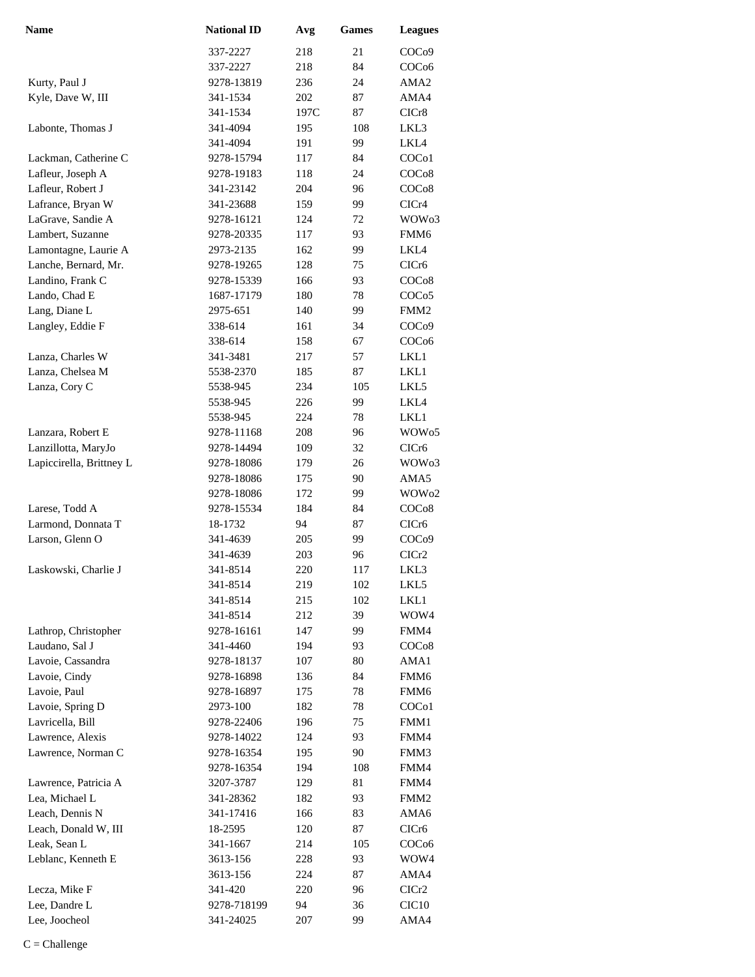| <b>Name</b>              | <b>National ID</b> | Avg  | <b>Games</b> | <b>Leagues</b>     |
|--------------------------|--------------------|------|--------------|--------------------|
|                          | 337-2227           | 218  | 21           | COC <sub>09</sub>  |
|                          | 337-2227           | 218  | 84           | COC <sub>06</sub>  |
| Kurty, Paul J            | 9278-13819         | 236  | 24           | AMA <sub>2</sub>   |
| Kyle, Dave W, III        | 341-1534           | 202  | 87           | AMA4               |
|                          | 341-1534           | 197C | 87           | CICr8              |
| Labonte, Thomas J        | 341-4094           | 195  | 108          | LKL3               |
|                          | 341-4094           | 191  | 99           | LKL4               |
| Lackman, Catherine C     | 9278-15794         | 117  | 84           | COC <sub>o</sub> 1 |
| Lafleur, Joseph A        | 9278-19183         | 118  | 24           | COC <sub>o</sub> 8 |
| Lafleur, Robert J        | 341-23142          | 204  | 96           | COC <sub>o</sub> 8 |
| Lafrance, Bryan W        | 341-23688          | 159  | 99           | CICr4              |
| LaGrave, Sandie A        | 9278-16121         | 124  | 72           | WOW <sub>03</sub>  |
| Lambert, Suzanne         | 9278-20335         | 117  | 93           | FMM <sub>6</sub>   |
| Lamontagne, Laurie A     | 2973-2135          | 162  | 99           | LKL4               |
| Lanche, Bernard, Mr.     | 9278-19265         | 128  | 75           | CIC <sub>r6</sub>  |
| Landino, Frank C         | 9278-15339         | 166  | 93           | COC <sub>o</sub> 8 |
| Lando, Chad E            | 1687-17179         | 180  | 78           | COCo <sub>5</sub>  |
| Lang, Diane L            | 2975-651           | 140  | 99           | FMM <sub>2</sub>   |
| Langley, Eddie F         | 338-614            | 161  | 34           | COC <sub>09</sub>  |
|                          | 338-614            | 158  | 67           | COC <sub>06</sub>  |
| Lanza, Charles W         | 341-3481           | 217  | 57           | LKL1               |
| Lanza, Chelsea M         | 5538-2370          | 185  | 87           | LKL1               |
| Lanza, Cory C            | 5538-945           | 234  | 105          | LKL5               |
|                          | 5538-945           | 226  | 99           | LKL4               |
|                          | 5538-945           | 224  | 78           | LKL1               |
| Lanzara, Robert E        | 9278-11168         | 208  | 96           | WOW <sub>05</sub>  |
| Lanzillotta, MaryJo      | 9278-14494         | 109  | 32           | CICr6              |
| Lapiccirella, Brittney L | 9278-18086         | 179  | 26           | WOW <sub>03</sub>  |
|                          | 9278-18086         | 175  | 90           | AMA5               |
|                          | 9278-18086         | 172  | 99           | WOW <sub>02</sub>  |
| Larese, Todd A           | 9278-15534         | 184  | 84           | COC <sub>08</sub>  |
| Larmond, Donnata T       | 18-1732            | 94   | 87           | CIC <sub>r6</sub>  |
| Larson, Glenn O          | 341-4639           | 205  | 99           | COC <sub>09</sub>  |
|                          | 341-4639           | 203  | 96           | CICr2              |
| Laskowski, Charlie J     | 341-8514           | 220  | 117          | LKL3               |
|                          | 341-8514           | 219  | 102          | LKL5               |
|                          | 341-8514           | 215  | 102          | LKL1               |
|                          | 341-8514           | 212  | 39           | WOW4               |
| Lathrop, Christopher     | 9278-16161         | 147  | 99           | FMM4               |
| Laudano, Sal J           | 341-4460           | 194  | 93           | COC <sub>08</sub>  |
| Lavoie, Cassandra        | 9278-18137         | 107  | 80           | AMA1               |
| Lavoie, Cindy            | 9278-16898         | 136  | 84           | FMM6               |
| Lavoie, Paul             | 9278-16897         | 175  | 78           | FMM6               |
| Lavoie, Spring D         | 2973-100           | 182  | 78           | COC <sub>o</sub> 1 |
| Lavricella, Bill         | 9278-22406         | 196  | 75           | FMM1               |
| Lawrence, Alexis         | 9278-14022         | 124  | 93           | FMM4               |
| Lawrence, Norman C       | 9278-16354         | 195  | 90           | FMM3               |
|                          | 9278-16354         | 194  | 108          | FMM4               |
| Lawrence, Patricia A     | 3207-3787          | 129  | 81           | FMM4               |
| Lea, Michael L           | 341-28362          | 182  | 93           | FMM <sub>2</sub>   |
| Leach, Dennis N          | 341-17416          | 166  | 83           | AMA6               |
| Leach, Donald W, III     | 18-2595            | 120  | 87           | CICr <sub>6</sub>  |
| Leak, Sean L             | 341-1667           | 214  | 105          | COC <sub>06</sub>  |
| Leblanc, Kenneth E       | 3613-156           | 228  | 93           | WOW4               |
|                          | 3613-156           | 224  | 87           | AMA4               |
| Lecza, Mike F            | 341-420            | 220  | 96           | ClCr2              |
| Lee, Dandre L            | 9278-718199        | 94   | 36           | CIC <sub>10</sub>  |
| Lee, Joocheol            | 341-24025          | 207  | 99           | AMA4               |
|                          |                    |      |              |                    |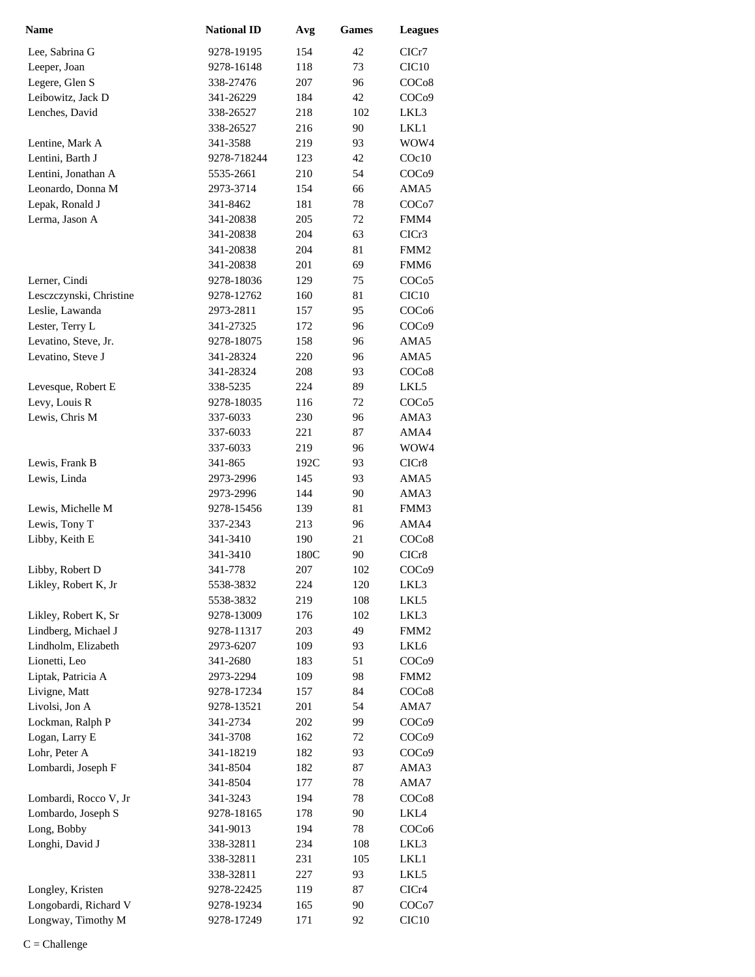| <b>Name</b>             | <b>National ID</b> | Avg  | <b>Games</b> | <b>Leagues</b>     |
|-------------------------|--------------------|------|--------------|--------------------|
| Lee, Sabrina G          | 9278-19195         | 154  | 42           | CICr7              |
| Leeper, Joan            | 9278-16148         | 118  | 73           | CIC <sub>10</sub>  |
| Legere, Glen S          | 338-27476          | 207  | 96           | COC <sub>08</sub>  |
| Leibowitz, Jack D       | 341-26229          | 184  | 42           | COC <sub>09</sub>  |
| Lenches, David          | 338-26527          | 218  | 102          | LKL3               |
|                         | 338-26527          | 216  | 90           | LKL1               |
| Lentine, Mark A         | 341-3588           | 219  | 93           | WOW4               |
| Lentini, Barth J        | 9278-718244        | 123  | 42           | COc10              |
| Lentini, Jonathan A     | 5535-2661          | 210  | 54           | COC <sub>09</sub>  |
| Leonardo, Donna M       | 2973-3714          | 154  | 66           | AMA5               |
| Lepak, Ronald J         | 341-8462           | 181  | 78           | COC <sub>o</sub> 7 |
| Lerma, Jason A          | 341-20838          | 205  | 72           | FMM4               |
|                         | 341-20838          | 204  | 63           | CICr3              |
|                         | 341-20838          | 204  | 81           | FMM <sub>2</sub>   |
|                         | 341-20838          | 201  | 69           | FMM <sub>6</sub>   |
| Lerner, Cindi           | 9278-18036         | 129  | 75           | COCo5              |
| Lesczczynski, Christine | 9278-12762         | 160  | 81           | CIC10              |
| Leslie, Lawanda         | 2973-2811          | 157  | 95           | COC <sub>06</sub>  |
| Lester, Terry L         | 341-27325          | 172  | 96           | COC <sub>09</sub>  |
| Levatino, Steve, Jr.    | 9278-18075         | 158  | 96           | AMA5               |
| Levatino, Steve J       | 341-28324          | 220  | 96           | AMA5               |
|                         | 341-28324          | 208  | 93           | COCo8              |
| Levesque, Robert E      | 338-5235           | 224  | 89           | LKL5               |
| Levy, Louis R           | 9278-18035         | 116  | 72           | COCo5              |
| Lewis, Chris M          | 337-6033           | 230  | 96           | AMA3               |
|                         | 337-6033           | 221  | 87           | AMA4               |
|                         | 337-6033           | 219  | 96           | WOW4               |
| Lewis, Frank B          | 341-865            | 192C | 93           | CICr8              |
| Lewis, Linda            | 2973-2996          | 145  | 93           | AMA5               |
|                         | 2973-2996          | 144  | 90           | AMA3               |
| Lewis, Michelle M       | 9278-15456         | 139  | 81           | FMM3               |
| Lewis, Tony T           | 337-2343           | 213  | 96           | AMA4               |
| Libby, Keith E          | 341-3410           | 190  | 21           | COC <sub>08</sub>  |
|                         | 341-3410           | 180C | 90           | CICr8              |
| Libby, Robert D         | 341-778            | 207  | 102          | COC <sub>09</sub>  |
| Likley, Robert K, Jr    | 5538-3832          | 224  | 120          | LKL3               |
|                         | 5538-3832          | 219  | 108          | LKL5               |
| Likley, Robert K, Sr    | 9278-13009         | 176  | 102          | LKL3               |
| Lindberg, Michael J     | 9278-11317         | 203  | 49           | FMM <sub>2</sub>   |
| Lindholm, Elizabeth     | 2973-6207          | 109  | 93           | LKL6               |
| Lionetti, Leo           | 341-2680           | 183  | 51           | COC <sub>09</sub>  |
| Liptak, Patricia A      | 2973-2294          | 109  | 98           | FMM <sub>2</sub>   |
| Livigne, Matt           | 9278-17234         | 157  | 84           | COC <sub>08</sub>  |
| Livolsi, Jon A          | 9278-13521         | 201  | 54           | AMA7               |
| Lockman, Ralph P        | 341-2734           | 202  | 99           | COC <sub>09</sub>  |
| Logan, Larry E          | 341-3708           | 162  | 72           | COC <sub>09</sub>  |
| Lohr, Peter A           | 341-18219          | 182  | 93           | COC <sub>09</sub>  |
| Lombardi, Joseph F      | 341-8504           | 182  | 87           | AMA3               |
|                         | 341-8504           | 177  | 78           | AMA7               |
| Lombardi, Rocco V, Jr   | 341-3243           | 194  | 78           | COC <sub>08</sub>  |
| Lombardo, Joseph S      | 9278-18165         | 178  | 90           | LKL4               |
| Long, Bobby             | 341-9013           | 194  | 78           | COC <sub>06</sub>  |
| Longhi, David J         | 338-32811          | 234  | 108          | LKL3               |
|                         | 338-32811          | 231  | 105          | LKL1               |
|                         | 338-32811          | 227  | 93           |                    |
|                         |                    |      |              | LKL5               |
| Longley, Kristen        | 9278-22425         | 119  | 87           | CICr4              |
| Longobardi, Richard V   | 9278-19234         | 165  | 90           | COC <sub>o</sub> 7 |
| Longway, Timothy M      | 9278-17249         | 171  | 92           | CIC <sub>10</sub>  |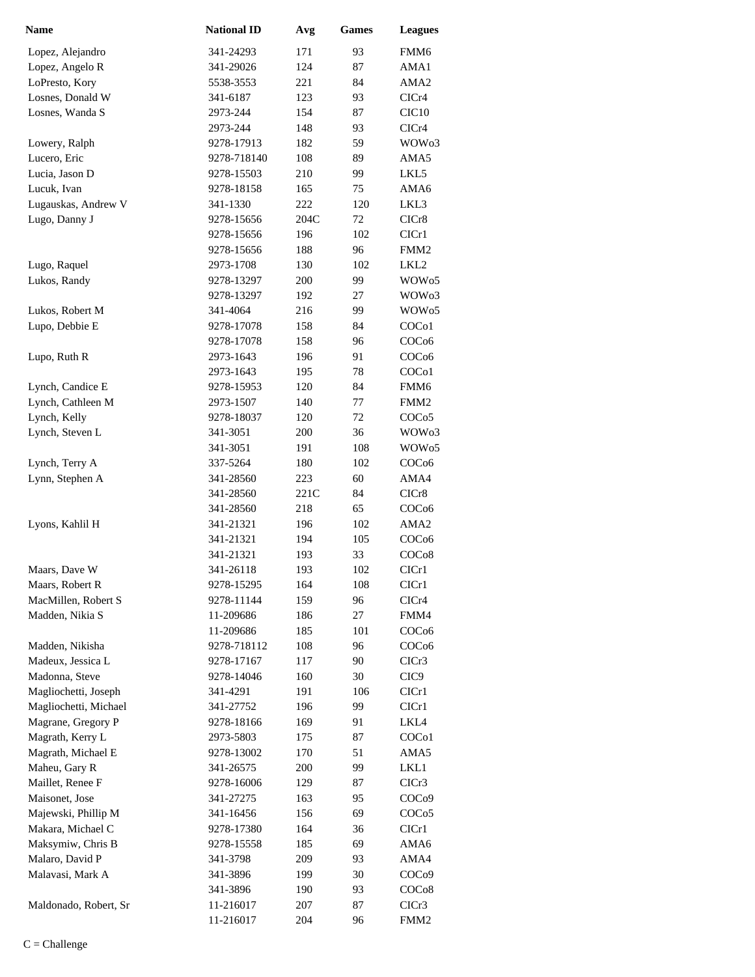| <b>Name</b>           | <b>National ID</b> | Avg  | <b>Games</b> | <b>Leagues</b>     |
|-----------------------|--------------------|------|--------------|--------------------|
| Lopez, Alejandro      | 341-24293          | 171  | 93           | FMM6               |
| Lopez, Angelo R       | 341-29026          | 124  | 87           | AMA1               |
| LoPresto, Kory        | 5538-3553          | 221  | 84           | AMA <sub>2</sub>   |
| Losnes, Donald W      | 341-6187           | 123  | 93           | CICr4              |
| Losnes, Wanda S       | 2973-244           | 154  | 87           | CIC10              |
|                       | 2973-244           | 148  | 93           | CICr4              |
| Lowery, Ralph         | 9278-17913         | 182  | 59           | WOW <sub>03</sub>  |
| Lucero, Eric          | 9278-718140        | 108  | 89           | AMA5               |
| Lucia, Jason D        | 9278-15503         | 210  | 99           | LKL5               |
| Lucuk, Ivan           | 9278-18158         | 165  | 75           | AMA6               |
| Lugauskas, Andrew V   | 341-1330           | 222  | 120          | LKL3               |
| Lugo, Danny J         | 9278-15656         | 204C | 72           | CICr8              |
|                       | 9278-15656         | 196  | 102          | CIC <sub>r1</sub>  |
|                       | 9278-15656         | 188  | 96           | FMM <sub>2</sub>   |
| Lugo, Raquel          | 2973-1708          | 130  | 102          | LKL <sub>2</sub>   |
| Lukos, Randy          | 9278-13297         | 200  | 99           | WOW <sub>05</sub>  |
|                       | 9278-13297         | 192  | 27           | WOW <sub>03</sub>  |
| Lukos, Robert M       | 341-4064           | 216  | 99           | WOW <sub>05</sub>  |
| Lupo, Debbie E        | 9278-17078         | 158  | 84           | COC <sub>o1</sub>  |
|                       | 9278-17078         | 158  | 96           | COC <sub>06</sub>  |
| Lupo, Ruth R          | 2973-1643          | 196  | 91           | COC <sub>06</sub>  |
|                       | 2973-1643          | 195  | 78           | COC <sub>o</sub> 1 |
| Lynch, Candice E      | 9278-15953         | 120  | 84           | FMM6               |
| Lynch, Cathleen M     | 2973-1507          | 140  | 77           | FMM <sub>2</sub>   |
| Lynch, Kelly          | 9278-18037         | 120  | 72           | COC <sub>05</sub>  |
| Lynch, Steven L       | 341-3051           | 200  | 36           | WOW <sub>03</sub>  |
|                       | 341-3051           | 191  | 108          | WOW <sub>05</sub>  |
| Lynch, Terry A        | 337-5264           | 180  | 102          | COC <sub>06</sub>  |
| Lynn, Stephen A       | 341-28560          | 223  | 60           | AMA4               |
|                       | 341-28560          | 221C | 84           | CICr8              |
|                       | 341-28560          | 218  | 65           | COC <sub>06</sub>  |
| Lyons, Kahlil H       | 341-21321          | 196  | 102          | AMA <sub>2</sub>   |
|                       | 341-21321          | 194  | 105          | COC <sub>06</sub>  |
|                       | 341-21321          | 193  | 33           | COC <sub>08</sub>  |
| Maars, Dave W         | 341-26118          | 193  | 102          | CICr1              |
| Maars, Robert R       | 9278-15295         | 164  | 108          | CICr1              |
| MacMillen, Robert S   | 9278-11144         | 159  | 96           | CICr4              |
| Madden, Nikia S       | 11-209686          | 186  | 27           | FMM4               |
|                       | 11-209686          | 185  | 101          | COC <sub>06</sub>  |
| Madden, Nikisha       | 9278-718112        | 108  | 96           | COC <sub>06</sub>  |
| Madeux, Jessica L     | 9278-17167         | 117  | 90           | CICr3              |
| Madonna, Steve        | 9278-14046         | 160  | 30           | CIC <sub>9</sub>   |
| Magliochetti, Joseph  | 341-4291           | 191  | 106          | ClCr1              |
| Magliochetti, Michael | 341-27752          | 196  | 99           | CIC <sub>r1</sub>  |
| Magrane, Gregory P    | 9278-18166         | 169  | 91           | LKL4               |
| Magrath, Kerry L      | 2973-5803          | 175  | 87           | COC <sub>o</sub> 1 |
| Magrath, Michael E    | 9278-13002         | 170  | 51           | AMA5               |
| Maheu, Gary R         | 341-26575          | 200  | 99           | LKL1               |
| Maillet, Renee F      | 9278-16006         | 129  | 87           | CICr3              |
| Maisonet, Jose        | 341-27275          | 163  | 95           | COC <sub>09</sub>  |
|                       |                    |      |              |                    |
| Majewski, Phillip M   | 341-16456          | 156  | 69           | COC <sub>05</sub>  |
| Makara, Michael C     | 9278-17380         | 164  | 36           | CIC <sub>r1</sub>  |
| Maksymiw, Chris B     | 9278-15558         | 185  | 69           | AMA6               |
| Malaro, David P       | 341-3798           | 209  | 93           | AMA4               |
| Malavasi, Mark A      | 341-3896           | 199  | 30           | COC <sub>09</sub>  |
|                       | 341-3896           | 190  | 93           | COC <sub>08</sub>  |
| Maldonado, Robert, Sr | 11-216017          | 207  | 87           | CICr3              |
|                       | 11-216017          | 204  | 96           | FMM <sub>2</sub>   |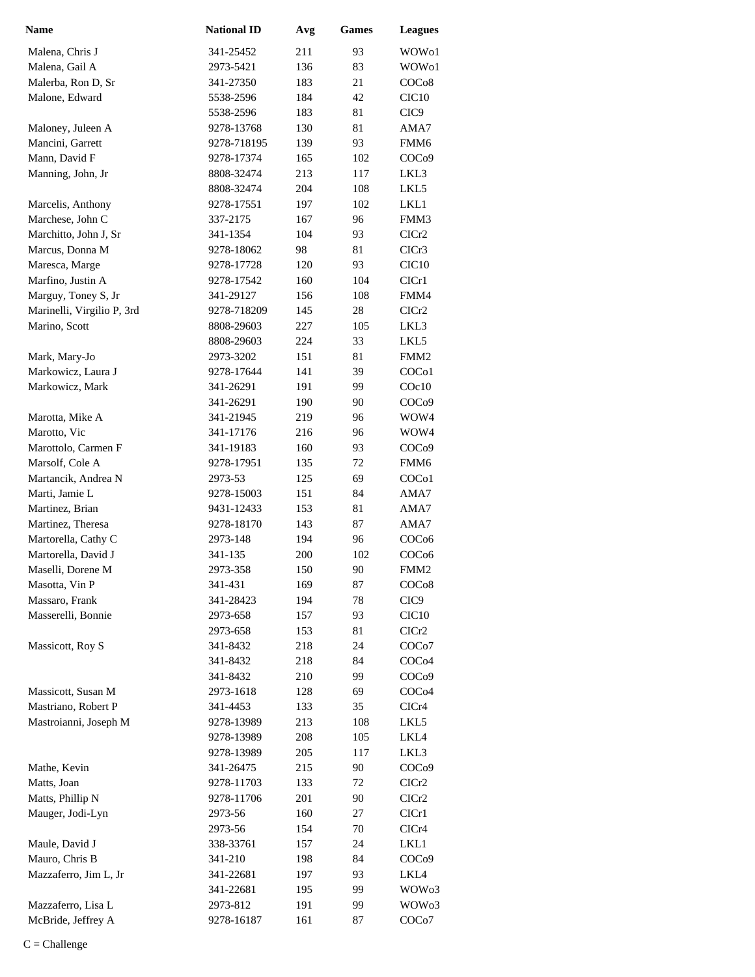| Name                                     | <b>National ID</b>  | Avg        | <b>Games</b> | <b>Leagues</b>                        |
|------------------------------------------|---------------------|------------|--------------|---------------------------------------|
| Malena, Chris J                          | 341-25452           | 211        | 93           | WOW01                                 |
| Malena, Gail A                           | 2973-5421           | 136        | 83           | WOW01                                 |
| Malerba, Ron D, Sr                       | 341-27350           | 183        | 21           | COC <sub>08</sub>                     |
| Malone, Edward                           | 5538-2596           | 184        | 42           | CIC <sub>10</sub>                     |
|                                          | 5538-2596           | 183        | 81           | CIC <sub>9</sub>                      |
| Maloney, Juleen A                        | 9278-13768          | 130        | 81           | AMA7                                  |
| Mancini, Garrett                         | 9278-718195         | 139        | 93           | FMM6                                  |
| Mann, David F                            | 9278-17374          | 165        | 102          | COC <sub>09</sub>                     |
| Manning, John, Jr                        | 8808-32474          | 213        | 117          | LKL3                                  |
|                                          | 8808-32474          | 204        | 108          | LKL5                                  |
| Marcelis, Anthony                        | 9278-17551          | 197        | 102          | LKL1                                  |
| Marchese, John C                         | 337-2175            | 167        | 96           | FMM3                                  |
| Marchitto, John J, Sr                    | 341-1354            | 104        | 93           | CICr2                                 |
| Marcus, Donna M                          | 9278-18062          | 98         | 81           | CICr3                                 |
| Maresca, Marge                           | 9278-17728          | 120        | 93           | CIC <sub>10</sub>                     |
| Marfino, Justin A                        | 9278-17542          | 160        | 104          | ClCr1                                 |
| Marguy, Toney S, Jr                      | 341-29127           | 156        | 108          | FMM4                                  |
| Marinelli, Virgilio P, 3rd               | 9278-718209         | 145        | 28           | ClCr2                                 |
| Marino, Scott                            | 8808-29603          | 227        | 105          | LKL3                                  |
|                                          | 8808-29603          | 224        | 33           | LKL5                                  |
| Mark, Mary-Jo                            | 2973-3202           | 151        | 81           | FMM <sub>2</sub>                      |
| Markowicz, Laura J                       | 9278-17644          | 141        | 39           | COC <sub>o</sub> 1                    |
| Markowicz, Mark                          | 341-26291           | 191        | 99           | $C$ Oc $10$                           |
|                                          | 341-26291           | 190        | 90           | COC <sub>09</sub>                     |
| Marotta, Mike A                          | 341-21945           | 219        | 96           | WOW4                                  |
| Marotto, Vic                             | 341-17176           | 216        | 96           | WOW4                                  |
| Marottolo, Carmen F                      | 341-19183           | 160        | 93           | COC <sub>09</sub>                     |
| Marsolf, Cole A                          | 9278-17951          | 135        | 72           | FMM6                                  |
| Martancik, Andrea N                      | 2973-53             | 125        | 69           | COC <sub>o</sub> 1                    |
| Marti, Jamie L                           | 9278-15003          | 151        | 84           | AMA7                                  |
| Martinez, Brian                          | 9431-12433          | 153        | 81           | AMA7                                  |
| Martinez, Theresa                        | 9278-18170          | 143        | 87           | AMA7                                  |
| Martorella, Cathy C                      | 2973-148            | 194        | 96           | COC <sub>06</sub>                     |
| Martorella, David J<br>Maselli, Dorene M | 341-135<br>2973-358 | 200<br>150 | 102<br>90    | COC <sub>06</sub><br>FMM <sub>2</sub> |
| Masotta, Vin P                           | 341-431             | 169        | 87           | COC <sub>08</sub>                     |
| Massaro, Frank                           | 341-28423           | 194        | 78           | CIC <sub>9</sub>                      |
| Masserelli, Bonnie                       | 2973-658            | 157        | 93           | CIC <sub>10</sub>                     |
|                                          | 2973-658            | 153        | 81           | CICr2                                 |
| Massicott, Roy S                         | 341-8432            | 218        | 24           | COC <sub>o</sub> 7                    |
|                                          | 341-8432            | 218        | 84           | COC <sub>04</sub>                     |
|                                          | 341-8432            | 210        | 99           | COC <sub>09</sub>                     |
| Massicott, Susan M                       | 2973-1618           | 128        | 69           | COC <sub>04</sub>                     |
| Mastriano, Robert P                      | 341-4453            | 133        | 35           | CICr4                                 |
| Mastroianni, Joseph M                    | 9278-13989          | 213        | 108          | LKL5                                  |
|                                          | 9278-13989          | 208        | 105          | LKL4                                  |
|                                          | 9278-13989          | 205        | 117          | LKL3                                  |
| Mathe, Kevin                             | 341-26475           | 215        | 90           | COC <sub>09</sub>                     |
| Matts, Joan                              | 9278-11703          | 133        | 72           | ClCr2                                 |
| Matts, Phillip N                         | 9278-11706          | 201        | 90           | CICr2                                 |
| Mauger, Jodi-Lyn                         | 2973-56             | 160        | 27           | CICr1                                 |
|                                          | 2973-56             | 154        | 70           | CICr4                                 |
| Maule, David J                           | 338-33761           | 157        | 24           | LKL1                                  |
| Mauro, Chris B                           | 341-210             | 198        | 84           | COC <sub>09</sub>                     |
| Mazzaferro, Jim L, Jr                    | 341-22681           | 197        | 93           | LKL4                                  |
|                                          | 341-22681           | 195        | 99           | WOW03                                 |
| Mazzaferro, Lisa L                       | 2973-812            | 191        | 99           | WOW03                                 |
| McBride, Jeffrey A                       | 9278-16187          | 161        | 87           | COC <sub>0</sub> 7                    |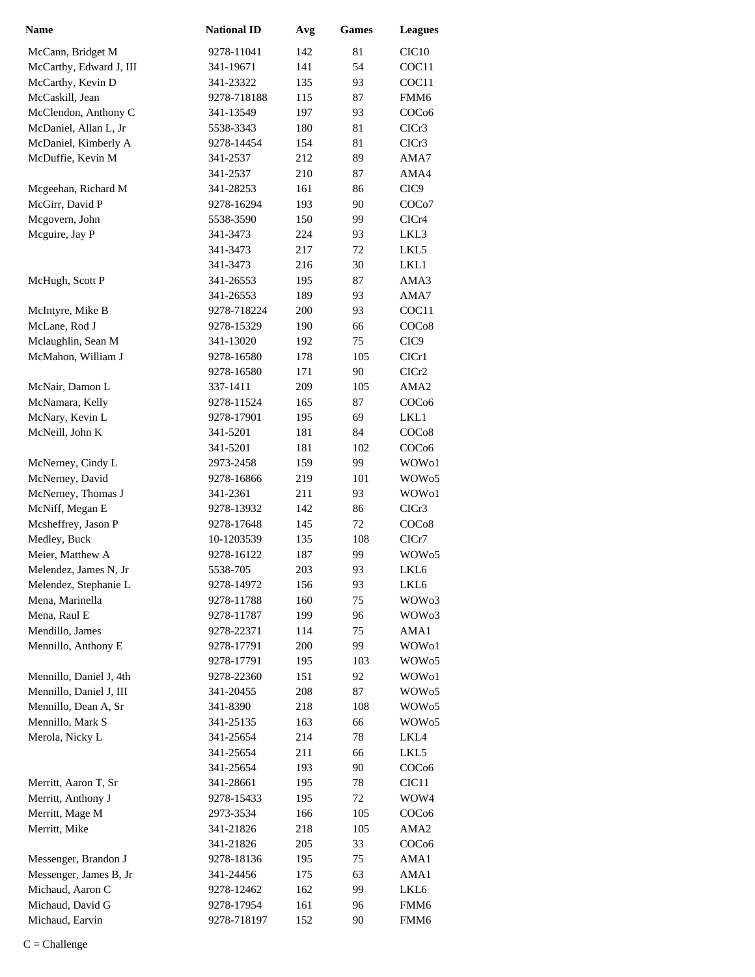| <b>Name</b>             | <b>National ID</b> | Avg | <b>Games</b> | <b>Leagues</b>     |
|-------------------------|--------------------|-----|--------------|--------------------|
| McCann, Bridget M       | 9278-11041         | 142 | 81           | CIC <sub>10</sub>  |
| McCarthy, Edward J, III | 341-19671          | 141 | 54           | COC11              |
| McCarthy, Kevin D       | 341-23322          | 135 | 93           | COC11              |
| McCaskill, Jean         | 9278-718188        | 115 | 87           | FMM6               |
| McClendon, Anthony C    | 341-13549          | 197 | 93           | COC <sub>06</sub>  |
| McDaniel, Allan L, Jr   | 5538-3343          | 180 | 81           | CICr3              |
| McDaniel, Kimberly A    | 9278-14454         | 154 | 81           | ClCr3              |
| McDuffie, Kevin M       | 341-2537           | 212 | 89           | AMA7               |
|                         | 341-2537           | 210 | 87           | AMA4               |
| Mcgeehan, Richard M     | 341-28253          | 161 | 86           | CIC <sub>9</sub>   |
| McGirr, David P         | 9278-16294         | 193 | 90           | COC <sub>o</sub> 7 |
| Mcgovern, John          | 5538-3590          | 150 | 99           | CICr4              |
| Mcguire, Jay P          | 341-3473           | 224 | 93           | LKL3               |
|                         | 341-3473           | 217 | 72           | LKL5               |
|                         | 341-3473           | 216 | 30           | LKL1               |
| McHugh, Scott P         | 341-26553          | 195 | 87           | AMA3               |
|                         | 341-26553          | 189 | 93           | AMA7               |
| McIntyre, Mike B        | 9278-718224        | 200 | 93           | COC11              |
| McLane, Rod J           | 9278-15329         | 190 | 66           | COC <sub>08</sub>  |
| Mclaughlin, Sean M      | 341-13020          | 192 | 75           | CIC <sub>9</sub>   |
| McMahon, William J      | 9278-16580         | 178 | 105          | CICr1              |
|                         | 9278-16580         | 171 | 90           | CICr <sub>2</sub>  |
| McNair, Damon L         | 337-1411           | 209 | 105          | AMA <sub>2</sub>   |
| McNamara, Kelly         | 9278-11524         | 165 | 87           | COC <sub>06</sub>  |
| McNary, Kevin L         | 9278-17901         | 195 | 69           | LKL1               |
| McNeill, John K         | 341-5201           | 181 | 84           | COC <sub>08</sub>  |
|                         | 341-5201           | 181 | 102          | COC <sub>06</sub>  |
| McNerney, Cindy L       | 2973-2458          | 159 | 99           | WOW01              |
| McNerney, David         | 9278-16866         | 219 | 101          | WOW <sub>05</sub>  |
| McNerney, Thomas J      | 341-2361           | 211 | 93           | WOW01              |
| McNiff, Megan E         | 9278-13932         | 142 | 86           | CICr3              |
| Mcsheffrey, Jason P     | 9278-17648         | 145 | 72           | COC <sub>08</sub>  |
| Medley, Buck            | 10-1203539         | 135 | 108          | ClCr7              |
| Meier, Matthew A        | 9278-16122         | 187 | 99           | WOW <sub>05</sub>  |
| Melendez, James N, Jr   | 5538-705           | 203 | 93           | LKL6               |
| Melendez, Stephanie L   | 9278-14972         | 156 | 93           | LKL6               |
| Mena, Marinella         | 9278-11788         | 160 | 75           | WOW <sub>03</sub>  |
| Mena, Raul E            | 9278-11787         | 199 | 96           | WOW <sub>03</sub>  |
| Mendillo, James         | 9278-22371         | 114 | 75           | AMA1               |
| Mennillo, Anthony E     | 9278-17791         | 200 | 99           | WOW01              |
|                         | 9278-17791         | 195 | 103          | WOW <sub>05</sub>  |
| Mennillo, Daniel J, 4th | 9278-22360         | 151 | 92           | WOW01              |
| Mennillo, Daniel J, III | 341-20455          | 208 | 87           | WOW <sub>05</sub>  |
| Mennillo, Dean A, Sr    | 341-8390           | 218 | 108          | WOW <sub>05</sub>  |
| Mennillo, Mark S        | 341-25135          | 163 | 66           | WOW <sub>05</sub>  |
| Merola, Nicky L         | 341-25654          | 214 | 78           | LKL4               |
|                         | 341-25654          | 211 | 66           | LKL5               |
|                         | 341-25654          | 193 | 90           | COC <sub>06</sub>  |
| Merritt, Aaron T, Sr    | 341-28661          | 195 | 78           | CIC11              |
| Merritt, Anthony J      | 9278-15433         | 195 | 72           | WOW4               |
| Merritt, Mage M         | 2973-3534          | 166 | 105          | COC <sub>06</sub>  |
| Merritt, Mike           | 341-21826          | 218 | 105          | AMA2               |
|                         | 341-21826          | 205 | 33           | COC <sub>06</sub>  |
| Messenger, Brandon J    | 9278-18136         | 195 | 75           | AMA1               |
| Messenger, James B, Jr  | 341-24456          | 175 | 63           | AMA1               |
| Michaud, Aaron C        | 9278-12462         | 162 | 99           | LKL6               |
| Michaud, David G        | 9278-17954         | 161 | 96           | FMM6               |
| Michaud, Earvin         | 9278-718197        | 152 | 90           | FMM6               |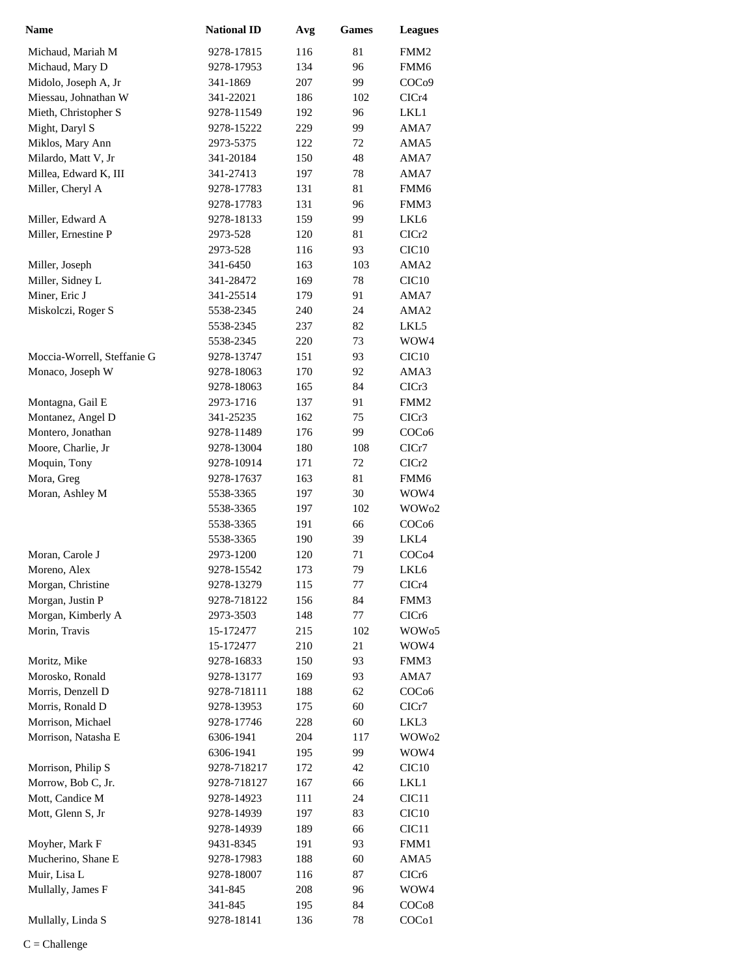| Name                        | <b>National ID</b> | Avg | <b>Games</b> | <b>Leagues</b>     |
|-----------------------------|--------------------|-----|--------------|--------------------|
| Michaud, Mariah M           | 9278-17815         | 116 | 81           | FMM2               |
| Michaud, Mary D             | 9278-17953         | 134 | 96           | FMM6               |
| Midolo, Joseph A, Jr        | 341-1869           | 207 | 99           | COC <sub>09</sub>  |
| Miessau, Johnathan W        | 341-22021          | 186 | 102          | CICr4              |
| Mieth, Christopher S        | 9278-11549         | 192 | 96           | LKL1               |
| Might, Daryl S              | 9278-15222         | 229 | 99           | AMA7               |
| Miklos, Mary Ann            | 2973-5375          | 122 | 72           | AMA5               |
| Milardo, Matt V, Jr         | 341-20184          | 150 | 48           | AMA7               |
| Millea, Edward K, III       | 341-27413          | 197 | 78           | AMA7               |
| Miller, Cheryl A            | 9278-17783         | 131 | 81           | FMM <sub>6</sub>   |
|                             | 9278-17783         | 131 | 96           | FMM3               |
| Miller, Edward A            | 9278-18133         | 159 | 99           | LKL6               |
| Miller, Ernestine P         | 2973-528           | 120 | 81           | ClCr2              |
|                             | 2973-528           | 116 | 93           | CIC <sub>10</sub>  |
| Miller, Joseph              | 341-6450           | 163 | 103          | AMA <sub>2</sub>   |
| Miller, Sidney L            | 341-28472          | 169 | 78           | CIC <sub>10</sub>  |
| Miner, Eric J               | 341-25514          | 179 | 91           | AMA7               |
| Miskolczi, Roger S          | 5538-2345          | 240 | 24           | AMA <sub>2</sub>   |
|                             | 5538-2345          | 237 | 82           | LKL5               |
|                             | 5538-2345          | 220 | 73           | WOW4               |
| Moccia-Worrell, Steffanie G | 9278-13747         | 151 | 93           | CIC <sub>10</sub>  |
| Monaco, Joseph W            | 9278-18063         | 170 | 92           | AMA3               |
|                             | 9278-18063         | 165 | 84           | CICr3              |
| Montagna, Gail E            | 2973-1716          | 137 | 91           | FMM <sub>2</sub>   |
| Montanez, Angel D           | 341-25235          | 162 | 75           | CICr <sub>3</sub>  |
| Montero, Jonathan           | 9278-11489         | 176 | 99           | COC <sub>06</sub>  |
| Moore, Charlie, Jr          | 9278-13004         | 180 | 108          | CICr7              |
| Moquin, Tony                | 9278-10914         | 171 | 72           | CICr <sub>2</sub>  |
| Mora, Greg                  | 9278-17637         | 163 | 81           | FMM6               |
| Moran, Ashley M             | 5538-3365          | 197 | 30           | WOW4               |
|                             | 5538-3365          | 197 | 102          | WOW02              |
|                             | 5538-3365          | 191 | 66           | COC <sub>06</sub>  |
|                             | 5538-3365          | 190 | 39           | LKL4               |
| Moran, Carole J             | 2973-1200          | 120 | 71           | COC <sub>04</sub>  |
| Moreno, Alex                | 9278-15542         | 173 | 79           | LKL <sub>6</sub>   |
| Morgan, Christine           | 9278-13279         | 115 | 77           | CICr4              |
| Morgan, Justin P            | 9278-718122        | 156 | 84           | FMM3               |
| Morgan, Kimberly A          | 2973-3503          | 148 | 77           | CICr <sub>6</sub>  |
| Morin, Travis               | 15-172477          | 215 | 102          | WOW <sub>05</sub>  |
|                             | 15-172477          | 210 | 21           | WOW4               |
| Moritz, Mike                | 9278-16833         | 150 | 93           | FMM3               |
| Morosko, Ronald             | 9278-13177         | 169 | 93           | AMA7               |
| Morris, Denzell D           | 9278-718111        | 188 | 62           | COC <sub>06</sub>  |
| Morris, Ronald D            | 9278-13953         | 175 | 60           | CICr7              |
| Morrison, Michael           | 9278-17746         | 228 | 60           | LKL3               |
| Morrison, Natasha E         | 6306-1941          | 204 | 117          | WOW <sub>02</sub>  |
|                             | 6306-1941          | 195 | 99           | WOW4               |
| Morrison, Philip S          | 9278-718217        | 172 | 42           | CIC <sub>10</sub>  |
| Morrow, Bob C, Jr.          | 9278-718127        | 167 | 66           | LKL1               |
| Mott, Candice M             | 9278-14923         | 111 | 24           | CIC <sub>11</sub>  |
| Mott, Glenn S, Jr           | 9278-14939         | 197 | 83           | CIC <sub>10</sub>  |
|                             | 9278-14939         | 189 | 66           | CIC <sub>11</sub>  |
| Moyher, Mark F              | 9431-8345          | 191 | 93           | FMM1               |
| Mucherino, Shane E          | 9278-17983         | 188 | 60           | AMA5               |
| Muir, Lisa L                | 9278-18007         | 116 | 87           | CICr6              |
| Mullally, James F           | 341-845            | 208 | 96           | WOW4               |
|                             | 341-845            | 195 | 84           | COC <sub>08</sub>  |
| Mullally, Linda S           | 9278-18141         | 136 | 78           | COC <sub>o</sub> 1 |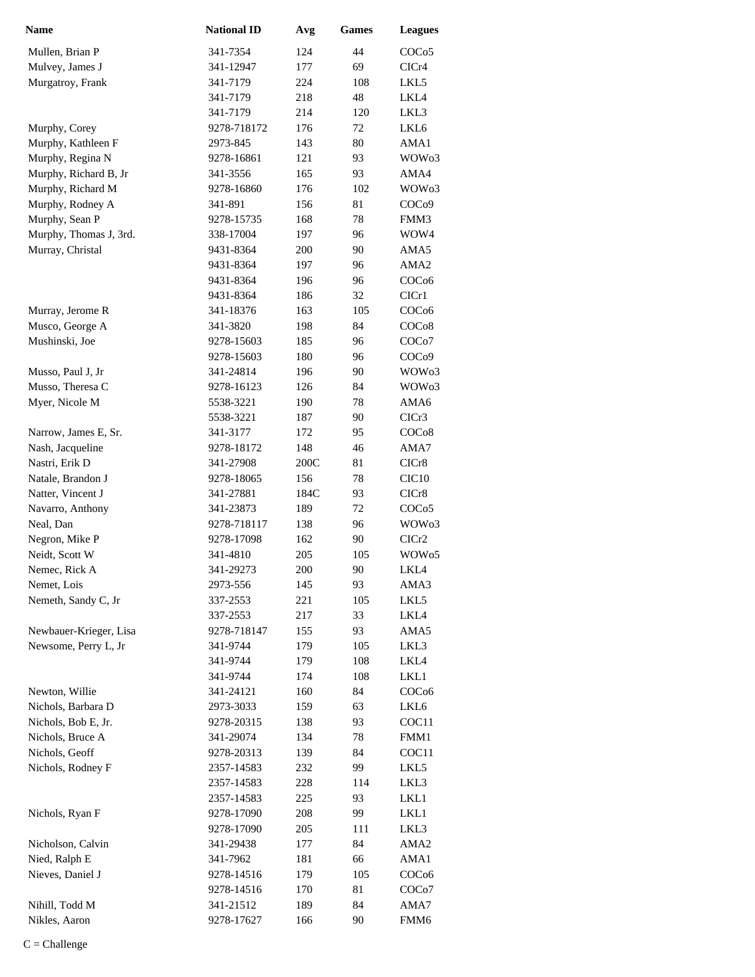| <b>Name</b>                              | <b>National ID</b>    | Avg        | <b>Games</b> | <b>Leagues</b>     |
|------------------------------------------|-----------------------|------------|--------------|--------------------|
| Mullen, Brian P                          | 341-7354              | 124        | 44           | COCo <sub>5</sub>  |
| Mulvey, James J                          | 341-12947             | 177        | 69           | CICr4              |
| Murgatroy, Frank                         | 341-7179              | 224        | 108          | LKL5               |
|                                          | 341-7179              | 218        | 48           | LKL4               |
|                                          | 341-7179              | 214        | 120          | LKL3               |
| Murphy, Corey                            | 9278-718172           | 176        | 72           | LKL6               |
| Murphy, Kathleen F                       | 2973-845              | 143        | 80           | AMA1               |
| Murphy, Regina N                         | 9278-16861            | 121        | 93           | WOW <sub>03</sub>  |
| Murphy, Richard B, Jr                    | 341-3556              | 165        | 93           | AMA4               |
| Murphy, Richard M                        | 9278-16860            | 176        | 102          | WOW <sub>03</sub>  |
| Murphy, Rodney A                         | 341-891               | 156        | 81           | COC <sub>09</sub>  |
| Murphy, Sean P                           | 9278-15735            | 168        | 78           | FMM3               |
| Murphy, Thomas J, 3rd.                   | 338-17004             | 197        | 96           | WOW4               |
| Murray, Christal                         | 9431-8364             | 200        | 90           | AMA5               |
|                                          | 9431-8364             | 197        | 96           | AMA <sub>2</sub>   |
|                                          | 9431-8364             | 196        | 96           | COC <sub>06</sub>  |
|                                          | 9431-8364             | 186        | 32           | ClCr1              |
| Murray, Jerome R                         | 341-18376             | 163        | 105          | COC <sub>06</sub>  |
| Musco, George A                          | 341-3820              | 198        | 84           | COC <sub>08</sub>  |
| Mushinski, Joe                           | 9278-15603            | 185        | 96           | COC <sub>o</sub> 7 |
|                                          | 9278-15603            | 180        | 96           | COC <sub>09</sub>  |
| Musso, Paul J, Jr                        | 341-24814             | 196        | 90           | WOW <sub>03</sub>  |
| Musso, Theresa C                         | 9278-16123            | 126        | 84           | WOW <sub>03</sub>  |
| Myer, Nicole M                           | 5538-3221             | 190        | 78<br>90     | AMA6<br>ClCr3      |
|                                          | 5538-3221<br>341-3177 | 187<br>172 | 95           | COC <sub>08</sub>  |
| Narrow, James E, Sr.<br>Nash, Jacqueline | 9278-18172            | 148        | 46           | AMA7               |
| Nastri, Erik D                           | 341-27908             | 200C       | 81           | CICr8              |
| Natale, Brandon J                        | 9278-18065            | 156        | 78           | CIC <sub>10</sub>  |
| Natter, Vincent J                        | 341-27881             | 184C       | 93           | CICr8              |
| Navarro, Anthony                         | 341-23873             | 189        | 72           | COCo <sub>5</sub>  |
| Neal, Dan                                | 9278-718117           | 138        | 96           | WOW <sub>03</sub>  |
| Negron, Mike P                           | 9278-17098            | 162        | 90           | ClCr2              |
| Neidt, Scott W                           | 341-4810              | 205        | 105          | WOW <sub>05</sub>  |
| Nemec, Rick A                            | 341-29273             | 200        | 90           | LKL4               |
| Nemet, Lois                              | 2973-556              | 145        | 93           | AMA3               |
| Nemeth, Sandy C, Jr                      | 337-2553              | 221        | 105          | LKL5               |
|                                          | 337-2553              | 217        | 33           | LKL4               |
| Newbauer-Krieger, Lisa                   | 9278-718147           | 155        | 93           | AMA5               |
| Newsome, Perry L, Jr                     | 341-9744              | 179        | 105          | LKL3               |
|                                          | 341-9744              | 179        | 108          | LKL4               |
|                                          | 341-9744              | 174        | 108          | LKL1               |
| Newton, Willie                           | 341-24121             | 160        | 84           | COC <sub>06</sub>  |
| Nichols, Barbara D                       | 2973-3033             | 159        | 63           | LKL6               |
| Nichols, Bob E, Jr.                      | 9278-20315            | 138        | 93           | COC11              |
| Nichols, Bruce A                         | 341-29074             | 134        | 78           | FMM1               |
| Nichols, Geoff                           | 9278-20313            | 139        | 84           | COC11              |
| Nichols, Rodney F                        | 2357-14583            | 232        | 99           | LKL5               |
|                                          | 2357-14583            | 228        | 114          | LKL3               |
|                                          | 2357-14583            | 225        | 93           | LKL1               |
| Nichols, Ryan F                          | 9278-17090            | 208        | 99           | LKL1               |
|                                          | 9278-17090            | 205        | 111          | LKL3               |
| Nicholson, Calvin                        | 341-29438             | 177        | 84           | AMA <sub>2</sub>   |
| Nied, Ralph E                            | 341-7962              | 181        | 66           | AMA1               |
| Nieves, Daniel J                         | 9278-14516            | 179        | 105          | COCo6              |
|                                          | 9278-14516            | 170        | 81           | COC <sub>o</sub> 7 |
| Nihill, Todd M                           | 341-21512             | 189        | 84           | AMA7               |
| Nikles, Aaron                            | 9278-17627            | 166        | 90           | FMM6               |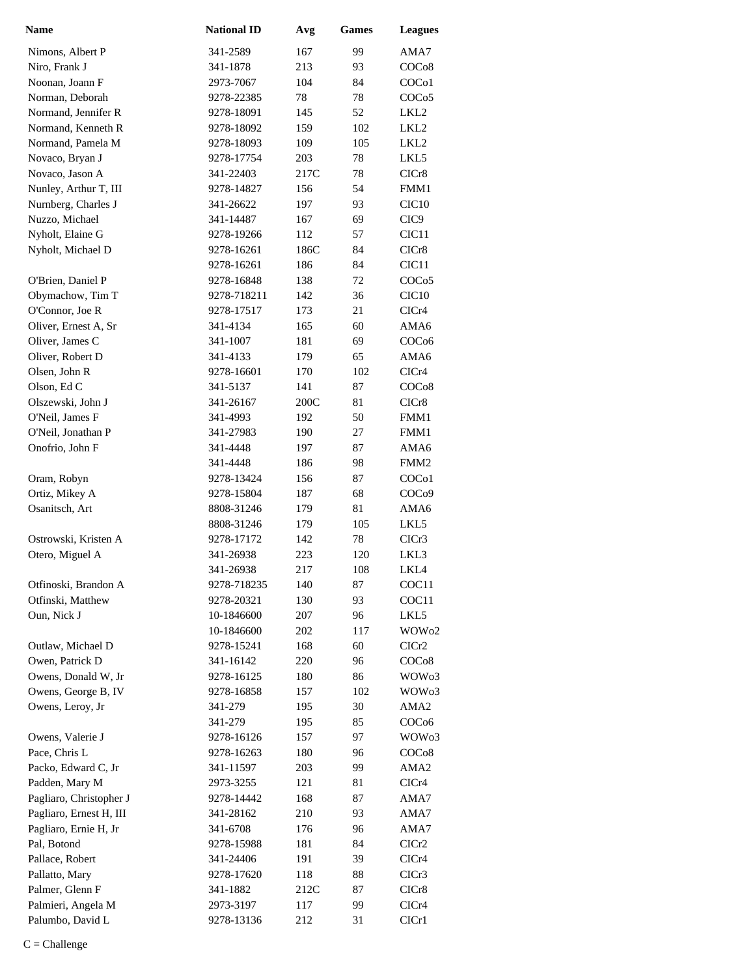| <b>Name</b>                               | <b>National ID</b>      | Avg        | <b>Games</b> | <b>Leagues</b>     |
|-------------------------------------------|-------------------------|------------|--------------|--------------------|
| Nimons, Albert P                          | 341-2589                | 167        | 99           | AMA7               |
| Niro, Frank J                             | 341-1878                | 213        | 93           | COC <sub>08</sub>  |
| Noonan, Joann F                           | 2973-7067               | 104        | 84           | COC <sub>o</sub> 1 |
| Norman, Deborah                           | 9278-22385              | 78         | 78           | COC <sub>05</sub>  |
| Normand, Jennifer R                       | 9278-18091              | 145        | 52           | LKL2               |
| Normand, Kenneth R                        | 9278-18092              | 159        | 102          | LKL2               |
| Normand, Pamela M                         | 9278-18093              | 109        | 105          | LKL <sub>2</sub>   |
| Novaco, Bryan J                           | 9278-17754              | 203        | 78           | LKL5               |
| Novaco, Jason A                           | 341-22403               | 217C       | 78           | CICr8              |
| Nunley, Arthur T, III                     | 9278-14827              | 156        | 54           | FMM1               |
| Nurnberg, Charles J                       | 341-26622               | 197        | 93           | CIC <sub>10</sub>  |
| Nuzzo, Michael                            | 341-14487               | 167        | 69           | CIC <sub>9</sub>   |
| Nyholt, Elaine G                          | 9278-19266              | 112        | 57           | CIC <sub>11</sub>  |
| Nyholt, Michael D                         | 9278-16261              | 186C       | 84           | CICr8              |
|                                           | 9278-16261              | 186        | 84           | CIC <sub>11</sub>  |
| O'Brien, Daniel P                         | 9278-16848              | 138        | 72           | COCo5              |
| Obymachow, Tim T                          | 9278-718211             | 142        | 36           | CIC10              |
| O'Connor, Joe R                           | 9278-17517              | 173        | 21           | CICr4              |
| Oliver, Ernest A, Sr                      | 341-4134                | 165        | 60           | AMA6               |
| Oliver, James C                           | 341-1007                | 181        | 69           | COC <sub>06</sub>  |
| Oliver, Robert D                          | 341-4133                | 179        | 65           | AMA6               |
| Olsen, John R                             | 9278-16601              | 170        | 102          | CICr4              |
| Olson, Ed C                               | 341-5137                | 141        | 87           | COC <sub>08</sub>  |
| Olszewski, John J                         | 341-26167               | 200C       | 81           | CICr8              |
| O'Neil, James F                           | 341-4993                | 192        | 50           | FMM1               |
| O'Neil, Jonathan P                        | 341-27983               | 190        | 27           | FMM1               |
| Onofrio, John F                           | 341-4448                | 197        | 87           | AMA6               |
|                                           | 341-4448                | 186        | 98           | FMM <sub>2</sub>   |
| Oram, Robyn                               | 9278-13424              | 156        | 87           | COC <sub>o</sub> 1 |
| Ortiz, Mikey A                            | 9278-15804              | 187        | 68           | COC <sub>09</sub>  |
| Osanitsch, Art                            | 8808-31246              | 179        | 81           | AMA6               |
|                                           | 8808-31246              | 179        | 105          | LKL5               |
| Ostrowski, Kristen A                      | 9278-17172              | 142        | 78           | CICr3              |
| Otero, Miguel A                           | 341-26938               | 223        | 120          | LKL3               |
|                                           | 341-26938               | 217        | 108          | LKL4               |
| Otfinoski, Brandon A                      | 9278-718235             | 140        | 87           | COC <sub>11</sub>  |
| Otfinski, Matthew                         | 9278-20321              | 130        | 93           | COC11              |
| Oun, Nick J                               | 10-1846600              | 207        | 96           | LKL5               |
|                                           | 10-1846600              | 202        | 117          | WOW <sub>02</sub>  |
| Outlaw, Michael D                         | 9278-15241              | 168        | 60           | CICr2              |
| Owen, Patrick D                           | 341-16142               | 220        | 96           | COC <sub>08</sub>  |
| Owens, Donald W, Jr                       | 9278-16125              | 180        | 86           | WOW <sub>03</sub>  |
| Owens, George B, IV                       | 9278-16858              | 157        | 102          | WOW <sub>03</sub>  |
| Owens, Leroy, Jr                          | 341-279                 | 195        | 30           | AMA2               |
|                                           | 341-279                 | 195        | 85           | COC <sub>06</sub>  |
| Owens, Valerie J                          | 9278-16126              | 157        | 97           | WOW <sub>03</sub>  |
| Pace, Chris L                             | 9278-16263              | 180        | 96           | COCo8              |
| Packo, Edward C, Jr                       | 341-11597               | 203        | 99           | AMA2               |
| Padden, Mary M<br>Pagliaro, Christopher J | 2973-3255<br>9278-14442 | 121<br>168 | 81<br>87     | CICr4<br>AMA7      |
| Pagliaro, Ernest H, III                   | 341-28162               |            | 93           | AMA7               |
| Pagliaro, Ernie H, Jr                     | 341-6708                | 210<br>176 | 96           | AMA7               |
| Pal, Botond                               |                         |            | 84           |                    |
| Pallace, Robert                           | 9278-15988<br>341-24406 | 181<br>191 | 39           | ClCr2<br>CICr4     |
| Pallatto, Mary                            | 9278-17620              | 118        | 88           | CICr3              |
| Palmer, Glenn F                           | 341-1882                | 212C       | 87           | CICr8              |
| Palmieri, Angela M                        | 2973-3197               | 117        | 99           | CICr4              |
| Palumbo, David L                          | 9278-13136              | 212        | 31           | CICr1              |
|                                           |                         |            |              |                    |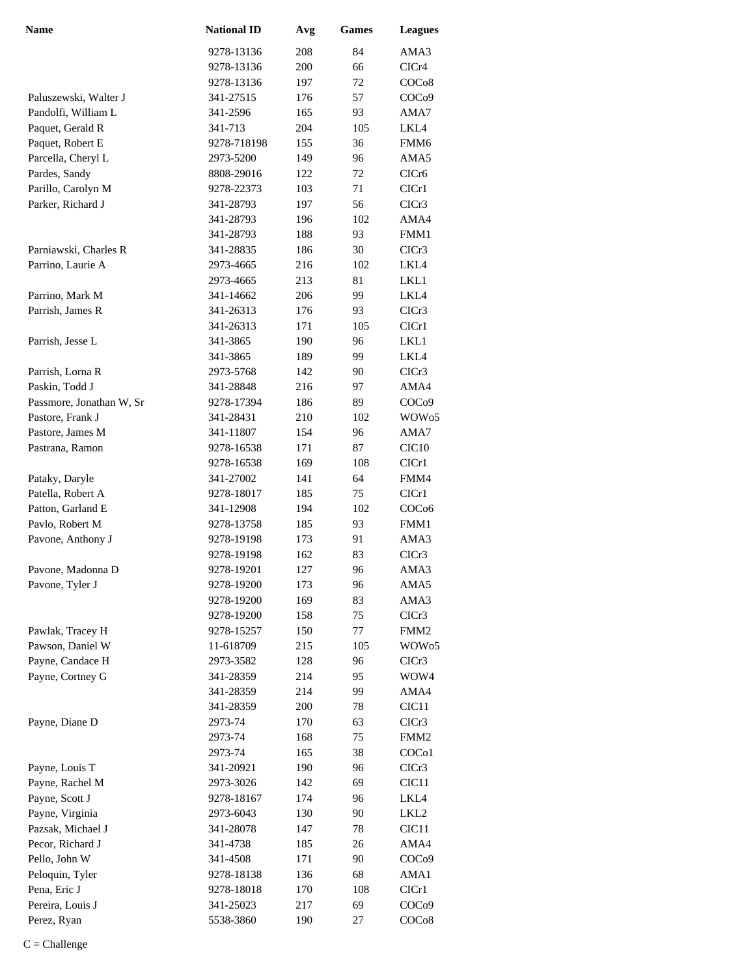| <b>Name</b>              | <b>National ID</b> | Avg | <b>Games</b> | <b>Leagues</b>     |
|--------------------------|--------------------|-----|--------------|--------------------|
|                          | 9278-13136         | 208 | 84           | AMA3               |
|                          | 9278-13136         | 200 | 66           | CICr4              |
|                          | 9278-13136         | 197 | 72           | COC <sub>08</sub>  |
| Paluszewski, Walter J    | 341-27515          | 176 | 57           | COC <sub>09</sub>  |
| Pandolfi, William L      | 341-2596           | 165 | 93           | AMA7               |
| Paquet, Gerald R         | 341-713            | 204 | 105          | LKL4               |
| Paquet, Robert E         | 9278-718198        | 155 | 36           | FMM <sub>6</sub>   |
| Parcella, Cheryl L       | 2973-5200          | 149 | 96           | AMA5               |
| Pardes, Sandy            | 8808-29016         | 122 | 72           | CICr <sub>6</sub>  |
| Parillo, Carolyn M       | 9278-22373         | 103 | 71           | ClCr1              |
| Parker, Richard J        | 341-28793          | 197 | 56           | ClCr3              |
|                          | 341-28793          | 196 | 102          | AMA4               |
|                          | 341-28793          | 188 | 93           | FMM1               |
| Parniawski, Charles R    | 341-28835          | 186 | 30           | ClCr3              |
| Parrino, Laurie A        | 2973-4665          | 216 | 102          | LKL4               |
|                          | 2973-4665          | 213 | 81           | LKL1               |
| Parrino, Mark M          | 341-14662          | 206 | 99           | LKL4               |
| Parrish, James R         | 341-26313          | 176 | 93           | CICr <sub>3</sub>  |
|                          | 341-26313          | 171 | 105          | ClCr1              |
| Parrish, Jesse L         | 341-3865           | 190 | 96           | LKL1               |
|                          | 341-3865           | 189 | 99           | LKL4               |
| Parrish, Lorna R         | 2973-5768          | 142 | 90           | CICr3              |
| Paskin, Todd J           | 341-28848          | 216 | 97           | AMA4               |
| Passmore, Jonathan W, Sr | 9278-17394         | 186 | 89           | COC <sub>09</sub>  |
| Pastore, Frank J         | 341-28431          | 210 | 102          | WOW <sub>05</sub>  |
| Pastore, James M         | 341-11807          | 154 | 96           | AMA7               |
| Pastrana, Ramon          | 9278-16538         | 171 | 87           | CIC <sub>10</sub>  |
|                          | 9278-16538         | 169 | 108          | CICr1              |
| Pataky, Daryle           | 341-27002          | 141 | 64           | FMM4               |
| Patella, Robert A        | 9278-18017         | 185 | 75           | CICr1              |
| Patton, Garland E        | 341-12908          | 194 | 102          | COC <sub>06</sub>  |
| Pavlo, Robert M          | 9278-13758         | 185 | 93           | FMM1               |
| Pavone, Anthony J        | 9278-19198         | 173 | 91           | AMA3               |
|                          | 9278-19198         | 162 | 83           | CICr3              |
| Pavone, Madonna D        | 9278-19201         | 127 | 96           | AMA3               |
| Pavone, Tyler J          | 9278-19200         | 173 | 96           | AMA5               |
|                          | 9278-19200         | 169 | 83           | AMA3               |
|                          | 9278-19200         | 158 | 75           | CICr3              |
| Pawlak, Tracey H         | 9278-15257         | 150 | 77           | FMM <sub>2</sub>   |
| Pawson, Daniel W         | 11-618709          | 215 | 105          | WOW <sub>05</sub>  |
| Payne, Candace H         | 2973-3582          | 128 | 96           | CICr3              |
| Payne, Cortney G         | 341-28359          | 214 | 95           | WOW4               |
|                          | 341-28359          | 214 | 99           | AMA4               |
|                          | 341-28359          | 200 | 78           | CIC <sub>11</sub>  |
| Payne, Diane D           | 2973-74            | 170 | 63           | CICr3              |
|                          | 2973-74            | 168 | 75           | FMM <sub>2</sub>   |
|                          | 2973-74            | 165 | 38           | COC <sub>o</sub> 1 |
| Payne, Louis T           | 341-20921          | 190 | 96           | CICr3              |
| Payne, Rachel M          | 2973-3026          | 142 | 69           | CIC <sub>11</sub>  |
| Payne, Scott J           | 9278-18167         | 174 | 96           | LKL4               |
| Payne, Virginia          | 2973-6043          | 130 | 90           | LKL <sub>2</sub>   |
| Pazsak, Michael J        | 341-28078          | 147 | 78           | CIC <sub>11</sub>  |
| Pecor, Richard J         | 341-4738           | 185 | 26           | AMA4               |
| Pello, John W            | 341-4508           | 171 | 90           | COC <sub>09</sub>  |
| Peloquin, Tyler          | 9278-18138         | 136 | 68           | AMA1               |
| Pena, Eric J             | 9278-18018         | 170 | 108          | CIC <sub>r1</sub>  |
| Pereira, Louis J         | 341-25023          | 217 | 69           | COC <sub>09</sub>  |
| Perez, Ryan              | 5538-3860          | 190 | 27           | COCo8              |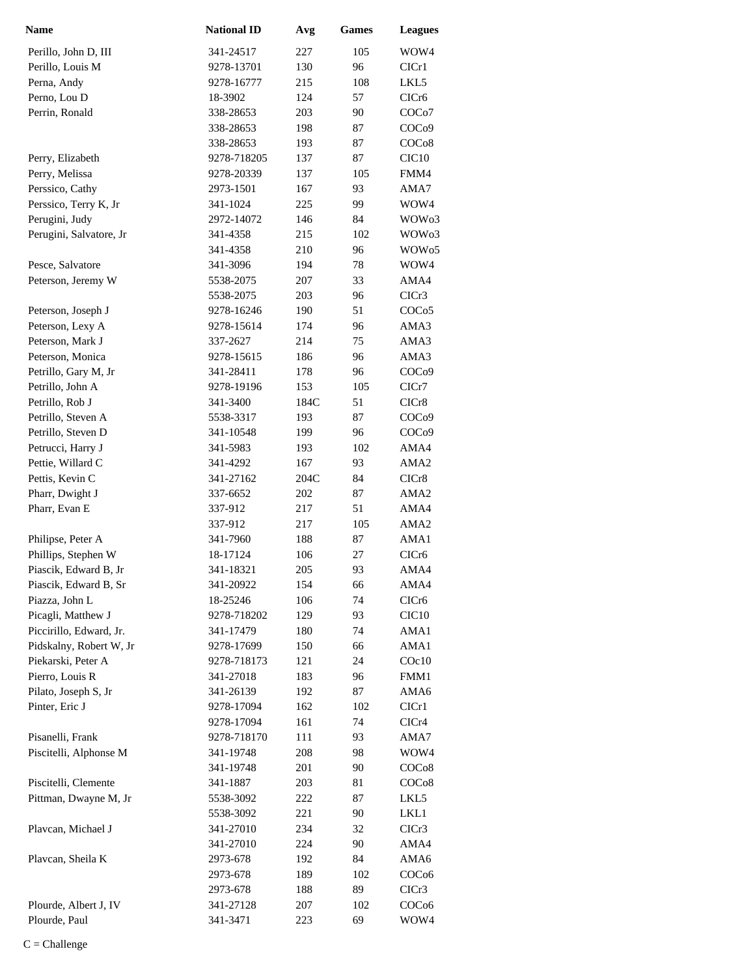| <b>Name</b>             | <b>National ID</b> | Avg  | <b>Games</b> | <b>Leagues</b>     |
|-------------------------|--------------------|------|--------------|--------------------|
| Perillo, John D, III    | 341-24517          | 227  | 105          | WOW4               |
| Perillo, Louis M        | 9278-13701         | 130  | 96           | CIC <sub>r1</sub>  |
| Perna, Andy             | 9278-16777         | 215  | 108          | LKL5               |
| Perno, Lou D            | 18-3902            | 124  | 57           | CIC <sub>r6</sub>  |
| Perrin, Ronald          | 338-28653          | 203  | 90           | COC <sub>o</sub> 7 |
|                         | 338-28653          | 198  | 87           | COC <sub>09</sub>  |
|                         | 338-28653          | 193  | 87           | COCo8              |
| Perry, Elizabeth        | 9278-718205        | 137  | 87           | CIC <sub>10</sub>  |
| Perry, Melissa          | 9278-20339         | 137  | 105          | FMM4               |
| Perssico, Cathy         | 2973-1501          | 167  | 93           | AMA7               |
| Perssico, Terry K, Jr   | 341-1024           | 225  | 99           | WOW4               |
| Perugini, Judy          | 2972-14072         | 146  | 84           | WOW03              |
| Perugini, Salvatore, Jr | 341-4358           | 215  | 102          | WOW <sub>03</sub>  |
|                         | 341-4358           | 210  | 96           | WOW <sub>05</sub>  |
| Pesce, Salvatore        | 341-3096           | 194  | 78           | WOW4               |
| Peterson, Jeremy W      | 5538-2075          | 207  | 33           | AMA4               |
|                         | 5538-2075          | 203  | 96           | CICr3              |
| Peterson, Joseph J      | 9278-16246         | 190  | 51           | COCo <sub>5</sub>  |
| Peterson, Lexy A        | 9278-15614         | 174  | 96           | AMA3               |
| Peterson, Mark J        | 337-2627           | 214  | 75           | AMA3               |
| Peterson, Monica        | 9278-15615         | 186  | 96           | AMA3               |
| Petrillo, Gary M, Jr    | 341-28411          | 178  | 96           | COC <sub>09</sub>  |
| Petrillo, John A        | 9278-19196         | 153  | 105          | ClCr7              |
| Petrillo, Rob J         | 341-3400           | 184C | 51           | CICr8              |
| Petrillo, Steven A      | 5538-3317          | 193  | 87           | COC <sub>09</sub>  |
| Petrillo, Steven D      | 341-10548          | 199  | 96           | COC <sub>09</sub>  |
| Petrucci, Harry J       | 341-5983           | 193  | 102          | AMA4               |
| Pettie, Willard C       | 341-4292           | 167  | 93           | AMA2               |
| Pettis, Kevin C         | 341-27162          | 204C | 84           | CICr8              |
| Pharr, Dwight J         | 337-6652           | 202  | 87           | AMA <sub>2</sub>   |
| Pharr, Evan E           | 337-912            | 217  | 51           | AMA4               |
|                         | 337-912            | 217  | 105          | AMA <sub>2</sub>   |
| Philipse, Peter A       | 341-7960           | 188  | 87           | AMA1               |
| Phillips, Stephen W     | 18-17124           | 106  | 27           | CICr <sub>6</sub>  |
| Piascik, Edward B, Jr   | 341-18321          | 205  | 93           | AMA4               |
| Piascik, Edward B, Sr   | 341-20922          | 154  | 66           | AMA4               |
| Piazza, John L          | 18-25246           | 106  | 74           | CICr6              |
| Picagli, Matthew J      | 9278-718202        | 129  | 93           | CIC <sub>10</sub>  |
| Piccirillo, Edward, Jr. | 341-17479          | 180  | 74           | AMA1               |
| Pidskalny, Robert W, Jr | 9278-17699         | 150  | 66           | AMA1               |
| Piekarski, Peter A      | 9278-718173        | 121  | 24           | $C$ Oc $10$        |
| Pierro, Louis R         | 341-27018          | 183  | 96           | FMM1               |
| Pilato, Joseph S, Jr    | 341-26139          | 192  | 87           | AMA6               |
| Pinter, Eric J          | 9278-17094         | 162  | 102          | ClCr1              |
|                         | 9278-17094         | 161  | 74           | CICr4              |
| Pisanelli, Frank        | 9278-718170        | 111  | 93           | AMA7               |
| Piscitelli, Alphonse M  | 341-19748          | 208  | 98           | WOW4               |
|                         | 341-19748          | 201  | 90           | COC <sub>08</sub>  |
| Piscitelli, Clemente    | 341-1887           | 203  | 81           | COC <sub>08</sub>  |
| Pittman, Dwayne M, Jr   | 5538-3092          | 222  | 87           | LKL5               |
|                         | 5538-3092          | 221  | 90           | LKL1               |
| Plavcan, Michael J      | 341-27010          | 234  | 32           | CICr3              |
|                         | 341-27010          | 224  | 90           | AMA4               |
| Plavcan, Sheila K       | 2973-678           | 192  | 84           | AMA6               |
|                         | 2973-678           | 189  | 102          | COC <sub>06</sub>  |
|                         | 2973-678           | 188  | 89           | CICr3              |
| Plourde, Albert J, IV   | 341-27128          | 207  | 102          | COC <sub>06</sub>  |
| Plourde, Paul           | 341-3471           | 223  | 69           | WOW4               |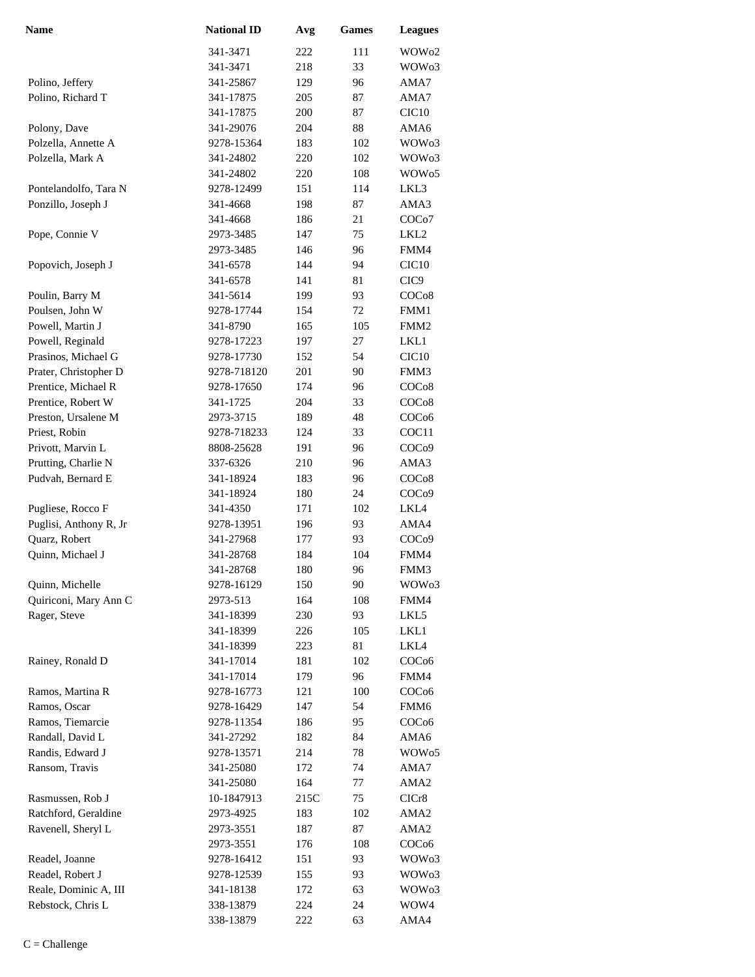| Name                   | <b>National ID</b> | Avg  | Games | <b>Leagues</b>     |
|------------------------|--------------------|------|-------|--------------------|
|                        | 341-3471           | 222  | 111   | WOW02              |
|                        | 341-3471           | 218  | 33    | WOW03              |
| Polino, Jeffery        | 341-25867          | 129  | 96    | AMA7               |
| Polino, Richard T      | 341-17875          | 205  | 87    | AMA7               |
|                        | 341-17875          | 200  | 87    | CIC <sub>10</sub>  |
| Polony, Dave           | 341-29076          | 204  | 88    | AMA6               |
| Polzella, Annette A    | 9278-15364         | 183  | 102   | WOW <sub>03</sub>  |
| Polzella, Mark A       | 341-24802          | 220  | 102   | WOW <sub>03</sub>  |
|                        | 341-24802          | 220  | 108   | WOW <sub>05</sub>  |
| Pontelandolfo, Tara N  | 9278-12499         | 151  | 114   | LKL3               |
| Ponzillo, Joseph J     | 341-4668           | 198  | 87    | AMA3               |
|                        | 341-4668           | 186  | 21    | COC <sub>o</sub> 7 |
| Pope, Connie V         | 2973-3485          | 147  | 75    | LKL2               |
|                        | 2973-3485          | 146  | 96    | FMM4               |
| Popovich, Joseph J     | 341-6578           | 144  | 94    | CIC <sub>10</sub>  |
|                        | 341-6578           | 141  | 81    | CIC <sub>9</sub>   |
| Poulin, Barry M        | 341-5614           | 199  | 93    | COCo8              |
| Poulsen, John W        | 9278-17744         | 154  | 72    | FMM1               |
| Powell, Martin J       | 341-8790           | 165  | 105   | FMM <sub>2</sub>   |
| Powell, Reginald       | 9278-17223         | 197  | 27    | LKL1               |
| Prasinos, Michael G    | 9278-17730         | 152  | 54    | CIC <sub>10</sub>  |
| Prater, Christopher D  | 9278-718120        | 201  | 90    | FMM3               |
| Prentice, Michael R    | 9278-17650         | 174  | 96    | COC <sub>08</sub>  |
| Prentice, Robert W     | 341-1725           | 204  | 33    | COC <sub>08</sub>  |
| Preston, Ursalene M    | 2973-3715          | 189  | 48    | COC <sub>06</sub>  |
| Priest, Robin          | 9278-718233        | 124  | 33    | COC11              |
|                        |                    |      | 96    |                    |
| Privott, Marvin L      | 8808-25628         | 191  |       | COC <sub>09</sub>  |
| Prutting, Charlie N    | 337-6326           | 210  | 96    | AMA3               |
| Pudvah, Bernard E      | 341-18924          | 183  | 96    | COC <sub>08</sub>  |
|                        | 341-18924          | 180  | 24    | COC <sub>09</sub>  |
| Pugliese, Rocco F      | 341-4350           | 171  | 102   | LKL4               |
| Puglisi, Anthony R, Jr | 9278-13951         | 196  | 93    | AMA4               |
| Quarz, Robert          | 341-27968          | 177  | 93    | COC <sub>09</sub>  |
| Quinn, Michael J       | 341-28768          | 184  | 104   | FMM4               |
|                        | 341-28768          | 180  | 96    | FMM3               |
| Quinn, Michelle        | 9278-16129         | 150  | 90    | WOW <sub>03</sub>  |
| Quiriconi, Mary Ann C  | 2973-513           | 164  | 108   | FMM4               |
| Rager, Steve           | 341-18399          | 230  | 93    | LKL5               |
|                        | 341-18399          | 226  | 105   | LKL1               |
|                        | 341-18399          | 223  | 81    | LKL4               |
| Rainey, Ronald D       | 341-17014          | 181  | 102   | COC <sub>06</sub>  |
|                        | 341-17014          | 179  | 96    | FMM4               |
| Ramos, Martina R       | 9278-16773         | 121  | 100   | COC <sub>06</sub>  |
| Ramos, Oscar           | 9278-16429         | 147  | 54    | FMM6               |
| Ramos, Tiemarcie       | 9278-11354         | 186  | 95    | COC <sub>06</sub>  |
| Randall, David L       | 341-27292          | 182  | 84    | AMA6               |
| Randis, Edward J       | 9278-13571         | 214  | 78    | WOW <sub>05</sub>  |
| Ransom, Travis         | 341-25080          | 172  | 74    | AMA7               |
|                        | 341-25080          | 164  | 77    | AMA <sub>2</sub>   |
| Rasmussen, Rob J       | 10-1847913         | 215C | 75    | CICr8              |
| Ratchford, Geraldine   | 2973-4925          | 183  | 102   | AMA2               |
| Ravenell, Sheryl L     | 2973-3551          | 187  | 87    | AMA2               |
|                        | 2973-3551          | 176  | 108   | COC <sub>06</sub>  |
| Readel, Joanne         | 9278-16412         | 151  | 93    | WOW <sub>03</sub>  |
| Readel, Robert J       | 9278-12539         | 155  | 93    | WOW <sub>03</sub>  |
| Reale, Dominic A, III  | 341-18138          | 172  | 63    | WOW03              |
| Rebstock, Chris L      | 338-13879          | 224  | 24    | WOW4               |
|                        | 338-13879          | 222  | 63    | AMA4               |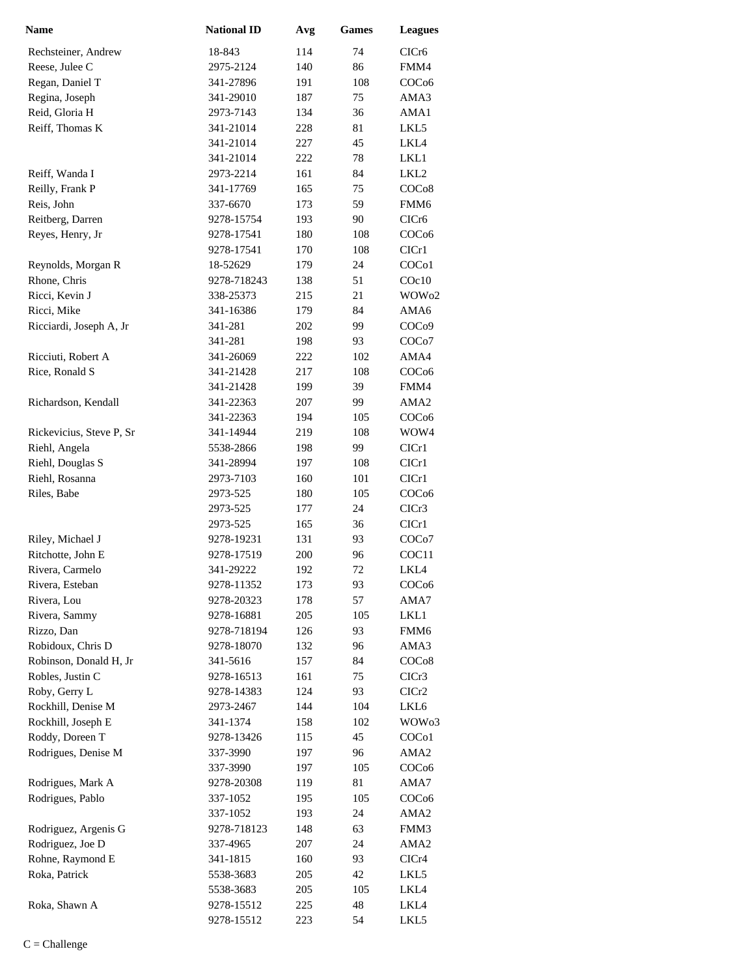| <b>Name</b>              | <b>National ID</b> | Avg | <b>Games</b> | <b>Leagues</b>     |
|--------------------------|--------------------|-----|--------------|--------------------|
| Rechsteiner, Andrew      | 18-843             | 114 | 74           | CICr <sub>6</sub>  |
| Reese, Julee C           | 2975-2124          | 140 | 86           | FMM4               |
| Regan, Daniel T          | 341-27896          | 191 | 108          | COC <sub>06</sub>  |
| Regina, Joseph           | 341-29010          | 187 | 75           | AMA3               |
| Reid, Gloria H           | 2973-7143          | 134 | 36           | AMA1               |
| Reiff, Thomas K          | 341-21014          | 228 | 81           | LKL5               |
|                          | 341-21014          | 227 | 45           | LKL4               |
|                          | 341-21014          | 222 | 78           | LKL1               |
| Reiff, Wanda I           | 2973-2214          | 161 | 84           | LKL <sub>2</sub>   |
| Reilly, Frank P          | 341-17769          | 165 | 75           | COC <sub>08</sub>  |
| Reis, John               | 337-6670           | 173 | 59           | FMM6               |
| Reitberg, Darren         | 9278-15754         | 193 | 90           | CICr <sub>6</sub>  |
| Reyes, Henry, Jr         | 9278-17541         | 180 | 108          | COC <sub>06</sub>  |
|                          | 9278-17541         | 170 | 108          | CICr1              |
| Reynolds, Morgan R       | 18-52629           | 179 | 24           | COC <sub>o</sub> 1 |
| Rhone, Chris             | 9278-718243        | 138 | 51           | $C$ Oc $10$        |
| Ricci, Kevin J           | 338-25373          | 215 | 21           | WOW <sub>02</sub>  |
| Ricci, Mike              | 341-16386          | 179 | 84           | AMA6               |
| Ricciardi, Joseph A, Jr  | 341-281            | 202 | 99           | COC <sub>09</sub>  |
|                          | 341-281            | 198 | 93           | COC <sub>o</sub> 7 |
| Ricciuti, Robert A       | 341-26069          | 222 | 102          | AMA4               |
| Rice, Ronald S           | 341-21428          | 217 | 108          | COC <sub>06</sub>  |
|                          | 341-21428          | 199 | 39           | FMM4               |
| Richardson, Kendall      | 341-22363          | 207 | 99           | AMA <sub>2</sub>   |
|                          | 341-22363          | 194 | 105          | COC <sub>06</sub>  |
| Rickevicius, Steve P, Sr | 341-14944          | 219 | 108          | WOW4               |
| Riehl, Angela            | 5538-2866          | 198 | 99           | CICr1              |
| Riehl, Douglas S         | 341-28994          | 197 | 108          | ClCr1              |
| Riehl, Rosanna           | 2973-7103          | 160 | 101          | ClCr1              |
| Riles, Babe              | 2973-525           | 180 | 105          | COC <sub>06</sub>  |
|                          | 2973-525           | 177 | 24           | CICr3              |
|                          | 2973-525           | 165 | 36           | CIC <sub>r1</sub>  |
| Riley, Michael J         | 9278-19231         | 131 | 93           | COCo7              |
| Ritchotte, John E        | 9278-17519         | 200 | 96           | COC <sub>11</sub>  |
| Rivera, Carmelo          | 341-29222          | 192 | 72           | LKL4               |
| Rivera, Esteban          | 9278-11352         | 173 | 93           | COC <sub>06</sub>  |
| Rivera, Lou              | 9278-20323         | 178 | 57           | AMA7               |
| Rivera, Sammy            | 9278-16881         | 205 | 105          | LKL1               |
| Rizzo, Dan               | 9278-718194        | 126 | 93           | FMM6               |
| Robidoux, Chris D        | 9278-18070         | 132 | 96           | AMA3               |
| Robinson, Donald H, Jr   | 341-5616           | 157 | 84           | COCo8              |
| Robles, Justin C         | 9278-16513         | 161 | 75           | CICr3              |
| Roby, Gerry L            | 9278-14383         | 124 | 93           | CICr <sub>2</sub>  |
| Rockhill, Denise M       | 2973-2467          | 144 | 104          | LKL6               |
| Rockhill, Joseph E       | 341-1374           | 158 | 102          | WOW <sub>03</sub>  |
| Roddy, Doreen T          | 9278-13426         | 115 | 45           | COC <sub>o</sub> 1 |
| Rodrigues, Denise M      | 337-3990           | 197 | 96           | AMA <sub>2</sub>   |
|                          | 337-3990           | 197 | 105          | COC <sub>06</sub>  |
| Rodrigues, Mark A        | 9278-20308         | 119 | 81           | AMA7               |
| Rodrigues, Pablo         | 337-1052           | 195 | 105          | COC <sub>06</sub>  |
|                          | 337-1052           | 193 | 24           | AMA <sub>2</sub>   |
| Rodriguez, Argenis G     | 9278-718123        | 148 | 63           | FMM3               |
| Rodriguez, Joe D         | 337-4965           | 207 | 24           | AMA <sub>2</sub>   |
| Rohne, Raymond E         | 341-1815           | 160 | 93           | CICr4              |
| Roka, Patrick            | 5538-3683          | 205 | 42           | LKL5               |
|                          | 5538-3683          | 205 | 105          | LKL4               |
| Roka, Shawn A            | 9278-15512         | 225 | 48           | LKL4               |
|                          | 9278-15512         | 223 | 54           | LKL5               |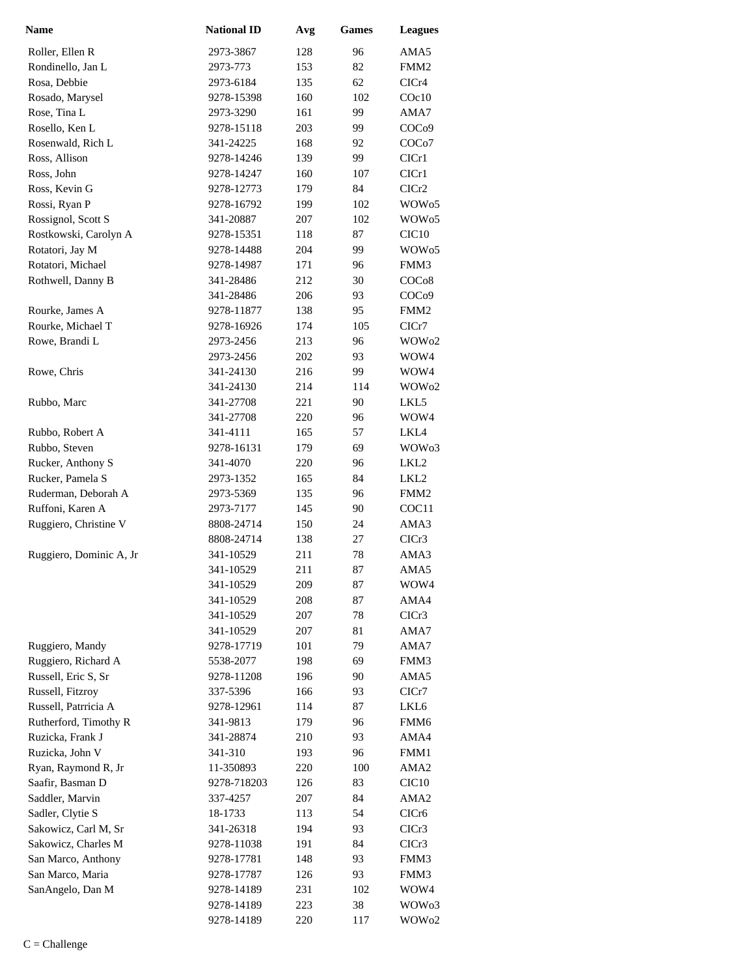| <b>Name</b>             | <b>National ID</b> | Avg | <b>Games</b> | <b>Leagues</b>     |
|-------------------------|--------------------|-----|--------------|--------------------|
| Roller, Ellen R         | 2973-3867          | 128 | 96           | AMA5               |
| Rondinello, Jan L       | 2973-773           | 153 | 82           | FMM <sub>2</sub>   |
| Rosa, Debbie            | 2973-6184          | 135 | 62           | CICr4              |
| Rosado, Marysel         | 9278-15398         | 160 | 102          | COc10              |
| Rose, Tina L            | 2973-3290          | 161 | 99           | AMA7               |
| Rosello, Ken L          | 9278-15118         | 203 | 99           | COC <sub>09</sub>  |
| Rosenwald, Rich L       | 341-24225          | 168 | 92           | COC <sub>o</sub> 7 |
| Ross, Allison           | 9278-14246         | 139 | 99           | ClCr1              |
| Ross, John              | 9278-14247         | 160 | 107          | CICr1              |
| Ross, Kevin G           | 9278-12773         | 179 | 84           | CICr2              |
| Rossi, Ryan P           | 9278-16792         | 199 | 102          | WOW <sub>05</sub>  |
| Rossignol, Scott S      | 341-20887          | 207 | 102          | WOW <sub>05</sub>  |
| Rostkowski, Carolyn A   | 9278-15351         | 118 | 87           | CIC <sub>10</sub>  |
| Rotatori, Jay M         | 9278-14488         | 204 | 99           | WOW <sub>05</sub>  |
| Rotatori, Michael       | 9278-14987         | 171 | 96           | FMM3               |
| Rothwell, Danny B       | 341-28486          | 212 | 30           | COCo8              |
|                         | 341-28486          | 206 | 93           | COC <sub>09</sub>  |
| Rourke, James A         | 9278-11877         | 138 | 95           | FMM <sub>2</sub>   |
| Rourke, Michael T       | 9278-16926         | 174 | 105          | CICr7              |
| Rowe, Brandi L          | 2973-2456          | 213 | 96           | WOW <sub>02</sub>  |
|                         | 2973-2456          | 202 | 93           | WOW4               |
| Rowe, Chris             | 341-24130          | 216 | 99           | WOW4               |
|                         | 341-24130          | 214 | 114          | WOW <sub>02</sub>  |
| Rubbo, Marc             | 341-27708          | 221 | 90           | LKL5               |
|                         | 341-27708          | 220 | 96           | WOW4               |
| Rubbo, Robert A         | 341-4111           | 165 | 57           | LKL4               |
| Rubbo, Steven           | 9278-16131         | 179 | 69           | WOW <sub>03</sub>  |
| Rucker, Anthony S       | 341-4070           | 220 | 96           | LKL2               |
| Rucker, Pamela S        | 2973-1352          | 165 | 84           | LKL2               |
| Ruderman, Deborah A     | 2973-5369          | 135 | 96           | FMM <sub>2</sub>   |
| Ruffoni, Karen A        | 2973-7177          | 145 | 90           | COC11              |
| Ruggiero, Christine V   | 8808-24714         | 150 | 24           | AMA3               |
|                         | 8808-24714         | 138 | 27           | CICr3              |
| Ruggiero, Dominic A, Jr | 341-10529          | 211 | 78           | AMA3               |
|                         | 341-10529          | 211 | 87           | AMA5               |
|                         | 341-10529          | 209 | 87           | WOW4               |
|                         | 341-10529          | 208 | 87           | AMA4               |
|                         | 341-10529          | 207 | 78           | CICr3              |
|                         | 341-10529          | 207 | 81           | AMA7               |
| Ruggiero, Mandy         | 9278-17719         | 101 | 79           | AMA7               |
| Ruggiero, Richard A     | 5538-2077          | 198 | 69           | FMM3               |
| Russell, Eric S, Sr     | 9278-11208         | 196 | 90           | AMA5               |
| Russell, Fitzroy        | 337-5396           | 166 | 93           | ClCr7              |
| Russell, Patrricia A    | 9278-12961         | 114 | 87           | LKL6               |
| Rutherford, Timothy R   | 341-9813           | 179 | 96           | FMM <sub>6</sub>   |
| Ruzicka, Frank J        | 341-28874          | 210 | 93           | AMA4               |
| Ruzicka, John V         | 341-310            | 193 | 96           | FMM1               |
| Ryan, Raymond R, Jr     | 11-350893          | 220 | 100          | AMA2               |
| Saafir, Basman D        | 9278-718203        | 126 | 83           | CIC <sub>10</sub>  |
| Saddler, Marvin         | 337-4257           | 207 | 84           | AMA2               |
| Sadler, Clytie S        | 18-1733            | 113 | 54           | CICr6              |
| Sakowicz, Carl M, Sr    | 341-26318          | 194 | 93           | CICr3              |
| Sakowicz, Charles M     | 9278-11038         | 191 | 84           | CICr3              |
| San Marco, Anthony      | 9278-17781         | 148 | 93           | FMM3               |
| San Marco, Maria        | 9278-17787         | 126 | 93           | FMM3               |
| SanAngelo, Dan M        | 9278-14189         | 231 | 102          | WOW4               |
|                         | 9278-14189         | 223 | 38           | WOW <sub>03</sub>  |
|                         | 9278-14189         | 220 | 117          | WOW <sub>02</sub>  |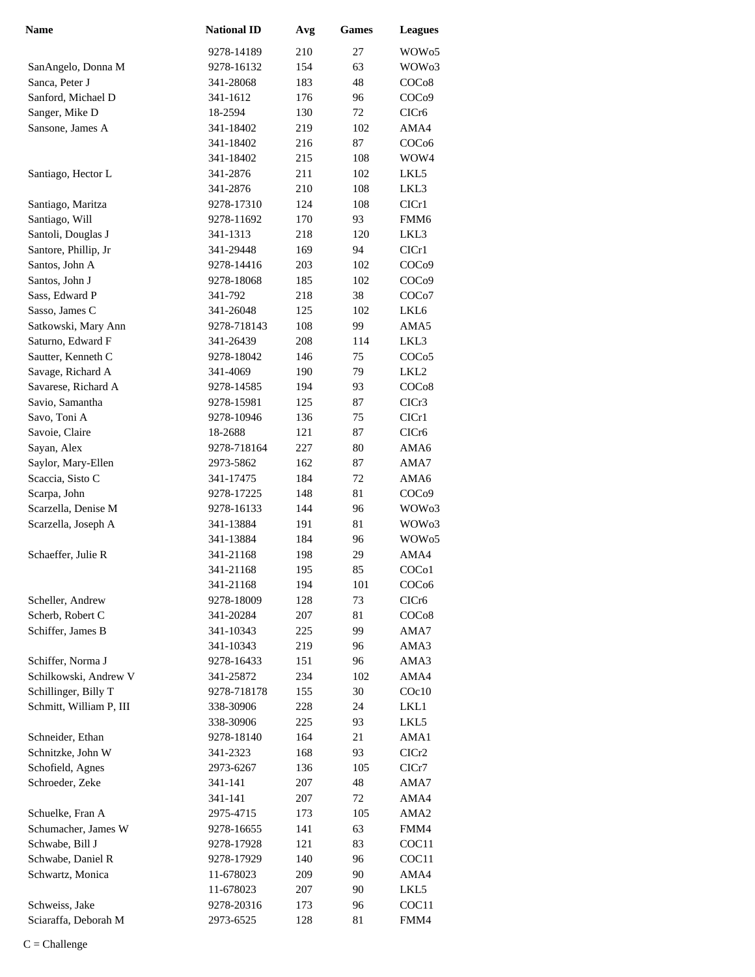| <b>Name</b>             | <b>National ID</b> | Avg | <b>Games</b> | <b>Leagues</b>     |
|-------------------------|--------------------|-----|--------------|--------------------|
|                         | 9278-14189         | 210 | 27           | WOW <sub>05</sub>  |
| SanAngelo, Donna M      | 9278-16132         | 154 | 63           | WOW <sub>03</sub>  |
| Sanca, Peter J          | 341-28068          | 183 | 48           | COC <sub>08</sub>  |
| Sanford, Michael D      | 341-1612           | 176 | 96           | COC <sub>09</sub>  |
| Sanger, Mike D          | 18-2594            | 130 | 72           | CICr6              |
| Sansone, James A        | 341-18402          | 219 | 102          | AMA4               |
|                         | 341-18402          | 216 | 87           | COC <sub>06</sub>  |
|                         | 341-18402          | 215 | 108          | WOW4               |
| Santiago, Hector L      | 341-2876           | 211 | 102          | LKL5               |
|                         | 341-2876           | 210 | 108          | LKL3               |
| Santiago, Maritza       | 9278-17310         | 124 | 108          | CICr1              |
| Santiago, Will          | 9278-11692         | 170 | 93           | FMM <sub>6</sub>   |
| Santoli, Douglas J      | 341-1313           | 218 | 120          | LKL3               |
| Santore, Phillip, Jr    | 341-29448          | 169 | 94           | CIC <sub>r1</sub>  |
| Santos, John A          | 9278-14416         | 203 | 102          | COC <sub>09</sub>  |
| Santos, John J          | 9278-18068         | 185 | 102          | COCo9              |
| Sass, Edward P          | 341-792            | 218 | 38           | COC <sub>o</sub> 7 |
| Sasso, James C          | 341-26048          | 125 | 102          | LKL6               |
| Satkowski, Mary Ann     | 9278-718143        | 108 | 99           | AMA5               |
| Saturno, Edward F       | 341-26439          | 208 | 114          | LKL3               |
| Sautter, Kenneth C      | 9278-18042         | 146 | 75           | COC <sub>05</sub>  |
| Savage, Richard A       | 341-4069           | 190 | 79           | LKL <sub>2</sub>   |
| Savarese, Richard A     | 9278-14585         | 194 | 93           | COC <sub>08</sub>  |
| Savio, Samantha         | 9278-15981         | 125 | 87           | CICr3              |
| Savo, Toni A            | 9278-10946         | 136 | 75           | CICr1              |
| Savoie, Claire          | 18-2688            | 121 | 87           | CICr6              |
| Sayan, Alex             | 9278-718164        | 227 | 80           | AMA6               |
| Saylor, Mary-Ellen      | 2973-5862          | 162 | 87           | AMA7               |
| Scaccia, Sisto C        | 341-17475          | 184 | 72           | AMA6               |
| Scarpa, John            | 9278-17225         | 148 | 81           | COC <sub>09</sub>  |
| Scarzella, Denise M     | 9278-16133         | 144 | 96           | WOW <sub>03</sub>  |
| Scarzella, Joseph A     | 341-13884          | 191 | 81           | WOW <sub>03</sub>  |
|                         | 341-13884          | 184 | 96           | WOW <sub>05</sub>  |
| Schaeffer, Julie R      | 341-21168          | 198 | 29           | AMA4               |
|                         | 341-21168          | 195 | 85           | COC <sub>o1</sub>  |
|                         | 341-21168          | 194 | 101          | COC <sub>06</sub>  |
| Scheller, Andrew        | 9278-18009         | 128 | 73           | CICr6              |
| Scherb, Robert C        | 341-20284          | 207 | 81           | COC <sub>08</sub>  |
| Schiffer, James B       | 341-10343          | 225 | 99           | AMA7               |
|                         | 341-10343          | 219 | 96           | AMA3               |
| Schiffer, Norma J       | 9278-16433         | 151 | 96           | AMA3               |
| Schilkowski, Andrew V   | 341-25872          | 234 | 102          | AMA4               |
| Schillinger, Billy T    | 9278-718178        | 155 | 30           | COc10              |
| Schmitt, William P, III | 338-30906          | 228 | 24           | LKL1               |
|                         | 338-30906          | 225 | 93           | LKL5               |
| Schneider, Ethan        | 9278-18140         | 164 | 21           | AMA1               |
| Schnitzke, John W       | 341-2323           | 168 | 93           | CICr2              |
| Schofield, Agnes        | 2973-6267          | 136 | 105          | ClCr7              |
| Schroeder, Zeke         | 341-141            | 207 | 48           | AMA7               |
|                         | 341-141            | 207 | 72           | AMA4               |
| Schuelke, Fran A        | 2975-4715          | 173 | 105          | AMA <sub>2</sub>   |
| Schumacher, James W     | 9278-16655         | 141 | 63           | FMM4               |
| Schwabe, Bill J         | 9278-17928         | 121 | 83           | COC <sub>11</sub>  |
| Schwabe, Daniel R       | 9278-17929         | 140 | 96           | COC <sub>11</sub>  |
| Schwartz, Monica        | 11-678023          | 209 | 90           | AMA4               |
|                         | 11-678023          | 207 | 90           | LKL5               |
| Schweiss, Jake          | 9278-20316         | 173 | 96           | COC <sub>11</sub>  |
| Sciaraffa, Deborah M    | 2973-6525          | 128 | 81           | FMM4               |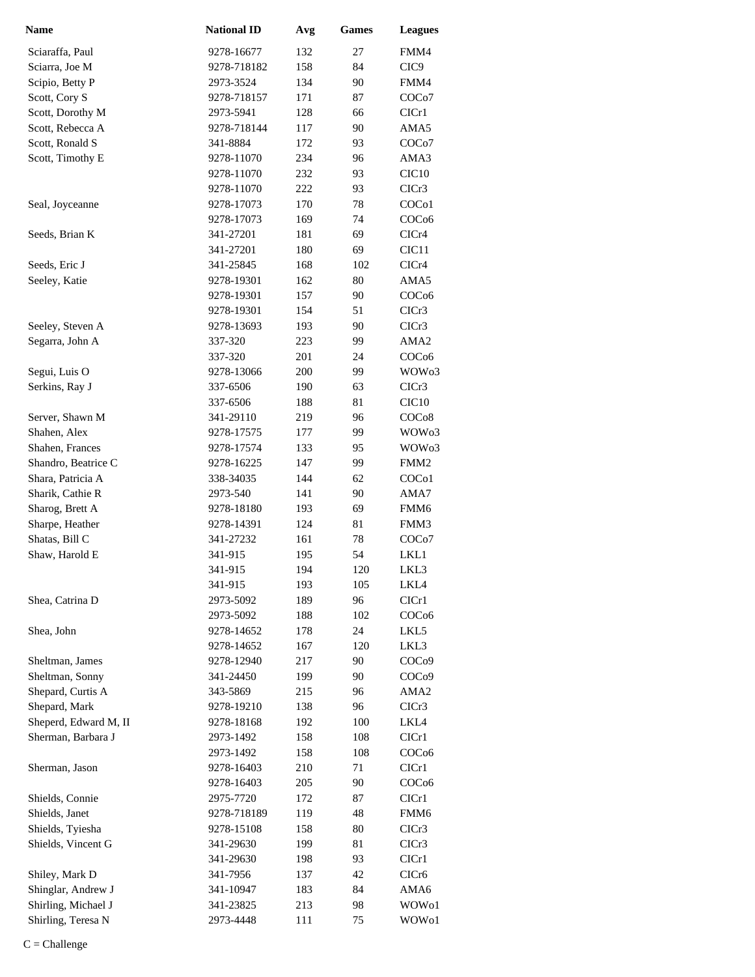| <b>Name</b>           | <b>National ID</b> | Avg | <b>Games</b> | <b>Leagues</b>     |
|-----------------------|--------------------|-----|--------------|--------------------|
| Sciaraffa, Paul       | 9278-16677         | 132 | 27           | FMM4               |
| Sciarra, Joe M        | 9278-718182        | 158 | 84           | CIC <sub>9</sub>   |
| Scipio, Betty P       | 2973-3524          | 134 | 90           | FMM4               |
| Scott, Cory S         | 9278-718157        | 171 | 87           | COC <sub>o</sub> 7 |
| Scott, Dorothy M      | 2973-5941          | 128 | 66           | CICr1              |
| Scott, Rebecca A      | 9278-718144        | 117 | 90           | AMA5               |
| Scott, Ronald S       | 341-8884           | 172 | 93           | COC <sub>o</sub> 7 |
| Scott, Timothy E      | 9278-11070         | 234 | 96           | AMA3               |
|                       | 9278-11070         | 232 | 93           | CIC10              |
|                       | 9278-11070         | 222 | 93           | CICr3              |
| Seal, Joyceanne       | 9278-17073         | 170 | 78           | COC <sub>o</sub> 1 |
|                       | 9278-17073         | 169 | 74           | COC <sub>06</sub>  |
| Seeds, Brian K        | 341-27201          | 181 | 69           | CICr4              |
|                       | 341-27201          | 180 | 69           | CIC <sub>11</sub>  |
| Seeds, Eric J         | 341-25845          | 168 | 102          | CICr4              |
| Seeley, Katie         | 9278-19301         | 162 | 80           | AMA5               |
|                       | 9278-19301         | 157 | 90           | COC <sub>06</sub>  |
|                       | 9278-19301         | 154 | 51           | CICr3              |
| Seeley, Steven A      | 9278-13693         | 193 | 90           | ClCr3              |
| Segarra, John A       | 337-320            | 223 | 99           | AMA <sub>2</sub>   |
|                       | 337-320            | 201 | 24           | COC <sub>06</sub>  |
| Segui, Luis O         | 9278-13066         | 200 | 99           | WOW <sub>03</sub>  |
| Serkins, Ray J        | 337-6506           | 190 | 63           | ClCr3              |
|                       | 337-6506           | 188 | 81           | CIC <sub>10</sub>  |
| Server, Shawn M       | 341-29110          | 219 | 96           | COC <sub>08</sub>  |
| Shahen, Alex          | 9278-17575         | 177 | 99           | WOW <sub>03</sub>  |
| Shahen, Frances       | 9278-17574         | 133 | 95           | WOW <sub>03</sub>  |
| Shandro, Beatrice C   | 9278-16225         | 147 | 99           | FMM <sub>2</sub>   |
| Shara, Patricia A     | 338-34035          | 144 | 62           | COC <sub>o</sub> 1 |
| Sharik, Cathie R      | 2973-540           | 141 | 90           | AMA7               |
| Sharog, Brett A       | 9278-18180         | 193 | 69           | FMM6               |
| Sharpe, Heather       | 9278-14391         | 124 | 81           | FMM3               |
| Shatas, Bill C        | 341-27232          | 161 | 78           | COC <sub>o</sub> 7 |
| Shaw, Harold E        | 341-915            | 195 | 54           | LKL1               |
|                       | 341-915            | 194 | 120          | LKL3               |
|                       | 341-915            | 193 | 105          | LKL4               |
| Shea, Catrina D       | 2973-5092          | 189 | 96           | CICr1              |
|                       | 2973-5092          | 188 | 102          | COC <sub>06</sub>  |
| Shea, John            | 9278-14652         | 178 | 24           | LKL5               |
|                       | 9278-14652         | 167 | 120          | LKL3               |
| Sheltman, James       | 9278-12940         | 217 | 90           | COC <sub>09</sub>  |
| Sheltman, Sonny       | 341-24450          | 199 | 90           | COC <sub>09</sub>  |
| Shepard, Curtis A     | 343-5869           | 215 | 96           | AMA <sub>2</sub>   |
| Shepard, Mark         | 9278-19210         | 138 | 96           | CICr3              |
| Sheperd, Edward M, II | 9278-18168         | 192 | 100          | LKL4               |
| Sherman, Barbara J    | 2973-1492          | 158 | 108          | CIC <sub>r1</sub>  |
|                       | 2973-1492          | 158 | 108          | COC <sub>06</sub>  |
| Sherman, Jason        | 9278-16403         | 210 | 71           | CIC <sub>r1</sub>  |
|                       | 9278-16403         | 205 | 90           | COC <sub>06</sub>  |
| Shields, Connie       | 2975-7720          | 172 | 87           | CIC <sub>r1</sub>  |
| Shields, Janet        | 9278-718189        | 119 | 48           | FMM6               |
| Shields, Tyiesha      | 9278-15108         | 158 | 80           | CICr3              |
| Shields, Vincent G    | 341-29630          | 199 | 81           | CICr3              |
|                       | 341-29630          | 198 | 93           | CIC <sub>r</sub> 1 |
| Shiley, Mark D        | 341-7956           | 137 | 42           | CICr <sub>6</sub>  |
| Shinglar, Andrew J    | 341-10947          | 183 | 84           | AMA6               |
| Shirling, Michael J   | 341-23825          | 213 | 98           | WOW01              |
| Shirling, Teresa N    | 2973-4448          | 111 | 75           | WOW01              |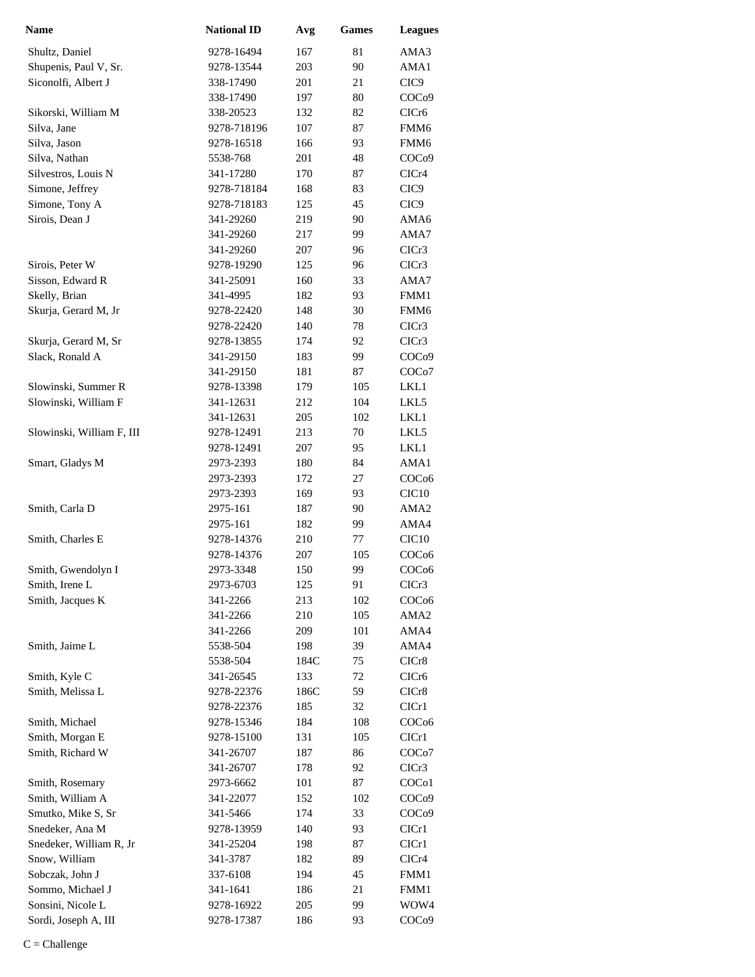| <b>Name</b>               | <b>National ID</b> | Avg  | <b>Games</b> | <b>Leagues</b>     |
|---------------------------|--------------------|------|--------------|--------------------|
| Shultz, Daniel            | 9278-16494         | 167  | 81           | AMA3               |
| Shupenis, Paul V, Sr.     | 9278-13544         | 203  | 90           | AMA1               |
| Siconolfi, Albert J       | 338-17490          | 201  | 21           | CIC <sub>9</sub>   |
|                           | 338-17490          | 197  | 80           | COC <sub>09</sub>  |
| Sikorski, William M       | 338-20523          | 132  | 82           | CIC <sub>r6</sub>  |
| Silva, Jane               | 9278-718196        | 107  | 87           | FMM6               |
| Silva, Jason              | 9278-16518         | 166  | 93           | FMM6               |
| Silva, Nathan             | 5538-768           | 201  | 48           | COC <sub>09</sub>  |
| Silvestros, Louis N       | 341-17280          | 170  | 87           | CICr4              |
| Simone, Jeffrey           | 9278-718184        | 168  | 83           | CIC <sub>9</sub>   |
| Simone, Tony A            | 9278-718183        | 125  | 45           | CIC <sub>9</sub>   |
| Sirois, Dean J            | 341-29260          | 219  | 90           | AMA6               |
|                           | 341-29260          | 217  | 99           | AMA7               |
|                           | 341-29260          | 207  | 96           | CICr3              |
| Sirois, Peter W           | 9278-19290         | 125  | 96           | CICr3              |
| Sisson, Edward R          | 341-25091          | 160  | 33           | AMA7               |
| Skelly, Brian             | 341-4995           | 182  | 93           | FMM1               |
| Skurja, Gerard M, Jr      | 9278-22420         | 148  | 30           | FMM <sub>6</sub>   |
|                           | 9278-22420         | 140  | 78           | CICr3              |
| Skurja, Gerard M, Sr      | 9278-13855         | 174  | 92           | CICr3              |
| Slack, Ronald A           | 341-29150          | 183  | 99           | COC <sub>09</sub>  |
|                           | 341-29150          | 181  | 87           | COC <sub>o</sub> 7 |
| Slowinski, Summer R       | 9278-13398         | 179  | 105          | LKL1               |
| Slowinski, William F      | 341-12631          | 212  | 104          | LKL5               |
|                           | 341-12631          | 205  | 102          | LKL1               |
| Slowinski, William F, III | 9278-12491         | 213  | 70           | LKL5               |
|                           | 9278-12491         | 207  | 95           | LKL1               |
| Smart, Gladys M           | 2973-2393          | 180  | 84           | AMA1               |
|                           | 2973-2393          | 172  | 27           | COC <sub>06</sub>  |
|                           | 2973-2393          | 169  | 93           | CIC <sub>10</sub>  |
| Smith, Carla D            | 2975-161           | 187  | 90           | AMA <sub>2</sub>   |
|                           | 2975-161           | 182  | 99           | AMA4               |
| Smith, Charles E          | 9278-14376         | 210  | 77           | CIC <sub>10</sub>  |
|                           | 9278-14376         | 207  | 105          | COC <sub>06</sub>  |
| Smith, Gwendolyn I        | 2973-3348          | 150  | 99           | COC <sub>06</sub>  |
| Smith, Irene L            | 2973-6703          | 125  | 91           | CICr3              |
| Smith, Jacques K          | 341-2266           | 213  | 102          | COC <sub>06</sub>  |
|                           | 341-2266           | 210  | 105          | AMA2               |
|                           | 341-2266           | 209  | 101          | AMA4               |
| Smith, Jaime L            | 5538-504           | 198  | 39           | AMA4               |
|                           | 5538-504           | 184C | 75           | CICr8              |
| Smith, Kyle C             | 341-26545          | 133  | 72           | CICr <sub>6</sub>  |
| Smith, Melissa L          | 9278-22376         | 186C | 59           | CICr8              |
|                           | 9278-22376         | 185  | 32           | ClCr1              |
| Smith, Michael            | 9278-15346         | 184  | 108          | COC <sub>06</sub>  |
| Smith, Morgan E           | 9278-15100         | 131  | 105          | ClCr1              |
| Smith, Richard W          | 341-26707          | 187  | 86           | COC <sub>o</sub> 7 |
|                           | 341-26707          | 178  | 92           | CICr3              |
| Smith, Rosemary           | 2973-6662          | 101  | 87           | COC <sub>o</sub> 1 |
| Smith, William A          | 341-22077          | 152  | 102          | COC <sub>09</sub>  |
| Smutko, Mike S, Sr        | 341-5466           | 174  | 33           | COC <sub>09</sub>  |
| Snedeker, Ana M           | 9278-13959         | 140  | 93           | CICr1              |
| Snedeker, William R, Jr   | 341-25204          | 198  | 87           | CICr1              |
| Snow, William             | 341-3787           | 182  | 89           | CICr4              |
| Sobczak, John J           | 337-6108           | 194  | 45           | FMM1               |
| Sommo, Michael J          | 341-1641           | 186  | 21           | FMM1               |
| Sonsini, Nicole L         | 9278-16922         | 205  | 99           | WOW4               |
| Sordi, Joseph A, III      | 9278-17387         | 186  | 93           | COC <sub>09</sub>  |
|                           |                    |      |              |                    |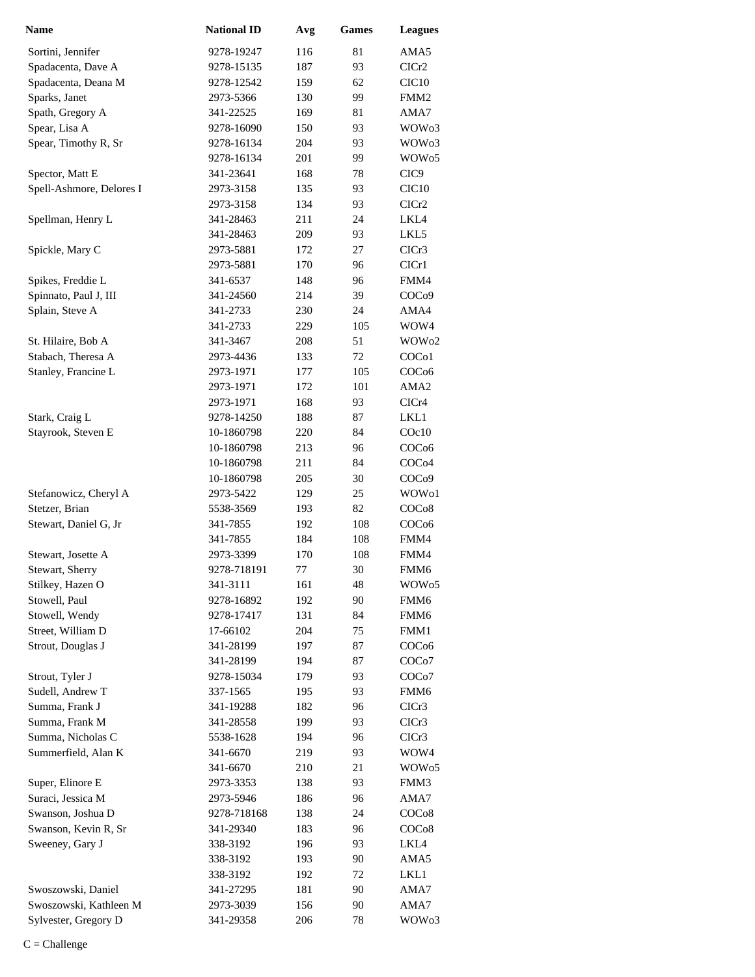| <b>Name</b>              | <b>National ID</b> | Avg | <b>Games</b> | <b>Leagues</b>    |
|--------------------------|--------------------|-----|--------------|-------------------|
| Sortini, Jennifer        | 9278-19247         | 116 | 81           | AMA5              |
| Spadacenta, Dave A       | 9278-15135         | 187 | 93           | ClCr2             |
| Spadacenta, Deana M      | 9278-12542         | 159 | 62           | CIC <sub>10</sub> |
| Sparks, Janet            | 2973-5366          | 130 | 99           | FMM <sub>2</sub>  |
| Spath, Gregory A         | 341-22525          | 169 | 81           | AMA7              |
| Spear, Lisa A            | 9278-16090         | 150 | 93           | WOW <sub>03</sub> |
| Spear, Timothy R, Sr     | 9278-16134         | 204 | 93           | WOW <sub>03</sub> |
|                          | 9278-16134         | 201 | 99           | WOW <sub>05</sub> |
| Spector, Matt E          | 341-23641          | 168 | 78           | CIC <sub>9</sub>  |
| Spell-Ashmore, Delores I | 2973-3158          | 135 | 93           | CIC10             |
|                          | 2973-3158          | 134 | 93           | CICr <sub>2</sub> |
| Spellman, Henry L        | 341-28463          | 211 | 24           | LKL4              |
|                          | 341-28463          | 209 | 93           | LKL5              |
| Spickle, Mary C          | 2973-5881          | 172 | 27           | CICr3             |
|                          | 2973-5881          | 170 | 96           | ClCr1             |
| Spikes, Freddie L        | 341-6537           | 148 | 96           | FMM4              |
| Spinnato, Paul J, III    | 341-24560          | 214 | 39           | COC <sub>09</sub> |
| Splain, Steve A          | 341-2733           | 230 | 24           | AMA4              |
|                          | 341-2733           | 229 | 105          | WOW4              |
| St. Hilaire, Bob A       | 341-3467           | 208 | 51           | WOW <sub>02</sub> |
| Stabach, Theresa A       | 2973-4436          | 133 | 72           | COC <sub>o1</sub> |
| Stanley, Francine L      | 2973-1971          | 177 | 105          | COC <sub>06</sub> |
|                          | 2973-1971          | 172 | 101          | AMA <sub>2</sub>  |
|                          | 2973-1971          | 168 | 93           | CICr4             |
| Stark, Craig L           | 9278-14250         | 188 | 87           | LKL1              |
| Stayrook, Steven E       | 10-1860798         | 220 | 84           | COc10             |
|                          | 10-1860798         | 213 | 96           | COC <sub>06</sub> |
|                          | 10-1860798         | 211 | 84           | COC <sub>04</sub> |
|                          | 10-1860798         | 205 | 30           | COC <sub>09</sub> |
| Stefanowicz, Cheryl A    | 2973-5422          | 129 | 25           | WOW <sub>o1</sub> |
| Stetzer, Brian           | 5538-3569          | 193 | 82           | COC <sub>08</sub> |
| Stewart, Daniel G, Jr    | 341-7855           | 192 | 108          | COC <sub>06</sub> |
|                          | 341-7855           | 184 | 108          | FMM4              |
| Stewart, Josette A       | 2973-3399          | 170 | 108          | FMM4              |
| Stewart, Sherry          | 9278-718191        | 77  | 30           | FMM6              |
| Stilkey, Hazen O         | 341-3111           | 161 | 48           | WOW <sub>05</sub> |
| Stowell, Paul            | 9278-16892         | 192 | 90           | FMM <sub>6</sub>  |
| Stowell, Wendy           | 9278-17417         | 131 | 84           | FMM <sub>6</sub>  |
| Street, William D        | 17-66102           | 204 | 75           | FMM1              |
| Strout, Douglas J        | 341-28199          | 197 | 87           | COCo6             |
|                          | 341-28199          | 194 | 87           | COCo7             |
| Strout, Tyler J          | 9278-15034         | 179 | 93           | COCo7             |
| Sudell, Andrew T         | 337-1565           | 195 | 93           | FMM6              |
| Summa, Frank J           | 341-19288          | 182 | 96           | CICr3             |
| Summa, Frank M           | 341-28558          | 199 | 93           | CICr3             |
| Summa, Nicholas C        | 5538-1628          | 194 | 96           | CICr3             |
| Summerfield, Alan K      | 341-6670           | 219 | 93           | WOW4              |
|                          | 341-6670           | 210 | 21           | WOW <sub>05</sub> |
| Super, Elinore E         | 2973-3353          | 138 | 93           | FMM3              |
| Suraci, Jessica M        | 2973-5946          | 186 | 96           | AMA7              |
| Swanson, Joshua D        | 9278-718168        | 138 | 24           | COC <sub>08</sub> |
| Swanson, Kevin R, Sr     | 341-29340          | 183 | 96           | COC <sub>08</sub> |
| Sweeney, Gary J          | 338-3192           | 196 | 93           | LKL4              |
|                          | 338-3192           | 193 | 90           | AMA5              |
|                          | 338-3192           | 192 | 72           | LKL1              |
| Swoszowski, Daniel       | 341-27295          | 181 | 90           | AMA7              |
| Swoszowski, Kathleen M   | 2973-3039          | 156 | 90           | AMA7              |
| Sylvester, Gregory D     | 341-29358          | 206 | 78           | WOW03             |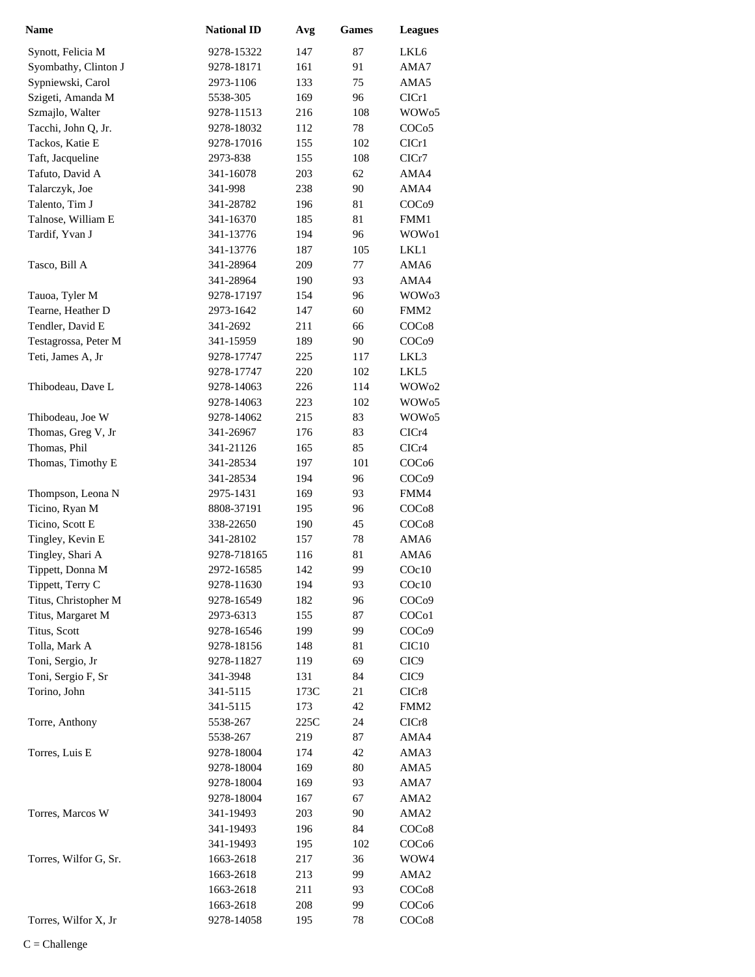| <b>Name</b>           | <b>National ID</b> | Avg  | <b>Games</b> | <b>Leagues</b>    |
|-----------------------|--------------------|------|--------------|-------------------|
| Synott, Felicia M     | 9278-15322         | 147  | 87           | LKL6              |
| Syombathy, Clinton J  | 9278-18171         | 161  | 91           | AMA7              |
| Sypniewski, Carol     | 2973-1106          | 133  | 75           | AMA5              |
| Szigeti, Amanda M     | 5538-305           | 169  | 96           | ClCr1             |
| Szmajlo, Walter       | 9278-11513         | 216  | 108          | WOW <sub>05</sub> |
| Tacchi, John Q, Jr.   | 9278-18032         | 112  | 78           | COCo <sub>5</sub> |
| Tackos, Katie E       | 9278-17016         | 155  | 102          | CICr1             |
| Taft, Jacqueline      | 2973-838           | 155  | 108          | CICr7             |
| Tafuto, David A       | 341-16078          | 203  | 62           | AMA4              |
|                       | 341-998            |      | 90           | AMA4              |
| Talarczyk, Joe        |                    | 238  |              |                   |
| Talento, Tim J        | 341-28782          | 196  | 81           | COC <sub>09</sub> |
| Talnose, William E    | 341-16370          | 185  | 81           | FMM1              |
| Tardif, Yvan J        | 341-13776          | 194  | 96           | WOW <sub>o1</sub> |
|                       | 341-13776          | 187  | 105          | LKL1              |
| Tasco, Bill A         | 341-28964          | 209  | 77           | AMA6              |
|                       | 341-28964          | 190  | 93           | AMA4              |
| Tauoa, Tyler M        | 9278-17197         | 154  | 96           | WOW <sub>03</sub> |
| Tearne, Heather D     | 2973-1642          | 147  | 60           | FMM <sub>2</sub>  |
| Tendler, David E      | 341-2692           | 211  | 66           | COCo8             |
| Testagrossa, Peter M  | 341-15959          | 189  | 90           | COC <sub>09</sub> |
| Teti, James A, Jr     | 9278-17747         | 225  | 117          | LKL3              |
|                       | 9278-17747         | 220  | 102          | LKL5              |
| Thibodeau, Dave L     | 9278-14063         | 226  | 114          | WOW <sub>02</sub> |
|                       | 9278-14063         | 223  | 102          | WOW <sub>05</sub> |
| Thibodeau, Joe W      | 9278-14062         | 215  | 83           | WOW <sub>05</sub> |
| Thomas, Greg V, Jr    | 341-26967          | 176  | 83           | CICr4             |
| Thomas, Phil          | 341-21126          | 165  | 85           | CICr4             |
| Thomas, Timothy E     | 341-28534          | 197  | 101          | COC <sub>06</sub> |
|                       | 341-28534          | 194  | 96           | COC <sub>09</sub> |
| Thompson, Leona N     | 2975-1431          | 169  | 93           | FMM4              |
| Ticino, Ryan M        | 8808-37191         | 195  | 96           | COC <sub>08</sub> |
| Ticino, Scott E       | 338-22650          | 190  | 45           | COC <sub>08</sub> |
| Tingley, Kevin E      | 341-28102          | 157  | 78           | AMA6              |
| Tingley, Shari A      | 9278-718165        | 116  | 81           | AMA6              |
| Tippett, Donna M      | 2972-16585         | 142  | 99           | COc10             |
|                       | 9278-11630         | 194  | 93           | COc10             |
| Tippett, Terry C      |                    |      |              | COC <sub>09</sub> |
| Titus, Christopher M  | 9278-16549         | 182  | 96           |                   |
| Titus, Margaret M     | 2973-6313          | 155  | 87           | COCo1             |
| Titus, Scott          | 9278-16546         | 199  | 99           | COC <sub>09</sub> |
| Tolla, Mark A         | 9278-18156         | 148  | 81           | CIC <sub>10</sub> |
| Toni, Sergio, Jr      | 9278-11827         | 119  | 69           | CIC <sub>9</sub>  |
| Toni, Sergio F, Sr    | 341-3948           | 131  | 84           | CIC <sub>9</sub>  |
| Torino, John          | 341-5115           | 173C | 21           | CICr8             |
|                       | 341-5115           | 173  | 42           | FMM <sub>2</sub>  |
| Torre, Anthony        | 5538-267           | 225C | 24           | CICr8             |
|                       | 5538-267           | 219  | 87           | AMA4              |
| Torres, Luis E        | 9278-18004         | 174  | 42           | AMA3              |
|                       | 9278-18004         | 169  | 80           | AMA5              |
|                       | 9278-18004         | 169  | 93           | AMA7              |
|                       | 9278-18004         | 167  | 67           | AMA <sub>2</sub>  |
| Torres, Marcos W      | 341-19493          | 203  | 90           | AMA <sub>2</sub>  |
|                       | 341-19493          | 196  | 84           | COC <sub>08</sub> |
|                       | 341-19493          | 195  | 102          | COC <sub>06</sub> |
| Torres, Wilfor G, Sr. | 1663-2618          | 217  | 36           | WOW4              |
|                       | 1663-2618          | 213  | 99           | AMA2              |
|                       | 1663-2618          | 211  | 93           | COCo8             |
|                       | 1663-2618          | 208  | 99           | COC <sub>06</sub> |
| Torres, Wilfor X, Jr  | 9278-14058         | 195  | 78           | COCo8             |
|                       |                    |      |              |                   |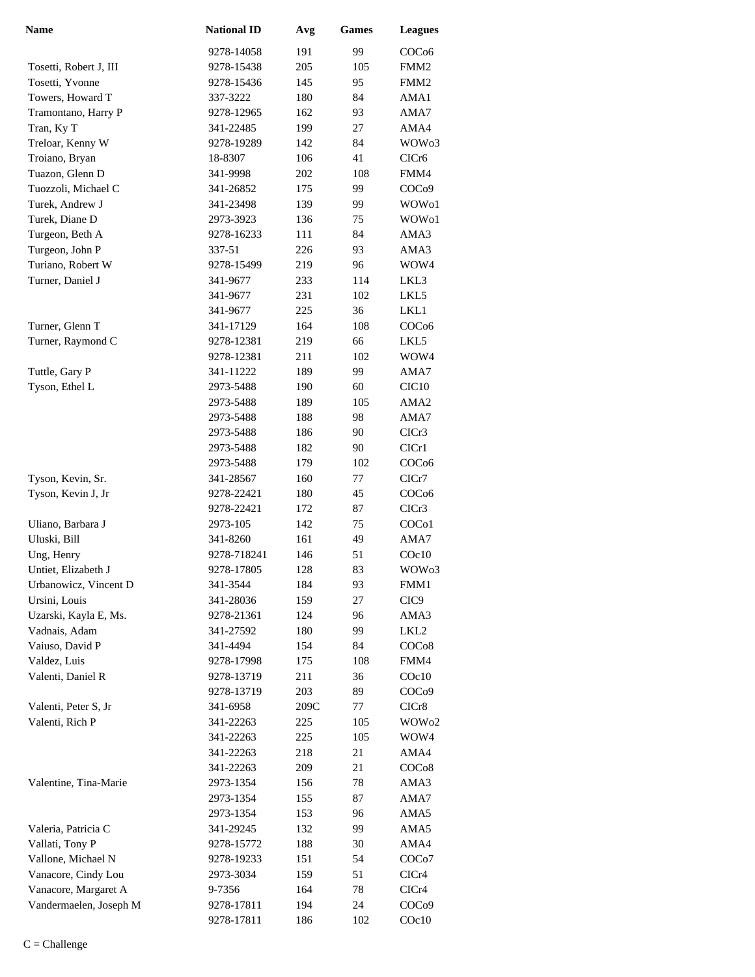| <b>Name</b>            | <b>National ID</b> | Avg  | <b>Games</b> | <b>Leagues</b>     |
|------------------------|--------------------|------|--------------|--------------------|
|                        | 9278-14058         | 191  | 99           | COC <sub>06</sub>  |
| Tosetti, Robert J, III | 9278-15438         | 205  | 105          | FMM2               |
| Tosetti, Yvonne        | 9278-15436         | 145  | 95           | FMM <sub>2</sub>   |
| Towers, Howard T       | 337-3222           | 180  | 84           | AMA1               |
| Tramontano, Harry P    | 9278-12965         | 162  | 93           | AMA7               |
| Tran, Ky T             | 341-22485          | 199  | 27           | AMA4               |
| Treloar, Kenny W       | 9278-19289         | 142  | 84           | WOW <sub>03</sub>  |
| Troiano, Bryan         | 18-8307            | 106  | 41           | CICr <sub>6</sub>  |
| Tuazon, Glenn D        | 341-9998           | 202  | 108          | FMM4               |
| Tuozzoli, Michael C    | 341-26852          | 175  | 99           | COCo9              |
| Turek, Andrew J        | 341-23498          | 139  | 99           | WOW01              |
| Turek, Diane D         | 2973-3923          | 136  | 75           | WOW01              |
| Turgeon, Beth A        | 9278-16233         | 111  | 84           | AMA3               |
| Turgeon, John P        | 337-51             | 226  | 93           | AMA3               |
| Turiano, Robert W      | 9278-15499         | 219  | 96           | WOW4               |
| Turner, Daniel J       | 341-9677           | 233  | 114          | LKL3               |
|                        | 341-9677           | 231  | 102          | LKL5               |
|                        | 341-9677           | 225  | 36           | LKL1               |
| Turner, Glenn T        | 341-17129          | 164  | 108          | COC <sub>06</sub>  |
| Turner, Raymond C      | 9278-12381         | 219  | 66           | LKL5               |
|                        | 9278-12381         | 211  | 102          | WOW4               |
| Tuttle, Gary P         | 341-11222          | 189  | 99           | AMA7               |
| Tyson, Ethel L         | 2973-5488          | 190  | 60           | CIC <sub>10</sub>  |
|                        | 2973-5488          | 189  | 105          | AMA2               |
|                        | 2973-5488          | 188  | 98           | AMA7               |
|                        | 2973-5488          | 186  | 90           | CICr3              |
|                        | 2973-5488          | 182  | 90           | ClCr1              |
|                        | 2973-5488          | 179  | 102          | COC <sub>06</sub>  |
| Tyson, Kevin, Sr.      | 341-28567          | 160  | 77           | ClCr7              |
| Tyson, Kevin J, Jr     | 9278-22421         | 180  | 45           | COC <sub>06</sub>  |
|                        | 9278-22421         | 172  | 87           | CICr3              |
| Uliano, Barbara J      | 2973-105           | 142  | 75           | COC <sub>o</sub> 1 |
| Uluski, Bill           | 341-8260           | 161  | 49           | AMA7               |
| Ung, Henry             | 9278-718241        | 146  | 51           | COc10              |
| Untiet, Elizabeth J    | 9278-17805         | 128  | 83           | WOW <sub>03</sub>  |
| Urbanowicz, Vincent D  | 341-3544           | 184  | 93           | FMM1               |
| Ursini, Louis          | 341-28036          | 159  | 27           | CIC <sub>9</sub>   |
| Uzarski, Kayla E, Ms.  | 9278-21361         | 124  | 96           | AMA3               |
| Vadnais, Adam          | 341-27592          | 180  | 99           | LKL2               |
| Vaiuso, David P        | 341-4494           | 154  | 84           | COCo8              |
| Valdez, Luis           | 9278-17998         | 175  | 108          | FMM4               |
| Valenti, Daniel R      | 9278-13719         | 211  | 36           | $C$ Oc $10$        |
|                        | 9278-13719         | 203  | 89           | COCo9              |
| Valenti, Peter S, Jr   | 341-6958           | 209C | 77           | CICr8              |
| Valenti, Rich P        | 341-22263          | 225  | 105          | WOW <sub>02</sub>  |
|                        | 341-22263          | 225  | 105          | WOW4               |
|                        | 341-22263          | 218  | 21           | AMA4               |
|                        | 341-22263          | 209  | 21           | COCo8              |
| Valentine, Tina-Marie  | 2973-1354          | 156  | 78           | AMA3               |
|                        | 2973-1354          | 155  | 87           | AMA7               |
|                        | 2973-1354          | 153  | 96           | AMA5               |
| Valeria, Patricia C    | 341-29245          | 132  | 99           | AMA5               |
| Vallati, Tony P        | 9278-15772         | 188  | 30           | AMA4               |
| Vallone, Michael N     | 9278-19233         | 151  | 54           | COC <sub>o</sub> 7 |
| Vanacore, Cindy Lou    | 2973-3034          | 159  | 51           | CICr4              |
| Vanacore, Margaret A   | 9-7356             | 164  | 78           | CICr4              |
| Vandermaelen, Joseph M | 9278-17811         | 194  | 24           | COC <sub>09</sub>  |
|                        | 9278-17811         | 186  | 102          | $C$ Oc $10$        |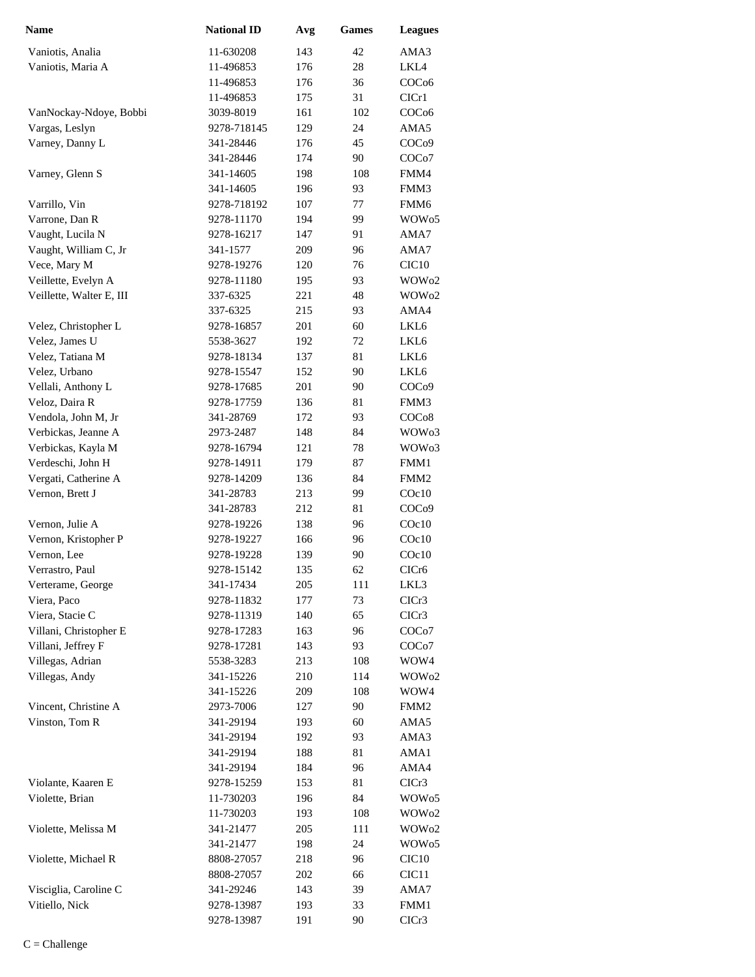| <b>Name</b>              | <b>National ID</b> | Avg | <b>Games</b> | <b>Leagues</b>     |
|--------------------------|--------------------|-----|--------------|--------------------|
| Vaniotis, Analia         | 11-630208          | 143 | 42           | AMA3               |
| Vaniotis, Maria A        | 11-496853          | 176 | 28           | LKL4               |
|                          | 11-496853          | 176 | 36           | COC <sub>06</sub>  |
|                          | 11-496853          | 175 | 31           | CIC <sub>r1</sub>  |
| VanNockay-Ndoye, Bobbi   | 3039-8019          | 161 | 102          | COC <sub>06</sub>  |
| Vargas, Leslyn           | 9278-718145        | 129 | 24           | AMA5               |
| Varney, Danny L          | 341-28446          | 176 | 45           | COC <sub>09</sub>  |
|                          | 341-28446          | 174 | 90           | COC <sub>o</sub> 7 |
| Varney, Glenn S          | 341-14605          | 198 | 108          | FMM4               |
|                          | 341-14605          | 196 | 93           | FMM3               |
| Varrillo, Vin            | 9278-718192        | 107 | 77           | FMM6               |
| Varrone, Dan R           | 9278-11170         | 194 | 99           | WOW <sub>05</sub>  |
| Vaught, Lucila N         | 9278-16217         | 147 | 91           | AMA7               |
| Vaught, William C, Jr    | 341-1577           | 209 | 96           | AMA7               |
| Vece, Mary M             | 9278-19276         | 120 | 76           | CIC <sub>10</sub>  |
| Veillette, Evelyn A      | 9278-11180         | 195 | 93           | WOW <sub>02</sub>  |
| Veillette, Walter E, III | 337-6325           | 221 | 48           | WOW <sub>02</sub>  |
|                          | 337-6325           | 215 | 93           | AMA4               |
| Velez, Christopher L     | 9278-16857         | 201 | 60           | LKL6               |
| Velez, James U           | 5538-3627          | 192 | 72           | LKL6               |
| Velez, Tatiana M         | 9278-18134         | 137 | 81           | LKL6               |
| Velez, Urbano            | 9278-15547         | 152 | 90           | LKL6               |
| Vellali, Anthony L       | 9278-17685         | 201 | 90           | COC <sub>09</sub>  |
| Veloz, Daira R           | 9278-17759         | 136 | 81           | FMM3               |
| Vendola, John M, Jr      | 341-28769          | 172 | 93           | COC <sub>08</sub>  |
| Verbickas, Jeanne A      | 2973-2487          | 148 | 84           | WOW <sub>03</sub>  |
| Verbickas, Kayla M       | 9278-16794         | 121 | 78           | WOW <sub>03</sub>  |
| Verdeschi, John H        | 9278-14911         | 179 | 87           | FMM1               |
| Vergati, Catherine A     | 9278-14209         | 136 | 84           | FMM <sub>2</sub>   |
| Vernon, Brett J          | 341-28783          | 213 | 99           | $C$ Oc $10$        |
|                          | 341-28783          | 212 | 81           | COC <sub>09</sub>  |
| Vernon, Julie A          | 9278-19226         | 138 | 96           | COc10              |
| Vernon, Kristopher P     | 9278-19227         | 166 | 96           | $C$ Oc $10$        |
| Vernon, Lee              | 9278-19228         | 139 | 90           | $C$ Oc $10$        |
| Verrastro, Paul          | 9278-15142         | 135 | 62           | CICr <sub>6</sub>  |
| Verterame, George        | 341-17434          | 205 | 111          | LKL3               |
| Viera, Paco              | 9278-11832         | 177 | 73           | CICr3              |
| Viera, Stacie C          | 9278-11319         | 140 | 65           | CICr3              |
| Villani, Christopher E   | 9278-17283         | 163 | 96           | COCo7              |
| Villani, Jeffrey F       | 9278-17281         | 143 | 93           | COCo7              |
| Villegas, Adrian         | 5538-3283          | 213 | 108          | WOW4               |
| Villegas, Andy           | 341-15226          | 210 | 114          | WOW <sub>02</sub>  |
|                          | 341-15226          | 209 | 108          | WOW4               |
| Vincent, Christine A     | 2973-7006          | 127 | 90           | FMM <sub>2</sub>   |
| Vinston, Tom R           | 341-29194          | 193 | 60           | AMA5               |
|                          | 341-29194          | 192 | 93           | AMA3               |
|                          | 341-29194          | 188 | 81           | AMA1               |
|                          | 341-29194          | 184 | 96           | AMA4               |
| Violante, Kaaren E       | 9278-15259         | 153 | 81           | CICr3              |
| Violette, Brian          | 11-730203          | 196 | 84           | WOW <sub>05</sub>  |
|                          | 11-730203          | 193 | 108          | WOW <sub>02</sub>  |
| Violette, Melissa M      | 341-21477          | 205 | 111          | WOW <sub>02</sub>  |
|                          | 341-21477          | 198 | 24           | WOW <sub>05</sub>  |
| Violette, Michael R      | 8808-27057         | 218 | 96           | CIC <sub>10</sub>  |
|                          | 8808-27057         | 202 | 66           | CIC <sub>11</sub>  |
| Visciglia, Caroline C    | 341-29246          | 143 | 39           | AMA7               |
| Vitiello, Nick           | 9278-13987         | 193 | 33           | FMM1               |
|                          | 9278-13987         | 191 | 90           | CICr3              |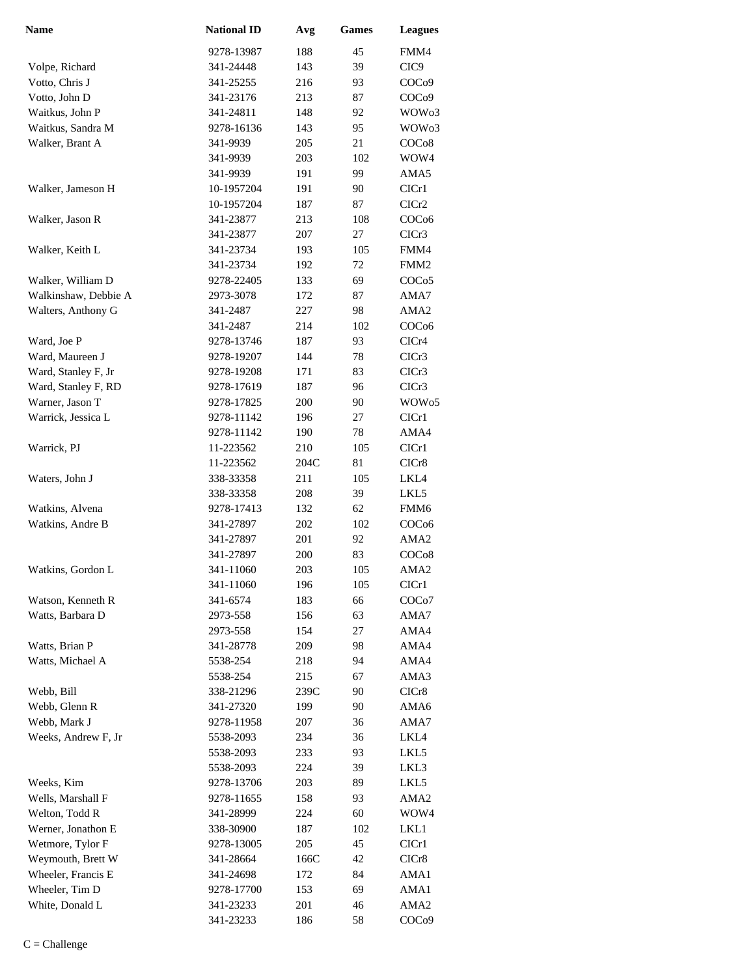| <b>Name</b>          | <b>National ID</b> | Avg  | <b>Games</b> | <b>Leagues</b>     |
|----------------------|--------------------|------|--------------|--------------------|
|                      | 9278-13987         | 188  | 45           | FMM4               |
| Volpe, Richard       | 341-24448          | 143  | 39           | CIC <sub>9</sub>   |
| Votto, Chris J       | 341-25255          | 216  | 93           | COC <sub>09</sub>  |
| Votto, John D        | 341-23176          | 213  | 87           | COC <sub>09</sub>  |
| Waitkus, John P      | 341-24811          | 148  | 92           | WOW <sub>03</sub>  |
| Waitkus, Sandra M    | 9278-16136         | 143  | 95           | WOW <sub>03</sub>  |
| Walker, Brant A      | 341-9939           | 205  | 21           | COC <sub>08</sub>  |
|                      | 341-9939           | 203  | 102          | WOW4               |
|                      | 341-9939           | 191  | 99           | AMA5               |
| Walker, Jameson H    | 10-1957204         | 191  | 90           | ClCr1              |
|                      | 10-1957204         | 187  | 87           | ClCr2              |
| Walker, Jason R      | 341-23877          | 213  | 108          | COC <sub>06</sub>  |
|                      | 341-23877          | 207  | 27           | CICr3              |
| Walker, Keith L      | 341-23734          | 193  | 105          | FMM4               |
|                      | 341-23734          | 192  | 72           | FMM <sub>2</sub>   |
| Walker, William D    | 9278-22405         | 133  | 69           | COCo <sub>5</sub>  |
| Walkinshaw, Debbie A | 2973-3078          | 172  | 87           | AMA7               |
| Walters, Anthony G   | 341-2487           | 227  | 98           | AMA <sub>2</sub>   |
|                      | 341-2487           | 214  | 102          | COC <sub>06</sub>  |
| Ward, Joe P          | 9278-13746         | 187  | 93           | CICr4              |
| Ward, Maureen J      | 9278-19207         | 144  | 78           | CICr <sub>3</sub>  |
| Ward, Stanley F, Jr  | 9278-19208         | 171  | 83           | CICr <sub>3</sub>  |
| Ward, Stanley F, RD  | 9278-17619         | 187  | 96           | ClCr3              |
| Warner, Jason T      | 9278-17825         | 200  | 90           | WOW <sub>05</sub>  |
| Warrick, Jessica L   | 9278-11142         | 196  | 27           | CIC <sub>r1</sub>  |
|                      | 9278-11142         | 190  | 78           | AMA4               |
| Warrick, PJ          | 11-223562          | 210  | 105          | CIC <sub>r1</sub>  |
|                      | 11-223562          | 204C | 81           | CICr8              |
| Waters, John J       | 338-33358          | 211  | 105          | LKL4               |
|                      | 338-33358          | 208  | 39           | LKL5               |
| Watkins, Alvena      | 9278-17413         | 132  | 62           | FMM6               |
| Watkins, Andre B     | 341-27897          | 202  | 102          | COC <sub>06</sub>  |
|                      | 341-27897          | 201  | 92           | AMA <sub>2</sub>   |
|                      | 341-27897          | 200  | 83           | COCo8              |
| Watkins, Gordon L    | 341-11060          | 203  | 105          | AMA2               |
|                      | 341-11060          | 196  | 105          | CICr1              |
| Watson, Kenneth R    | 341-6574           | 183  | 66           | COC <sub>o</sub> 7 |
| Watts, Barbara D     | 2973-558           | 156  | 63           | AMA7               |
|                      | 2973-558           | 154  | 27           | AMA4               |
| Watts, Brian P       | 341-28778          | 209  | 98           | AMA4               |
| Watts, Michael A     | 5538-254           | 218  | 94           | AMA4               |
|                      | 5538-254           | 215  | 67           | AMA3               |
| Webb, Bill           | 338-21296          | 239C | 90           | CICr8              |
| Webb, Glenn R        | 341-27320          | 199  | 90           | AMA6               |
| Webb, Mark J         | 9278-11958         | 207  | 36           | AMA7               |
| Weeks, Andrew F, Jr  | 5538-2093          | 234  | 36           | LKL4               |
|                      | 5538-2093          | 233  | 93           | LKL5               |
|                      | 5538-2093          | 224  | 39           | LKL3               |
| Weeks, Kim           | 9278-13706         | 203  | 89           | LKL5               |
| Wells, Marshall F    | 9278-11655         | 158  | 93           | AMA <sub>2</sub>   |
| Welton, Todd R       | 341-28999          | 224  | 60           | WOW4               |
| Werner, Jonathon E   | 338-30900          | 187  | 102          | LKL1               |
| Wetmore, Tylor F     | 9278-13005         | 205  | 45           | CICr1              |
| Weymouth, Brett W    | 341-28664          | 166C | 42           | CICr8              |
| Wheeler, Francis E   | 341-24698          | 172  | 84           | AMA1               |
| Wheeler, Tim D       | 9278-17700         | 153  | 69           | AMA1               |
| White, Donald L      | 341-23233          | 201  | 46           | AMA <sub>2</sub>   |
|                      | 341-23233          | 186  | 58           | COC <sub>09</sub>  |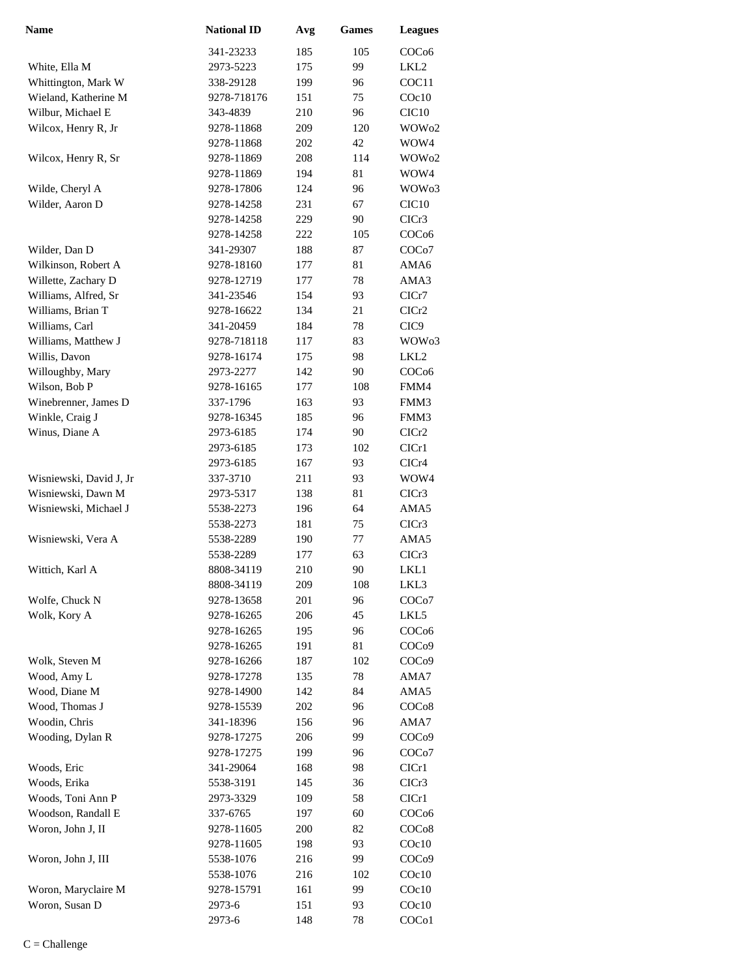| <b>Name</b>             | <b>National ID</b> | Avg | <b>Games</b> | <b>Leagues</b>     |
|-------------------------|--------------------|-----|--------------|--------------------|
|                         | 341-23233          | 185 | 105          | COC <sub>06</sub>  |
| White, Ella M           | 2973-5223          | 175 | 99           | LKL2               |
| Whittington, Mark W     | 338-29128          | 199 | 96           | COC11              |
| Wieland, Katherine M    | 9278-718176        | 151 | 75           | $C$ Oc $10$        |
| Wilbur, Michael E       | 343-4839           | 210 | 96           | CIC <sub>10</sub>  |
| Wilcox, Henry R, Jr     | 9278-11868         | 209 | 120          | WOW <sub>02</sub>  |
|                         | 9278-11868         | 202 | 42           | WOW4               |
| Wilcox, Henry R, Sr     | 9278-11869         | 208 | 114          | WOW <sub>02</sub>  |
|                         | 9278-11869         | 194 | 81           | WOW4               |
| Wilde, Cheryl A         | 9278-17806         | 124 | 96           | WOW03              |
| Wilder, Aaron D         | 9278-14258         | 231 | 67           | CIC <sub>10</sub>  |
|                         | 9278-14258         | 229 | 90           | CICr3              |
|                         | 9278-14258         | 222 | 105          | COC <sub>06</sub>  |
| Wilder, Dan D           | 341-29307          | 188 | 87           | COCo7              |
| Wilkinson, Robert A     | 9278-18160         | 177 | 81           | AMA6               |
| Willette, Zachary D     | 9278-12719         | 177 | 78           | AMA3               |
| Williams, Alfred, Sr    | 341-23546          | 154 | 93           | ClCr7              |
| Williams, Brian T       | 9278-16622         | 134 | 21           | CICr2              |
| Williams, Carl          | 341-20459          | 184 | 78           | CIC <sub>9</sub>   |
| Williams, Matthew J     | 9278-718118        | 117 | 83           | WOW <sub>03</sub>  |
| Willis, Davon           | 9278-16174         | 175 | 98           | LKL2               |
| Willoughby, Mary        | 2973-2277          | 142 | 90           | COC <sub>06</sub>  |
| Wilson, Bob P           | 9278-16165         | 177 | 108          | FMM4               |
| Winebrenner, James D    | 337-1796           | 163 | 93           | FMM3               |
| Winkle, Craig J         | 9278-16345         | 185 | 96           | FMM3               |
| Winus, Diane A          | 2973-6185          | 174 | 90           | CICr <sub>2</sub>  |
|                         | 2973-6185          | 173 | 102          | CICr1              |
|                         | 2973-6185          | 167 | 93           | CICr4              |
| Wisniewski, David J, Jr | 337-3710           | 211 | 93           | WOW4               |
| Wisniewski, Dawn M      | 2973-5317          | 138 | 81           | CICr3              |
| Wisniewski, Michael J   | 5538-2273          | 196 | 64           | AMA5               |
|                         | 5538-2273          | 181 | 75           | CICr3              |
| Wisniewski, Vera A      | 5538-2289          | 190 | 77           | AMA5               |
|                         | 5538-2289          | 177 | 63           | CICr3              |
| Wittich, Karl A         | 8808-34119         | 210 | 90           | LKL1               |
|                         | 8808-34119         | 209 | 108          | LKL3               |
| Wolfe, Chuck N          | 9278-13658         | 201 | 96           | COCo7              |
| Wolk, Kory A            | 9278-16265         | 206 | 45           | LKL5               |
|                         | 9278-16265         | 195 | 96           | COCo6              |
|                         | 9278-16265         | 191 | 81           | COC <sub>09</sub>  |
| Wolk, Steven M          | 9278-16266         | 187 | 102          | COC <sub>09</sub>  |
| Wood, Amy L             | 9278-17278         | 135 | 78           | AMA7               |
| Wood, Diane M           | 9278-14900         | 142 | 84           | AMA5               |
| Wood, Thomas J          | 9278-15539         | 202 | 96           | COC <sub>o</sub> 8 |
| Woodin, Chris           | 341-18396          | 156 | 96           | AMA7               |
| Wooding, Dylan R        | 9278-17275         | 206 | 99           | COC <sub>09</sub>  |
|                         | 9278-17275         | 199 | 96           | COC <sub>o</sub> 7 |
| Woods, Eric             | 341-29064          | 168 | 98           | CIC <sub>r1</sub>  |
| Woods, Erika            | 5538-3191          | 145 | 36           | CICr3              |
| Woods, Toni Ann P       | 2973-3329          | 109 | 58           | CIC <sub>r1</sub>  |
| Woodson, Randall E      | 337-6765           | 197 | 60           | COC <sub>06</sub>  |
| Woron, John J, II       | 9278-11605         | 200 | 82           | COC <sub>08</sub>  |
|                         | 9278-11605         | 198 | 93           | COc10              |
| Woron, John J, III      | 5538-1076          | 216 | 99           | COC <sub>09</sub>  |
|                         | 5538-1076          | 216 | 102          | COc10              |
| Woron, Maryclaire M     | 9278-15791         | 161 | 99           | COc10              |
| Woron, Susan D          | 2973-6             | 151 | 93           | COc10              |
|                         | 2973-6             | 148 | 78           | COC <sub>o</sub> 1 |